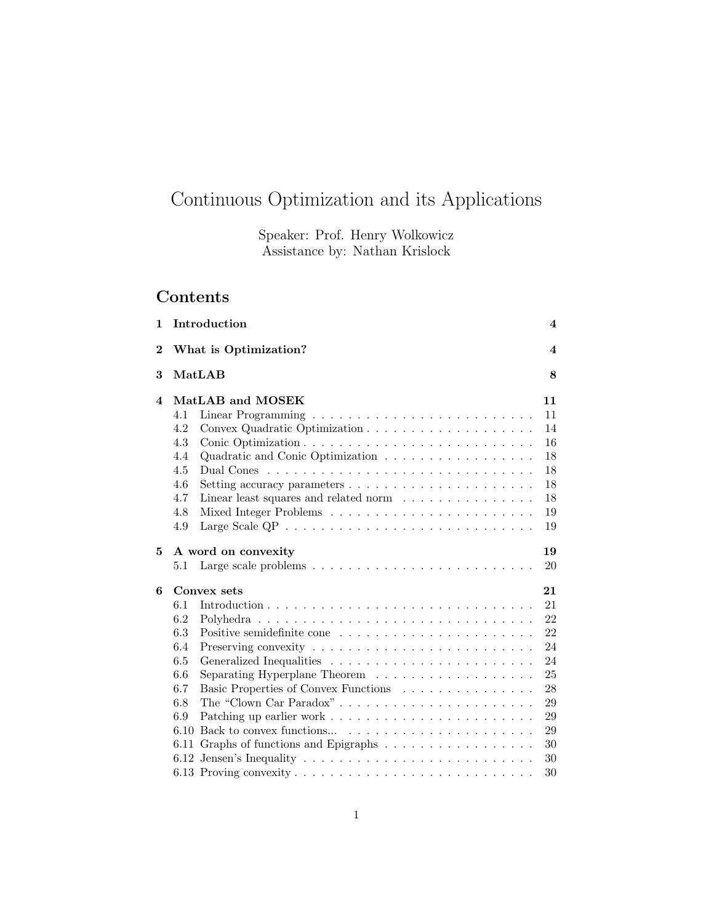# Continuous Optimization and its Applications

Speaker: Prof. Henry Wolkowicz Assistance by: Nathan Krislock

# Contents

| 1        | Introduction                                                                                                                                                                                       | $\overline{\mathbf{4}}$                                                          |
|----------|----------------------------------------------------------------------------------------------------------------------------------------------------------------------------------------------------|----------------------------------------------------------------------------------|
| $\bf{2}$ | What is Optimization?                                                                                                                                                                              | 4                                                                                |
| 3        | MatLAB                                                                                                                                                                                             | 8                                                                                |
| 4        | MatLAB and MOSEK<br>4.1<br>4.2<br>4.3<br>Quadratic and Conic Optimization<br>4.4<br>4.5<br>4.6<br>4.7<br>Linear least squares and related norm $\ldots \ldots \ldots \ldots$<br>4.8<br>4.9         | 11<br>11<br>14<br>16<br>18<br>18<br>18<br>18<br>19<br>19                         |
| 5        | A word on convexity<br>5.1                                                                                                                                                                         | 19<br>20                                                                         |
| 6        | Convex sets<br>6.1<br>6.2<br>6.3<br>6.4<br>6.5<br>6.6<br>6.7<br>Basic Properties of Convex Functions<br>The "Clown Car Paradox"<br>6.8<br>6.9<br>6.10<br>Graphs of functions and Epigraphs<br>6.11 | 21<br>21<br>22<br>22<br>24<br>24<br>25<br>28<br>29<br>29<br>29<br>30<br>30<br>30 |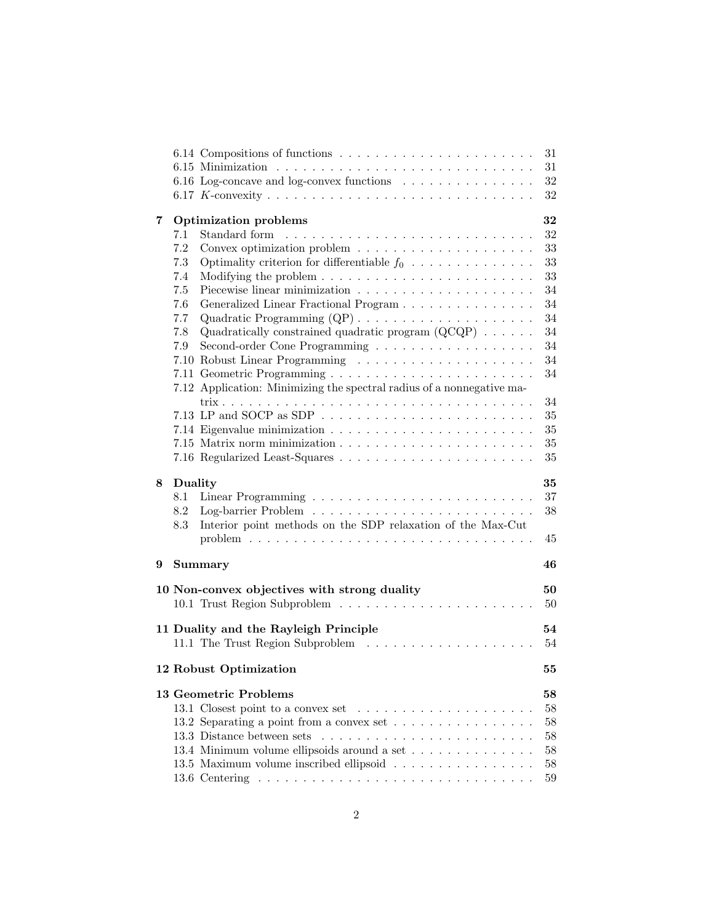|   |         |                                                                                        | 31 |
|---|---------|----------------------------------------------------------------------------------------|----|
|   |         | 31                                                                                     |    |
|   |         | 6.16 Log-concave and log-convex functions                                              | 32 |
|   |         |                                                                                        | 32 |
| 7 |         | 32<br><b>Optimization problems</b>                                                     |    |
|   | 7.1     |                                                                                        | 32 |
|   | 7.2     |                                                                                        | 33 |
|   | $7.3\,$ | Optimality criterion for differentiable $f_0$                                          | 33 |
|   | 7.4     |                                                                                        | 33 |
|   | 7.5     |                                                                                        | 34 |
|   | 7.6     | Generalized Linear Fractional Program                                                  | 34 |
|   | 7.7     |                                                                                        | 34 |
|   | 7.8     | Quadratically constrained quadratic program $(QCQP) \dots \dots$                       | 34 |
|   | 7.9     |                                                                                        | 34 |
|   |         |                                                                                        | 34 |
|   |         |                                                                                        | 34 |
|   |         | 7.12 Application: Minimizing the spectral radius of a nonnegative ma-                  |    |
|   |         |                                                                                        | 34 |
|   |         | 7.13 LP and SOCP as SDP $\ldots \ldots \ldots \ldots \ldots \ldots \ldots$             | 35 |
|   |         |                                                                                        | 35 |
|   |         |                                                                                        | 35 |
|   |         |                                                                                        | 35 |
|   |         |                                                                                        |    |
| 8 | Duality | 35                                                                                     |    |
|   | 8.1     |                                                                                        | 37 |
|   | 8.2     |                                                                                        | 38 |
|   | 8.3     |                                                                                        |    |
|   |         | Interior point methods on the SDP relaxation of the Max-Cut                            |    |
|   |         | problem $\ldots \ldots \ldots \ldots \ldots \ldots \ldots \ldots \ldots \ldots \ldots$ | 45 |
|   |         |                                                                                        |    |
| 9 |         | 46<br><b>Summary</b>                                                                   |    |
|   |         | 50                                                                                     |    |
|   |         | 10 Non-convex objectives with strong duality                                           | 50 |
|   |         |                                                                                        |    |
|   |         | 11 Duality and the Rayleigh Principle<br>54                                            |    |
|   |         |                                                                                        | 54 |
|   |         |                                                                                        |    |
|   |         | 12 Robust Optimization                                                                 | 55 |
|   |         | 13 Geometric Problems<br>58                                                            |    |
|   |         |                                                                                        | 58 |
|   |         | 13.2 Separating a point from a convex set                                              | 58 |
|   |         |                                                                                        | 58 |
|   |         | 13.4 Minimum volume ellipsoids around a set                                            | 58 |
|   |         | 13.5 Maximum volume inscribed ellipsoid                                                | 58 |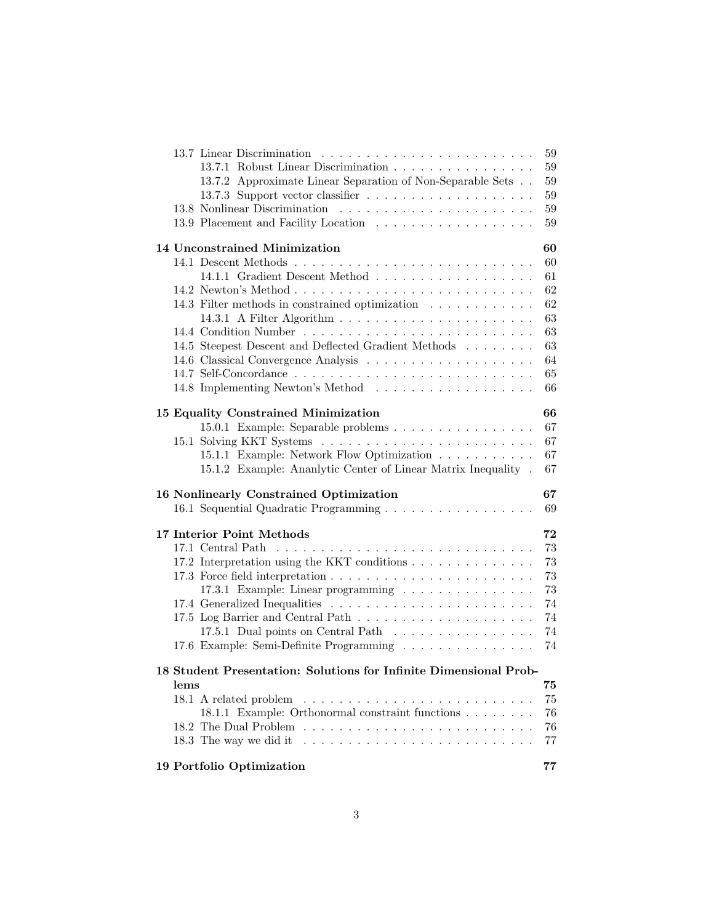|                                                                                  | 59 |
|----------------------------------------------------------------------------------|----|
| 13.7.1 Robust Linear Discrimination                                              | 59 |
| 13.7.2 Approximate Linear Separation of Non-Separable Sets                       | 59 |
|                                                                                  | 59 |
|                                                                                  | 59 |
|                                                                                  | 59 |
| 14 Unconstrained Minimization                                                    | 60 |
|                                                                                  | 60 |
|                                                                                  | 61 |
|                                                                                  | 62 |
| 14.3 Filter methods in constrained optimization                                  | 62 |
|                                                                                  | 63 |
|                                                                                  | 63 |
| 14.5 Steepest Descent and Deflected Gradient Methods                             | 63 |
|                                                                                  | 64 |
|                                                                                  | 65 |
|                                                                                  | 66 |
| 15 Equality Constrained Minimization                                             | 66 |
| 15.0.1 Example: Separable problems                                               | 67 |
|                                                                                  | 67 |
| 15.1.1 Example: Network Flow Optimization                                        | 67 |
| 15.1.2 Example: Ananlytic Center of Linear Matrix Inequality.                    | 67 |
| 16 Nonlinearly Constrained Optimization                                          | 67 |
|                                                                                  |    |
| 16.1 Sequential Quadratic Programming                                            | 69 |
| 17 Interior Point Methods                                                        | 72 |
|                                                                                  | 73 |
| 17.2 Interpretation using the KKT conditions                                     | 73 |
|                                                                                  | 73 |
| 17.3.1 Example: Linear programming                                               | 73 |
|                                                                                  | 74 |
|                                                                                  | 74 |
| 17.5.1 Dual points on Central Path                                               | 74 |
| 17.6 Example: Semi-Definite Programming                                          | 74 |
| 18 Student Presentation: Solutions for Infinite Dimensional Prob-                |    |
| lems                                                                             | 75 |
|                                                                                  | 75 |
| 18.1.1 Example: Orthonormal constraint functions                                 | 76 |
|                                                                                  | 76 |
| 18.3 The way we did it $\ldots \ldots \ldots \ldots \ldots \ldots \ldots \ldots$ | 77 |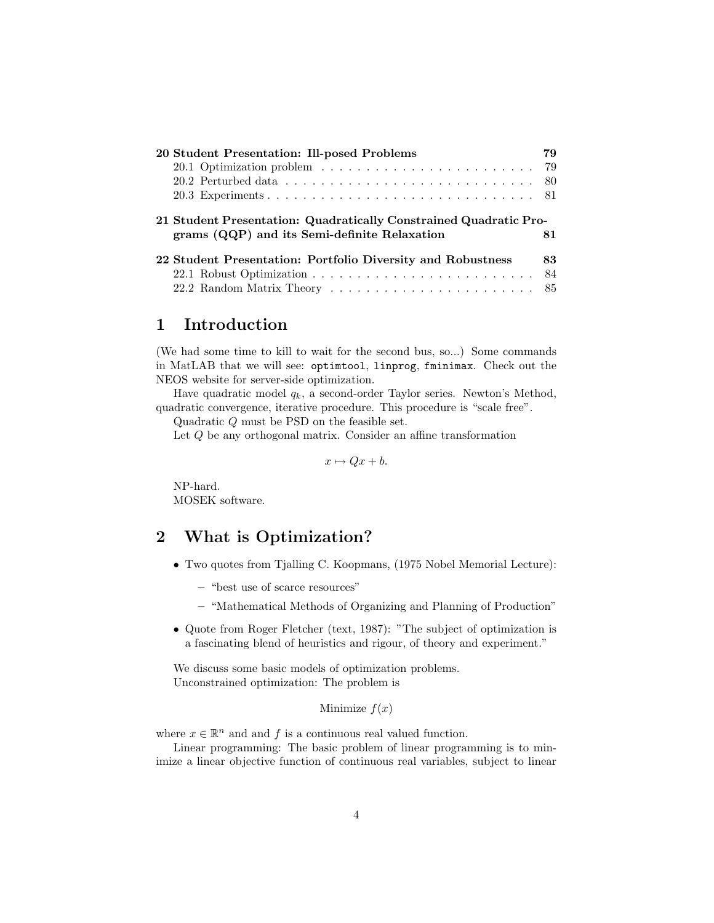| 20 Student Presentation: Ill-posed Problems                       | 79 |
|-------------------------------------------------------------------|----|
|                                                                   |    |
|                                                                   |    |
|                                                                   |    |
| 21 Student Presentation: Quadratically Constrained Quadratic Pro- |    |
| grams (QQP) and its Semi-definite Relaxation                      | 81 |
| 22 Student Presentation: Portfolio Diversity and Robustness       | 83 |
|                                                                   |    |

# 1 Introduction

(We had some time to kill to wait for the second bus, so...) Some commands in MatLAB that we will see: optimtool, linprog, fminimax. Check out the NEOS website for server-side optimization.

Have quadratic model  $q_k$ , a second-order Taylor series. Newton's Method, quadratic convergence, iterative procedure. This procedure is "scale free".

Quadratic Q must be PSD on the feasible set.

Let Q be any orthogonal matrix. Consider an affine transformation

 $x \mapsto Qx + b.$ 

NP-hard. MOSEK software.

# 2 What is Optimization?

- Two quotes from Tjalling C. Koopmans, (1975 Nobel Memorial Lecture):
	- "best use of scarce resources"
	- "Mathematical Methods of Organizing and Planning of Production"
- Quote from Roger Fletcher (text, 1987): "The subject of optimization is a fascinating blend of heuristics and rigour, of theory and experiment."

We discuss some basic models of optimization problems. Unconstrained optimization: The problem is

Minimize  $f(x)$ 

where  $x \in \mathbb{R}^n$  and and f is a continuous real valued function.

Linear programming: The basic problem of linear programming is to minimize a linear objective function of continuous real variables, subject to linear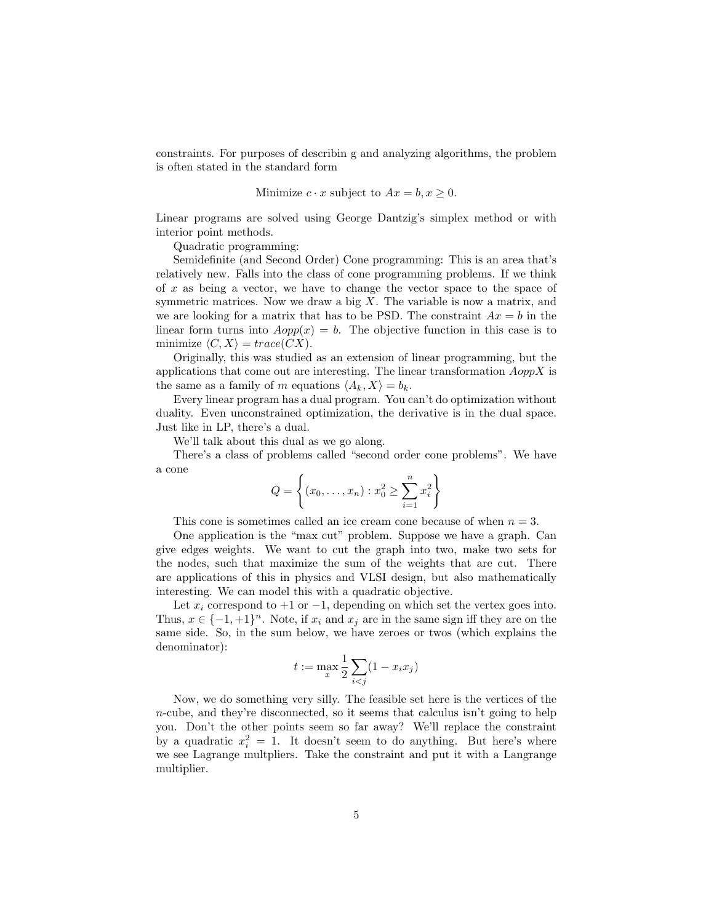constraints. For purposes of describin g and analyzing algorithms, the problem is often stated in the standard form

Minimize 
$$
c \cdot x
$$
 subject to  $Ax = b, x \ge 0$ .

Linear programs are solved using George Dantzig's simplex method or with interior point methods.

Quadratic programming:

Semidefinite (and Second Order) Cone programming: This is an area that's relatively new. Falls into the class of cone programming problems. If we think of  $x$  as being a vector, we have to change the vector space to the space of symmetric matrices. Now we draw a big  $X$ . The variable is now a matrix, and we are looking for a matrix that has to be PSD. The constraint  $Ax = b$  in the linear form turns into  $Aopp(x) = b$ . The objective function in this case is to minimize  $\langle C, X \rangle = trace(CX)$ .

Originally, this was studied as an extension of linear programming, but the applications that come out are interesting. The linear transformation  $AoppX$  is the same as a family of m equations  $\langle A_k, X \rangle = b_k$ .

Every linear program has a dual program. You can't do optimization without duality. Even unconstrained optimization, the derivative is in the dual space. Just like in LP, there's a dual.

We'll talk about this dual as we go along.

There's a class of problems called "second order cone problems". We have a cone

$$
Q = \left\{ (x_0, \dots, x_n) : x_0^2 \ge \sum_{i=1}^n x_i^2 \right\}
$$

This cone is sometimes called an ice cream cone because of when  $n = 3$ .

One application is the "max cut" problem. Suppose we have a graph. Can give edges weights. We want to cut the graph into two, make two sets for the nodes, such that maximize the sum of the weights that are cut. There are applications of this in physics and VLSI design, but also mathematically interesting. We can model this with a quadratic objective.

Let  $x_i$  correspond to +1 or -1, depending on which set the vertex goes into. Thus,  $x \in \{-1, +1\}^n$ . Note, if  $x_i$  and  $x_j$  are in the same sign iff they are on the same side. So, in the sum below, we have zeroes or twos (which explains the denominator):

$$
t := \max_x \frac{1}{2} \sum_{i < j} (1 - x_i x_j)
$$

Now, we do something very silly. The feasible set here is the vertices of the  $n$ -cube, and they're disconnected, so it seems that calculus isn't going to help you. Don't the other points seem so far away? We'll replace the constraint by a quadratic  $x_i^2 = 1$ . It doesn't seem to do anything. But here's where we see Lagrange multpliers. Take the constraint and put it with a Langrange multiplier.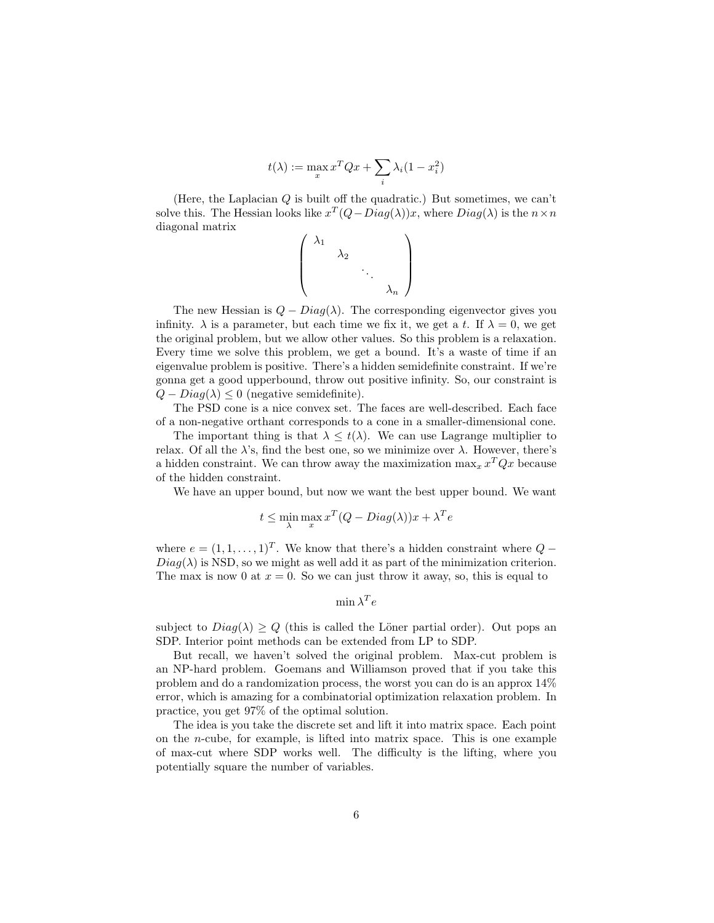$$
t(\lambda) := \max_x x^T Q x + \sum_i \lambda_i (1 - x_i^2)
$$

(Here, the Laplacian  $Q$  is built off the quadratic.) But sometimes, we can't solve this. The Hessian looks like  $x^T(Q-Diag(\lambda))x$ , where  $Diag(\lambda)$  is the  $n \times n$ diagonal matrix

$$
\left(\begin{array}{cccc} \lambda_1 & & & \\ & \lambda_2 & & \\ & & \ddots & \\ & & & \lambda_n \end{array}\right)
$$

The new Hessian is  $Q - Diag(\lambda)$ . The corresponding eigenvector gives you infinity.  $\lambda$  is a parameter, but each time we fix it, we get a t. If  $\lambda = 0$ , we get the original problem, but we allow other values. So this problem is a relaxation. Every time we solve this problem, we get a bound. It's a waste of time if an eigenvalue problem is positive. There's a hidden semidefinite constraint. If we're gonna get a good upperbound, throw out positive infinity. So, our constraint is  $Q - Diag(\lambda) \leq 0$  (negative semidefinite).

The PSD cone is a nice convex set. The faces are well-described. Each face of a non-negative orthant corresponds to a cone in a smaller-dimensional cone.

The important thing is that  $\lambda \leq t(\lambda)$ . We can use Lagrange multiplier to relax. Of all the  $\lambda$ 's, find the best one, so we minimize over  $\lambda$ . However, there's a hidden constraint. We can throw away the maximization  $\max_x x^T Q x$  because of the hidden constraint.

We have an upper bound, but now we want the best upper bound. We want

$$
t \le \min_{\lambda} \max_{x} x^{T} (Q - Diag(\lambda)) x + \lambda^{T} e
$$

where  $e = (1, 1, \ldots, 1)^T$ . We know that there's a hidden constraint where  $Q$  –  $Diag(\lambda)$  is NSD, so we might as well add it as part of the minimization criterion. The max is now 0 at  $x = 0$ . So we can just throw it away, so, this is equal to

$$
\min \lambda^T e
$$

subject to  $Diag(\lambda) \ge Q$  (this is called the Löner partial order). Out pops an SDP. Interior point methods can be extended from LP to SDP.

But recall, we haven't solved the original problem. Max-cut problem is an NP-hard problem. Goemans and Williamson proved that if you take this problem and do a randomization process, the worst you can do is an approx 14% error, which is amazing for a combinatorial optimization relaxation problem. In practice, you get 97% of the optimal solution.

The idea is you take the discrete set and lift it into matrix space. Each point on the *n*-cube, for example, is lifted into matrix space. This is one example of max-cut where SDP works well. The difficulty is the lifting, where you potentially square the number of variables.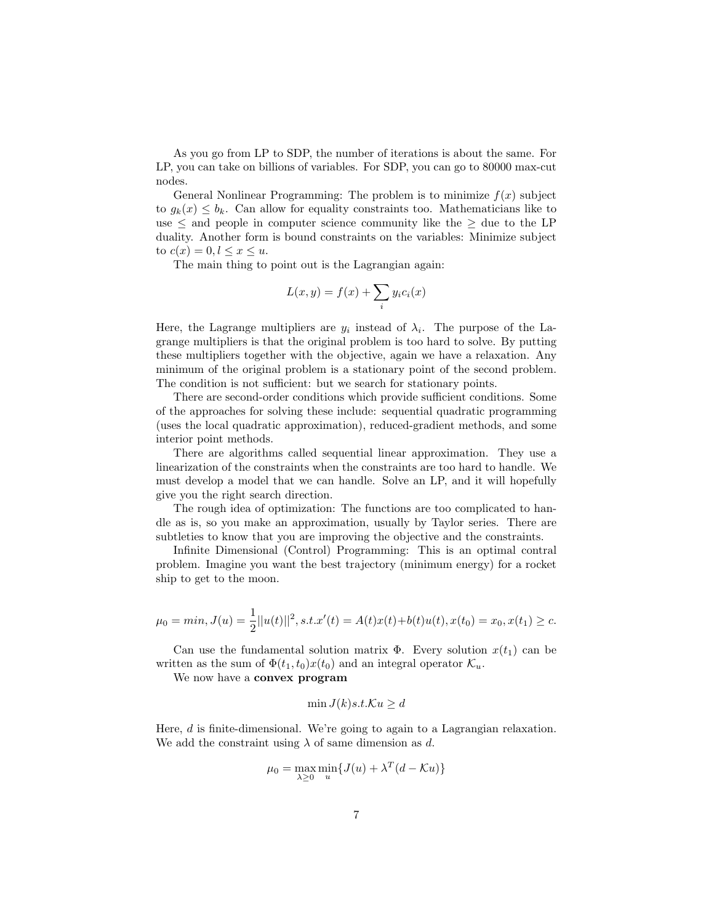As you go from LP to SDP, the number of iterations is about the same. For LP, you can take on billions of variables. For SDP, you can go to 80000 max-cut nodes.

General Nonlinear Programming: The problem is to minimize  $f(x)$  subject to  $g_k(x) \leq b_k$ . Can allow for equality constraints too. Mathematicians like to use  $\leq$  and people in computer science community like the  $\geq$  due to the LP duality. Another form is bound constraints on the variables: Minimize subject to  $c(x) = 0, l \leq x \leq u$ .

The main thing to point out is the Lagrangian again:

$$
L(x,y) = f(x) + \sum_{i} y_i c_i(x)
$$

Here, the Lagrange multipliers are  $y_i$  instead of  $\lambda_i$ . The purpose of the Lagrange multipliers is that the original problem is too hard to solve. By putting these multipliers together with the objective, again we have a relaxation. Any minimum of the original problem is a stationary point of the second problem. The condition is not sufficient: but we search for stationary points.

There are second-order conditions which provide sufficient conditions. Some of the approaches for solving these include: sequential quadratic programming (uses the local quadratic approximation), reduced-gradient methods, and some interior point methods.

There are algorithms called sequential linear approximation. They use a linearization of the constraints when the constraints are too hard to handle. We must develop a model that we can handle. Solve an LP, and it will hopefully give you the right search direction.

The rough idea of optimization: The functions are too complicated to handle as is, so you make an approximation, usually by Taylor series. There are subtleties to know that you are improving the objective and the constraints.

Infinite Dimensional (Control) Programming: This is an optimal contral problem. Imagine you want the best trajectory (minimum energy) for a rocket ship to get to the moon.

$$
\mu_0 = \min, J(u) = \frac{1}{2} ||u(t)||^2, s.t. x'(t) = A(t)x(t) + b(t)u(t), x(t_0) = x_0, x(t_1) \ge c.
$$

Can use the fundamental solution matrix  $\Phi$ . Every solution  $x(t_1)$  can be written as the sum of  $\Phi(t_1, t_0)x(t_0)$  and an integral operator  $\mathcal{K}_u$ .

We now have a convex program

$$
\min J(k)s.t.\mathcal{K}u \ge d
$$

Here, d is finite-dimensional. We're going to again to a Lagrangian relaxation. We add the constraint using  $\lambda$  of same dimension as d.

$$
\mu_0 = \max_{\lambda \ge 0} \min_u \{ J(u) + \lambda^T (d - \mathcal{K}u) \}
$$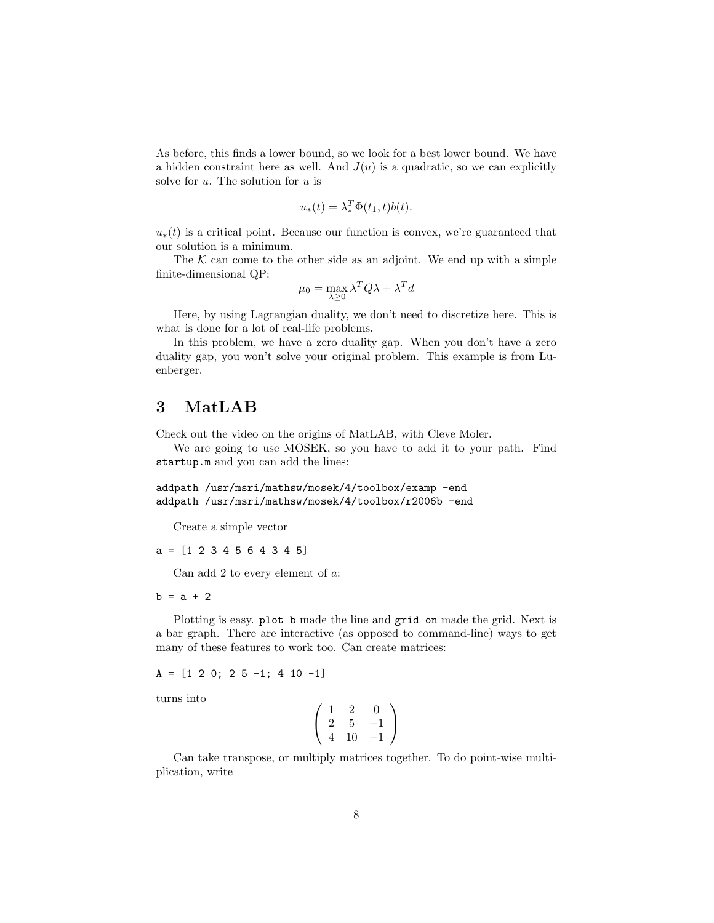As before, this finds a lower bound, so we look for a best lower bound. We have a hidden constraint here as well. And  $J(u)$  is a quadratic, so we can explicitly solve for  $u$ . The solution for  $u$  is

$$
u_*(t) = \lambda_*^T \Phi(t_1, t) b(t).
$$

 $u_*(t)$  is a critical point. Because our function is convex, we're guaranteed that our solution is a minimum.

The  $K$  can come to the other side as an adjoint. We end up with a simple finite-dimensional QP:

$$
\mu_0 = \max_{\lambda \ge 0} \lambda^T Q \lambda + \lambda^T d
$$

Here, by using Lagrangian duality, we don't need to discretize here. This is what is done for a lot of real-life problems.

In this problem, we have a zero duality gap. When you don't have a zero duality gap, you won't solve your original problem. This example is from Luenberger.

# 3 MatLAB

Check out the video on the origins of MatLAB, with Cleve Moler.

We are going to use MOSEK, so you have to add it to your path. Find startup.m and you can add the lines:

addpath /usr/msri/mathsw/mosek/4/toolbox/examp -end addpath /usr/msri/mathsw/mosek/4/toolbox/r2006b -end

Create a simple vector

a = [1 2 3 4 5 6 4 3 4 5]

Can add 2 to every element of a:

 $b = a + 2$ 

Plotting is easy. plot b made the line and grid on made the grid. Next is a bar graph. There are interactive (as opposed to command-line) ways to get many of these features to work too. Can create matrices:

 $A = \begin{bmatrix} 1 & 2 & 0 \\ 2 & 5 & -1 \\ 3 & 4 & 10 & -1 \end{bmatrix}$ 

turns into

$$
\left(\begin{array}{rrr} 1 & 2 & 0 \\ 2 & 5 & -1 \\ 4 & 10 & -1 \end{array}\right)
$$

Can take transpose, or multiply matrices together. To do point-wise multiplication, write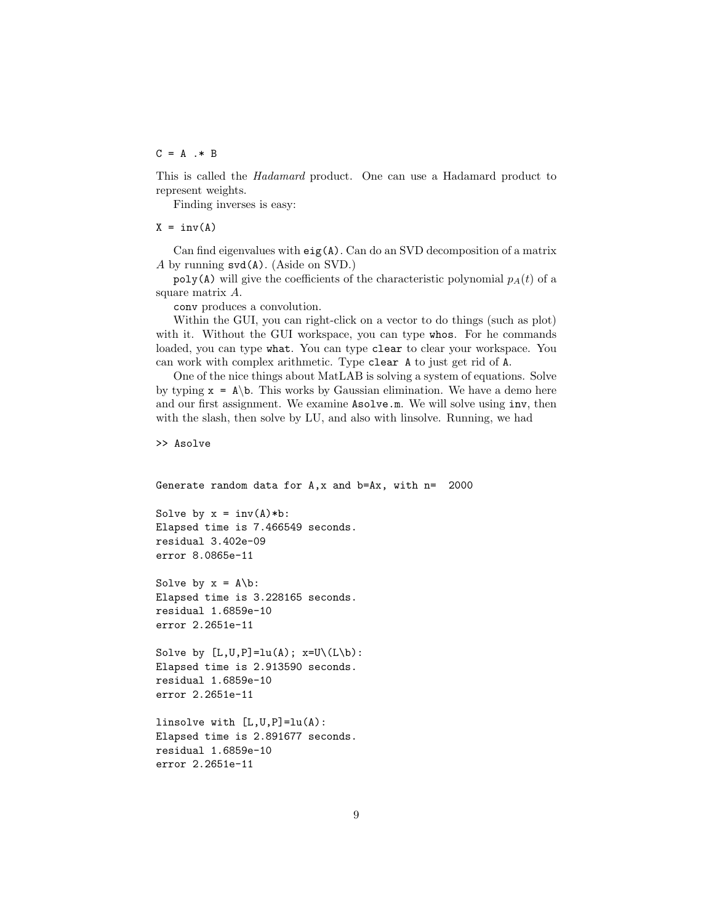#### $C = A \cdot * B$

This is called the Hadamard product. One can use a Hadamard product to represent weights.

Finding inverses is easy:

 $X = inv(A)$ 

Can find eigenvalues with  $eig(A)$ . Can do an SVD decomposition of a matrix A by running svd(A). (Aside on SVD.)

poly(A) will give the coefficients of the characteristic polynomial  $p<sub>A</sub>(t)$  of a square matrix A.

conv produces a convolution.

Within the GUI, you can right-click on a vector to do things (such as plot) with it. Without the GUI workspace, you can type whos. For he commands loaded, you can type what. You can type clear to clear your workspace. You can work with complex arithmetic. Type clear A to just get rid of A.

One of the nice things about MatLAB is solving a system of equations. Solve by typing  $x = A\b$ . This works by Gaussian elimination. We have a demo here and our first assignment. We examine Asolve.m. We will solve using inv, then with the slash, then solve by LU, and also with linsolve. Running, we had

```
>> Asolve
```

```
Generate random data for A,x and b=Ax, with n= 2000
```

```
Solve by x = inv(A)*b:
Elapsed time is 7.466549 seconds.
residual 3.402e-09
error 8.0865e-11
```
Solve by  $x = A\$  b: Elapsed time is 3.228165 seconds. residual 1.6859e-10 error 2.2651e-11

```
Solve by [L,U,P]=lu(A); x=U\setminus (L\setminus b):Elapsed time is 2.913590 seconds.
residual 1.6859e-10
error 2.2651e-11
```

```
linsolve with [L,U,P]=lu(A):
Elapsed time is 2.891677 seconds.
residual 1.6859e-10
error 2.2651e-11
```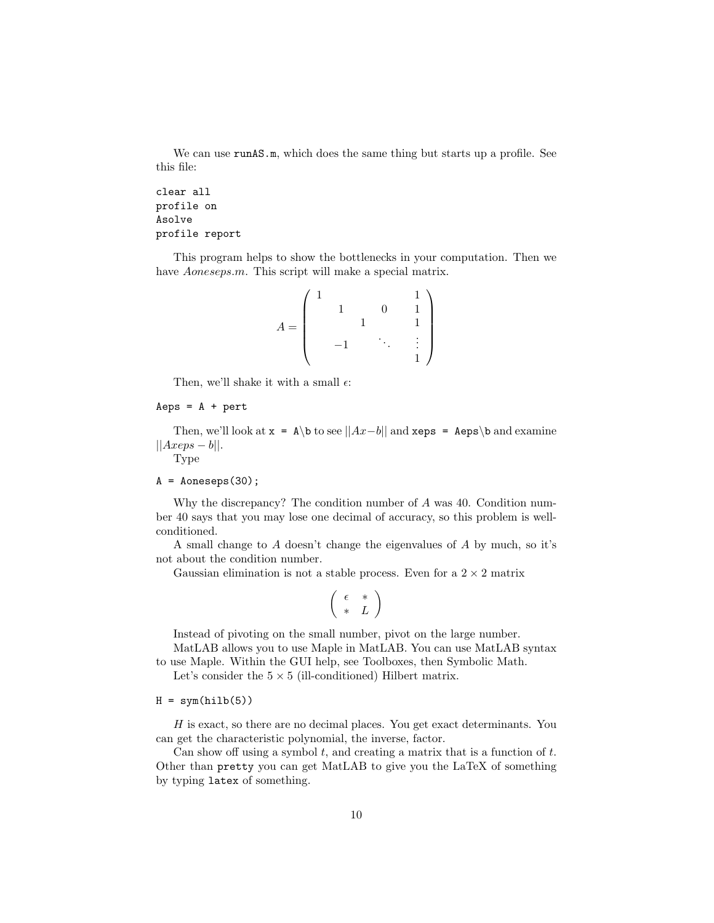We can use **runAS.m**, which does the same thing but starts up a profile. See this file:

```
clear all
profile on
Asolve
profile report
```
This program helps to show the bottlenecks in your computation. Then we have *Aoneseps.m.* This script will make a special matrix.

$$
A = \begin{pmatrix} 1 & & & & & 1 \\ & 1 & & 0 & & 1 \\ & & 1 & & & 1 \\ & & -1 & & \ddots & & \vdots \\ & & & & & 1 \end{pmatrix}
$$

Then, we'll shake it with a small  $\epsilon$ :

#### $Aeps = A + pert$

Then, we'll look at  $x = A\cdot b$  to see  $||Ax-b||$  and  $xeps = Aeps\cdot b$  and examine  $||Axeps - b||.$ 

Type

#### $A = \text{Aoneseps}(30);$

Why the discrepancy? The condition number of A was 40. Condition number 40 says that you may lose one decimal of accuracy, so this problem is wellconditioned.

A small change to A doesn't change the eigenvalues of A by much, so it's not about the condition number.

Gaussian elimination is not a stable process. Even for a  $2 \times 2$  matrix

$$
\left(\begin{array}{cc} \epsilon & * \\ * & L \end{array}\right)
$$

Instead of pivoting on the small number, pivot on the large number.

MatLAB allows you to use Maple in MatLAB. You can use MatLAB syntax to use Maple. Within the GUI help, see Toolboxes, then Symbolic Math.

Let's consider the  $5 \times 5$  (ill-conditioned) Hilbert matrix.

#### $H = sym(hilb(5))$

H is exact, so there are no decimal places. You get exact determinants. You can get the characteristic polynomial, the inverse, factor.

Can show off using a symbol  $t$ , and creating a matrix that is a function of  $t$ . Other than pretty you can get MatLAB to give you the LaTeX of something by typing latex of something.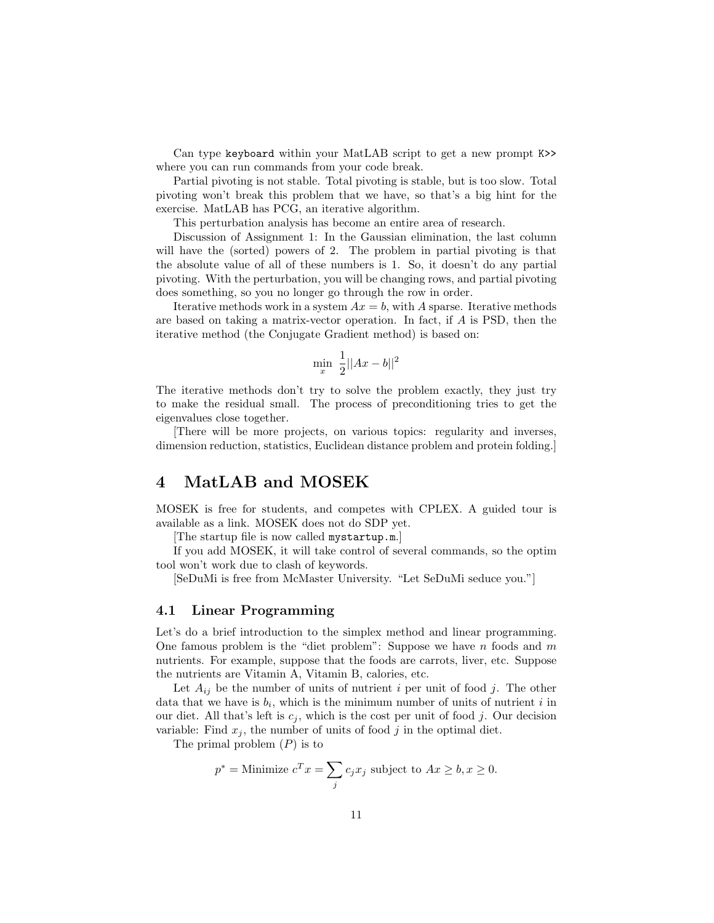Can type keyboard within your MatLAB script to get a new prompt K>> where you can run commands from your code break.

Partial pivoting is not stable. Total pivoting is stable, but is too slow. Total pivoting won't break this problem that we have, so that's a big hint for the exercise. MatLAB has PCG, an iterative algorithm.

This perturbation analysis has become an entire area of research.

Discussion of Assignment 1: In the Gaussian elimination, the last column will have the (sorted) powers of 2. The problem in partial pivoting is that the absolute value of all of these numbers is 1. So, it doesn't do any partial pivoting. With the perturbation, you will be changing rows, and partial pivoting does something, so you no longer go through the row in order.

Iterative methods work in a system  $Ax = b$ , with A sparse. Iterative methods are based on taking a matrix-vector operation. In fact, if A is PSD, then the iterative method (the Conjugate Gradient method) is based on:

$$
\min_x \frac{1}{2} ||Ax - b||^2
$$

The iterative methods don't try to solve the problem exactly, they just try to make the residual small. The process of preconditioning tries to get the eigenvalues close together.

[There will be more projects, on various topics: regularity and inverses, dimension reduction, statistics, Euclidean distance problem and protein folding.]

# 4 MatLAB and MOSEK

MOSEK is free for students, and competes with CPLEX. A guided tour is available as a link. MOSEK does not do SDP yet.

[The startup file is now called mystartup.m.]

If you add MOSEK, it will take control of several commands, so the optim tool won't work due to clash of keywords.

[SeDuMi is free from McMaster University. "Let SeDuMi seduce you."]

## 4.1 Linear Programming

Let's do a brief introduction to the simplex method and linear programming. One famous problem is the "diet problem": Suppose we have  $n$  foods and  $m$ nutrients. For example, suppose that the foods are carrots, liver, etc. Suppose the nutrients are Vitamin A, Vitamin B, calories, etc.

Let  $A_{ij}$  be the number of units of nutrient i per unit of food j. The other data that we have is  $b_i$ , which is the minimum number of units of nutrient i in our diet. All that's left is  $c_j$ , which is the cost per unit of food j. Our decision variable: Find  $x_j$ , the number of units of food j in the optimal diet.

The primal problem  $(P)$  is to

$$
p^* = \text{Minimize } c^T x = \sum_j c_j x_j \text{ subject to } Ax \ge b, x \ge 0.
$$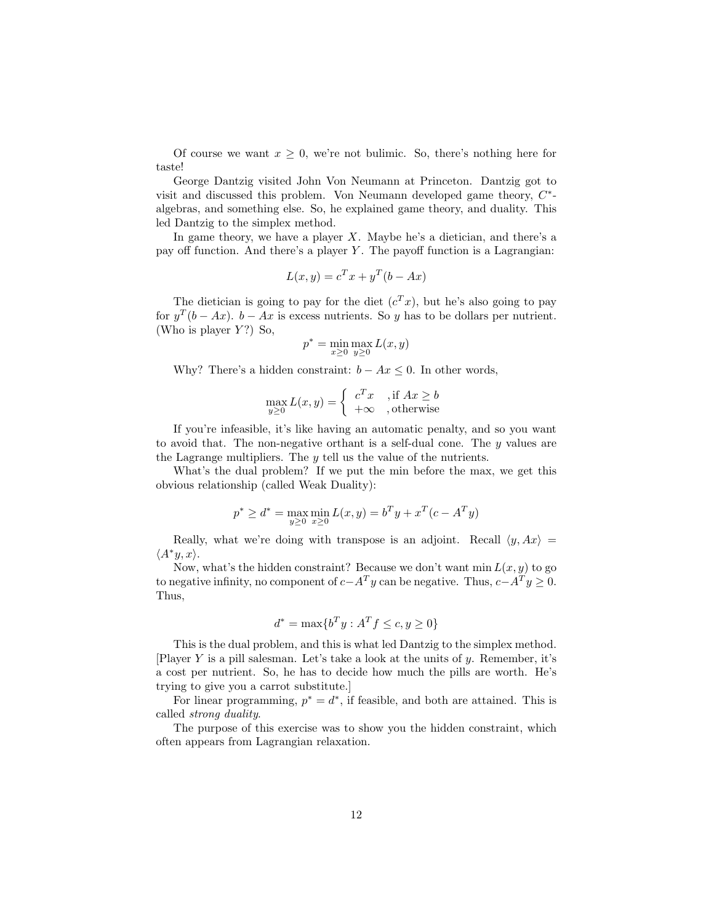Of course we want  $x \geq 0$ , we're not bulimic. So, there's nothing here for taste!

George Dantzig visited John Von Neumann at Princeton. Dantzig got to visit and discussed this problem. Von Neumann developed game theory,  $C^*$ algebras, and something else. So, he explained game theory, and duality. This led Dantzig to the simplex method.

In game theory, we have a player  $X$ . Maybe he's a dietician, and there's a pay off function. And there's a player  $Y$ . The payoff function is a Lagrangian:

$$
L(x, y) = c^T x + y^T (b - Ax)
$$

The dietician is going to pay for the diet  $(c^T x)$ , but he's also going to pay for  $y^T(b - Ax)$ .  $b - Ax$  is excess nutrients. So y has to be dollars per nutrient. (Who is player  $Y$ ?) So,

$$
p^* = \min_{x \ge 0} \max_{y \ge 0} L(x, y)
$$

Why? There's a hidden constraint:  $b - Ax \leq 0$ . In other words,

$$
\max_{y \ge 0} L(x, y) = \begin{cases} c^T x, & \text{if } Ax \ge b \\ +\infty, & \text{otherwise} \end{cases}
$$

If you're infeasible, it's like having an automatic penalty, and so you want to avoid that. The non-negative orthant is a self-dual cone. The y values are the Lagrange multipliers. The y tell us the value of the nutrients.

What's the dual problem? If we put the min before the max, we get this obvious relationship (called Weak Duality):

$$
p^* \ge d^* = \max_{y \ge 0} \min_{x \ge 0} L(x, y) = b^T y + x^T (c - A^T y)
$$

Really, what we're doing with transpose is an adjoint. Recall  $\langle y, Ax \rangle =$  $\langle A^*y, x \rangle$ .

Now, what's the hidden constraint? Because we don't want  $\min L(x, y)$  to go to negative infinity, no component of  $c-A<sup>T</sup>y$  can be negative. Thus,  $c-A<sup>T</sup>y \ge 0$ . Thus,

$$
d^* = \max\{b^T y : A^T f \le c, y \ge 0\}
$$

This is the dual problem, and this is what led Dantzig to the simplex method. [Player Y is a pill salesman. Let's take a look at the units of  $y$ . Remember, it's a cost per nutrient. So, he has to decide how much the pills are worth. He's trying to give you a carrot substitute.]

For linear programming,  $p^* = d^*$ , if feasible, and both are attained. This is called strong duality.

The purpose of this exercise was to show you the hidden constraint, which often appears from Lagrangian relaxation.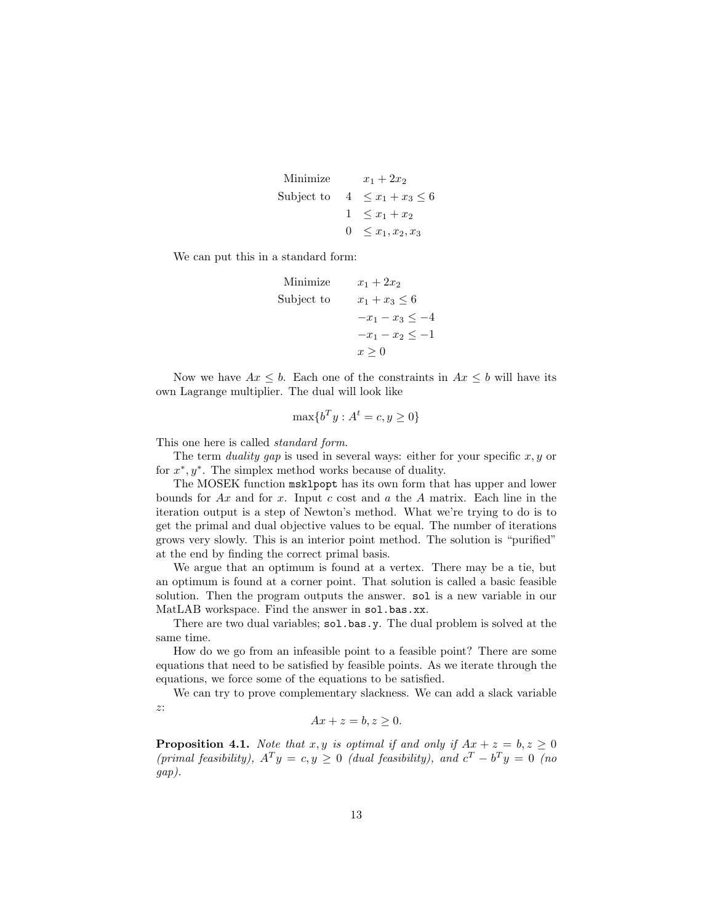```
Minimize x_1 + 2x_2Subject to 4 \leq x_1 + x_3 \leq 61 \leq x_1 + x_20 \leq x_1, x_2, x_3
```
We can put this in a standard form:

```
Minimize x_1 + 2x_2Subject to x_1 + x_3 \leq 6-x_1 - x_3 \leq -4-x_1 - x_2 \leq -1x > 0
```
Now we have  $Ax \leq b$ . Each one of the constraints in  $Ax \leq b$  will have its own Lagrange multiplier. The dual will look like

$$
\max\{b^T y : A^t = c, y \ge 0\}
$$

This one here is called *standard form*.

The term *duality gap* is used in several ways: either for your specific  $x, y$  or for  $x^*, y^*$ . The simplex method works because of duality.

The MOSEK function msklpopt has its own form that has upper and lower bounds for  $Ax$  and for x. Input c cost and a the A matrix. Each line in the iteration output is a step of Newton's method. What we're trying to do is to get the primal and dual objective values to be equal. The number of iterations grows very slowly. This is an interior point method. The solution is "purified" at the end by finding the correct primal basis.

We argue that an optimum is found at a vertex. There may be a tie, but an optimum is found at a corner point. That solution is called a basic feasible solution. Then the program outputs the answer. sol is a new variable in our MatLAB workspace. Find the answer in sol.bas.xx.

There are two dual variables; sol.bas.y. The dual problem is solved at the same time.

How do we go from an infeasible point to a feasible point? There are some equations that need to be satisfied by feasible points. As we iterate through the equations, we force some of the equations to be satisfied.

We can try to prove complementary slackness. We can add a slack variable z:

$$
Ax + z = b, z \ge 0.
$$

**Proposition 4.1.** Note that x, y is optimal if and only if  $Ax + z = b, z \ge 0$ (primal feasibility),  $A^T y = c, y \ge 0$  (dual feasibility), and  $c^T - b^T y = 0$  (no gap).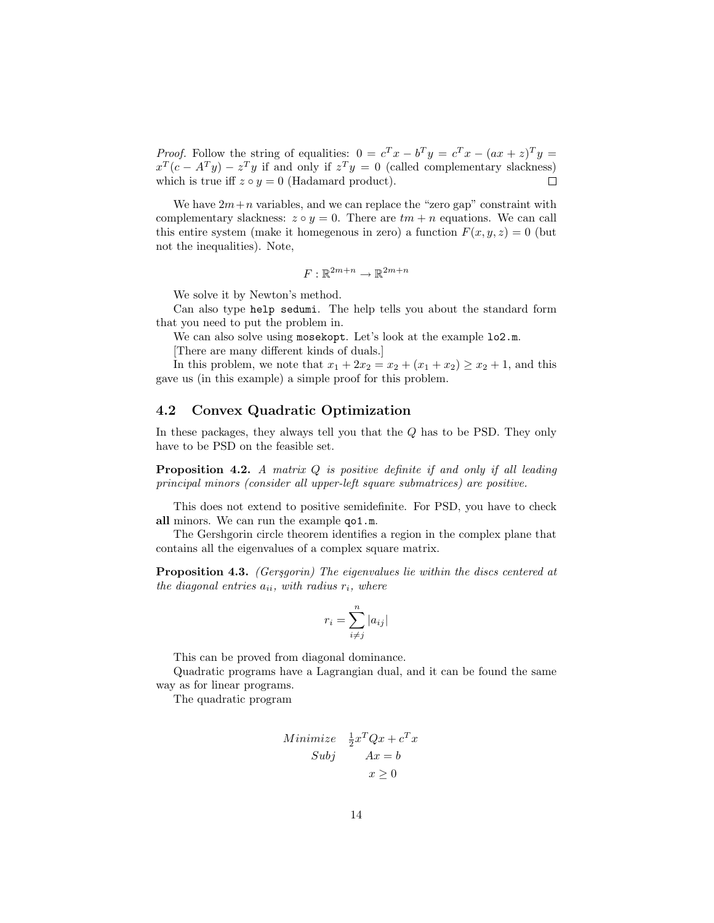*Proof.* Follow the string of equalities:  $0 = c^T x - b^T y = c^T x - (ax + z)^T y =$  $x^T(c - A^T y) - z^T y$  if and only if  $z^T y = 0$  (called complementary slackness) which is true iff  $z \circ y = 0$  (Hadamard product).  $\Box$ 

We have  $2m+n$  variables, and we can replace the "zero gap" constraint with complementary slackness:  $z \circ y = 0$ . There are  $tm + n$  equations. We can call this entire system (make it homegenous in zero) a function  $F(x, y, z) = 0$  (but not the inequalities). Note,

$$
F:\mathbb{R}^{2m+n}\to\mathbb{R}^{2m+n}
$$

We solve it by Newton's method.

Can also type help sedumi. The help tells you about the standard form that you need to put the problem in.

We can also solve using mosekopt. Let's look at the example  $lo2.m$ .

[There are many different kinds of duals.]

In this problem, we note that  $x_1 + 2x_2 = x_2 + (x_1 + x_2) \ge x_2 + 1$ , and this gave us (in this example) a simple proof for this problem.

### 4.2 Convex Quadratic Optimization

In these packages, they always tell you that the Q has to be PSD. They only have to be PSD on the feasible set.

**Proposition 4.2.** A matrix  $Q$  is positive definite if and only if all leading principal minors (consider all upper-left square submatrices) are positive.

This does not extend to positive semidefinite. For PSD, you have to check all minors. We can run the example qo1.m.

The Gershgorin circle theorem identifies a region in the complex plane that contains all the eigenvalues of a complex square matrix.

**Proposition 4.3.** (Gersgorin) The eigenvalues lie within the discs centered at the diagonal entries  $a_{ii}$ , with radius  $r_i$ , where

$$
r_i = \sum_{i \neq j}^{n} |a_{ij}|
$$

This can be proved from diagonal dominance.

Quadratic programs have a Lagrangian dual, and it can be found the same way as for linear programs.

The quadratic program

Minimize 
$$
\frac{1}{2}x^TQx + c^Tx
$$
  
Subj  $Ax = b$   
 $x \ge 0$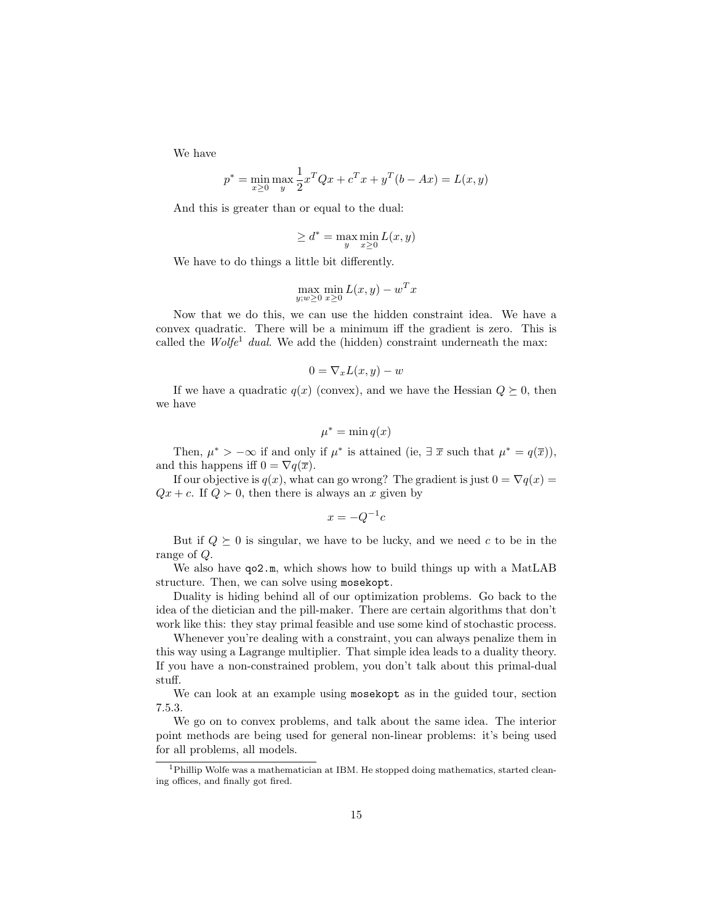We have

$$
p^* = \min_{x \ge 0} \max_{y} \frac{1}{2} x^T Q x + c^T x + y^T (b - Ax) = L(x, y)
$$

And this is greater than or equal to the dual:

$$
\geq d^* = \max_{y} \min_{x \geq 0} L(x, y)
$$

We have to do things a little bit differently.

$$
\max_{y; w \ge 0} \min_{x \ge 0} L(x, y) - w^T x
$$

Now that we do this, we can use the hidden constraint idea. We have a convex quadratic. There will be a minimum iff the gradient is zero. This is called the  $Wolfe^1$  dual. We add the (hidden) constraint underneath the max:

$$
0 = \nabla_x L(x, y) - w
$$

If we have a quadratic  $q(x)$  (convex), and we have the Hessian  $Q \succeq 0$ , then we have

$$
\mu^* = \min q(x)
$$

Then,  $\mu^* > -\infty$  if and only if  $\mu^*$  is attained (ie,  $\exists \bar{x}$  such that  $\mu^* = q(\bar{x})$ ), and this happens iff  $0 = \nabla q(\overline{x})$ .

If our objective is  $q(x)$ , what can go wrong? The gradient is just  $0 = \nabla q(x) =$  $Qx + c$ . If  $Q \succ 0$ , then there is always an x given by

$$
x = -Q^{-1}c
$$

But if  $Q \succeq 0$  is singular, we have to be lucky, and we need c to be in the range of Q.

We also have  $q_0$ 2.m, which shows how to build things up with a MatLAB structure. Then, we can solve using mosekopt.

Duality is hiding behind all of our optimization problems. Go back to the idea of the dietician and the pill-maker. There are certain algorithms that don't work like this: they stay primal feasible and use some kind of stochastic process.

Whenever you're dealing with a constraint, you can always penalize them in this way using a Lagrange multiplier. That simple idea leads to a duality theory. If you have a non-constrained problem, you don't talk about this primal-dual stuff.

We can look at an example using mosekopt as in the guided tour, section 7.5.3.

We go on to convex problems, and talk about the same idea. The interior point methods are being used for general non-linear problems: it's being used for all problems, all models.

<sup>&</sup>lt;sup>1</sup>Phillip Wolfe was a mathematician at IBM. He stopped doing mathematics, started cleaning offices, and finally got fired.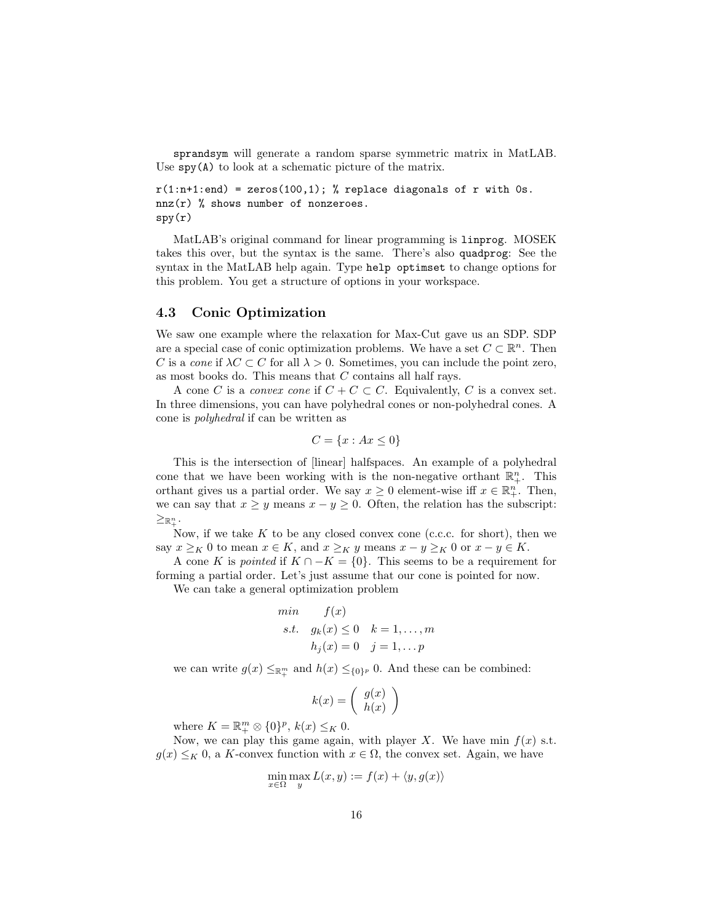sprandsym will generate a random sparse symmetric matrix in MatLAB. Use spy(A) to look at a schematic picture of the matrix.

```
r(1:n+1:end) = zeros(100,1); % replace diagonals of r with 0s.
nnz(r) % shows number of nonzeroes.
spy(r)
```
MatLAB's original command for linear programming is linprog. MOSEK takes this over, but the syntax is the same. There's also quadprog: See the syntax in the MatLAB help again. Type help optimset to change options for this problem. You get a structure of options in your workspace.

#### 4.3 Conic Optimization

We saw one example where the relaxation for Max-Cut gave us an SDP. SDP are a special case of conic optimization problems. We have a set  $C \subset \mathbb{R}^n$ . Then C is a cone if  $\lambda C \subset C$  for all  $\lambda > 0$ . Sometimes, you can include the point zero, as most books do. This means that C contains all half rays.

A cone C is a convex cone if  $C + C \subset C$ . Equivalently, C is a convex set. In three dimensions, you can have polyhedral cones or non-polyhedral cones. A cone is polyhedral if can be written as

$$
C = \{x : Ax \le 0\}
$$

This is the intersection of [linear] halfspaces. An example of a polyhedral cone that we have been working with is the non-negative orthant  $\mathbb{R}^n_+$ . This orthant gives us a partial order. We say  $x \geq 0$  element-wise iff  $x \in \mathbb{R}^n_+$ . Then, we can say that  $x \geq y$  means  $x - y \geq 0$ . Often, the relation has the subscript:  $\geq_{\mathbb{R}^n_+}$ .

Now, if we take  $K$  to be any closed convex cone (c.c.c. for short), then we say  $x \geq_K 0$  to mean  $x \in K$ , and  $x \geq_K y$  means  $x - y \geq_K 0$  or  $x - y \in K$ .

A cone K is *pointed* if  $K \cap -K = \{0\}$ . This seems to be a requirement for forming a partial order. Let's just assume that our cone is pointed for now.

We can take a general optimization problem

min 
$$
f(x)
$$
  
s.t.  $g_k(x) \le 0$   $k = 1, ..., m$   
 $h_j(x) = 0$   $j = 1, ..., p$ 

we can write  $g(x) \leq_{\mathbb{R}^m_+}$  and  $h(x) \leq_{\{0\}^p} 0$ . And these can be combined:

$$
k(x) = \left(\begin{array}{c} g(x) \\ h(x) \end{array}\right)
$$

where  $K = \mathbb{R}^m_+ \otimes \{0\}^p$ ,  $k(x) \leq_K 0$ .

Now, we can play this game again, with player X. We have min  $f(x)$  s.t.  $g(x) \leq_K 0$ , a K-convex function with  $x \in \Omega$ , the convex set. Again, we have

$$
\min_{x \in \Omega} \max_{y} L(x, y) := f(x) + \langle y, g(x) \rangle
$$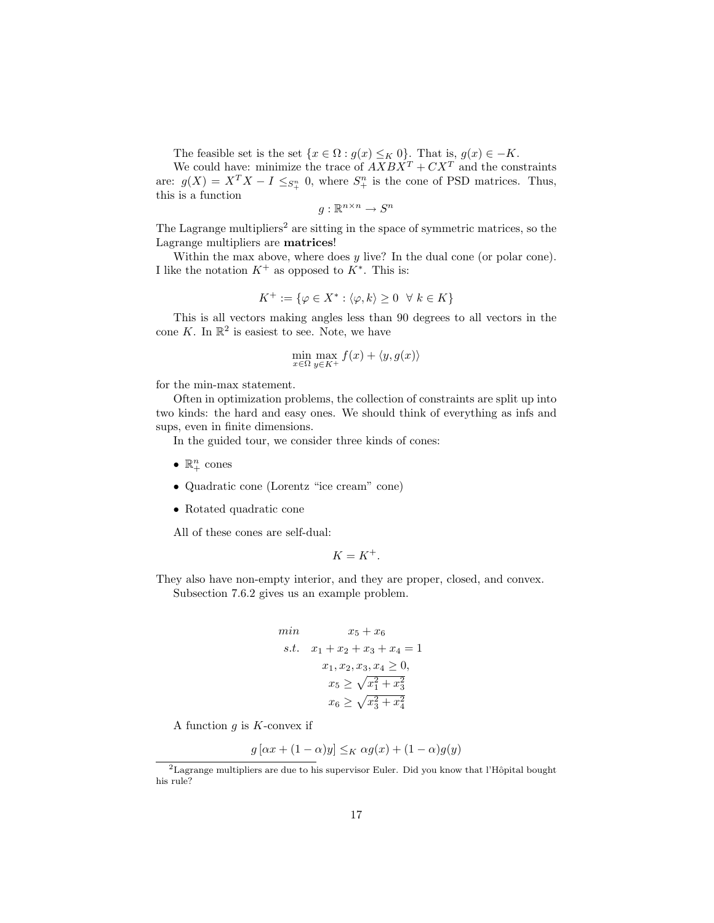The feasible set is the set  $\{x \in \Omega : g(x) \leq_K 0\}$ . That is,  $g(x) \in -K$ .

We could have: minimize the trace of  $AXBX^T + CX^T$  and the constraints are:  $g(X) = X^T X - I \leq_{S_+^n} 0$ , where  $S_+^n$  is the cone of PSD matrices. Thus, this is a function

 $g: \mathbb{R}^{n \times n} \to S^n$ 

The Lagrange multipliers<sup>2</sup> are sitting in the space of symmetric matrices, so the Lagrange multipliers are matrices!

Within the max above, where does  $y$  live? In the dual cone (or polar cone). I like the notation  $K^+$  as opposed to  $K^*$ . This is:

$$
K^+ := \{ \varphi \in X^* : \langle \varphi, k \rangle \ge 0 \ \ \forall \ k \in K \}
$$

This is all vectors making angles less than 90 degrees to all vectors in the cone K. In  $\mathbb{R}^2$  is easiest to see. Note, we have

$$
\min_{x \in \Omega} \max_{y \in K^+} f(x) + \langle y, g(x) \rangle
$$

for the min-max statement.

Often in optimization problems, the collection of constraints are split up into two kinds: the hard and easy ones. We should think of everything as infs and sups, even in finite dimensions.

In the guided tour, we consider three kinds of cones:

- $\mathbb{R}^n_+$  cones
- Quadratic cone (Lorentz "ice cream" cone)
- Rotated quadratic cone

All of these cones are self-dual:

$$
K=K^+.
$$

They also have non-empty interior, and they are proper, closed, and convex. Subsection 7.6.2 gives us an example problem.

min 
$$
x_5 + x_6
$$
  
\ns.t.  $x_1 + x_2 + x_3 + x_4 = 1$   
\n $x_1, x_2, x_3, x_4 \ge 0$ ,  
\n $x_5 \ge \sqrt{x_1^2 + x_3^2}$   
\n $x_6 \ge \sqrt{x_3^2 + x_4^2}$ 

A function  $g$  is  $K$ -convex if

$$
g [\alpha x + (1 - \alpha)y] \leq_K \alpha g(x) + (1 - \alpha)g(y)
$$

 $\overline{P_{\text{Lagrange}}$  multipliers are due to his supervisor Euler. Did you know that l'Hôpital bought his rule?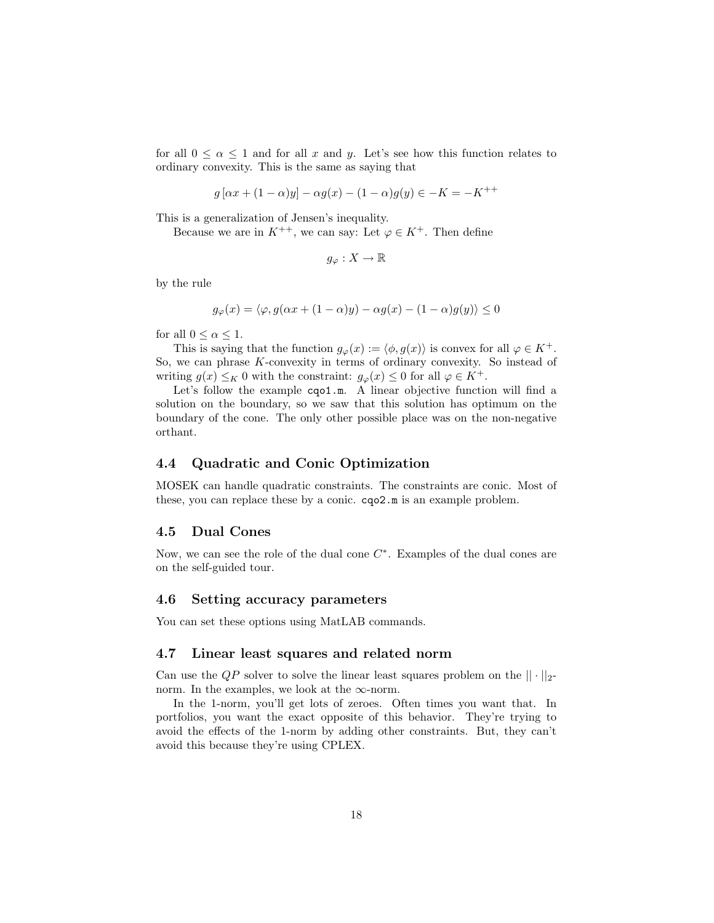for all  $0 \le \alpha \le 1$  and for all x and y. Let's see how this function relates to ordinary convexity. This is the same as saying that

$$
g[\alpha x + (1 - \alpha)y] - \alpha g(x) - (1 - \alpha)g(y) \in -K = -K^{++}
$$

This is a generalization of Jensen's inequality.

Because we are in  $K^{++}$ , we can say: Let  $\varphi \in K^+$ . Then define

$$
g_{\varphi}: X \to \mathbb{R}
$$

by the rule

$$
g_{\varphi}(x) = \langle \varphi, g(\alpha x + (1 - \alpha)y) - \alpha g(x) - (1 - \alpha)g(y) \rangle \le 0
$$

for all  $0 < \alpha < 1$ .

This is saying that the function  $g_{\varphi}(x) := \langle \phi, g(x) \rangle$  is convex for all  $\varphi \in K^+$ . So, we can phrase K-convexity in terms of ordinary convexity. So instead of writing  $g(x) \leq_K 0$  with the constraint:  $g_{\varphi}(x) \leq 0$  for all  $\varphi \in K^+$ .

Let's follow the example cqo1.m. A linear objective function will find a solution on the boundary, so we saw that this solution has optimum on the boundary of the cone. The only other possible place was on the non-negative orthant.

#### 4.4 Quadratic and Conic Optimization

MOSEK can handle quadratic constraints. The constraints are conic. Most of these, you can replace these by a conic. cqo2.m is an example problem.

#### 4.5 Dual Cones

Now, we can see the role of the dual cone  $C^*$ . Examples of the dual cones are on the self-guided tour.

#### 4.6 Setting accuracy parameters

You can set these options using MatLAB commands.

#### 4.7 Linear least squares and related norm

Can use the  $QP$  solver to solve the linear least squares problem on the  $|| \cdot ||_2$ norm. In the examples, we look at the  $\infty$ -norm.

In the 1-norm, you'll get lots of zeroes. Often times you want that. In portfolios, you want the exact opposite of this behavior. They're trying to avoid the effects of the 1-norm by adding other constraints. But, they can't avoid this because they're using CPLEX.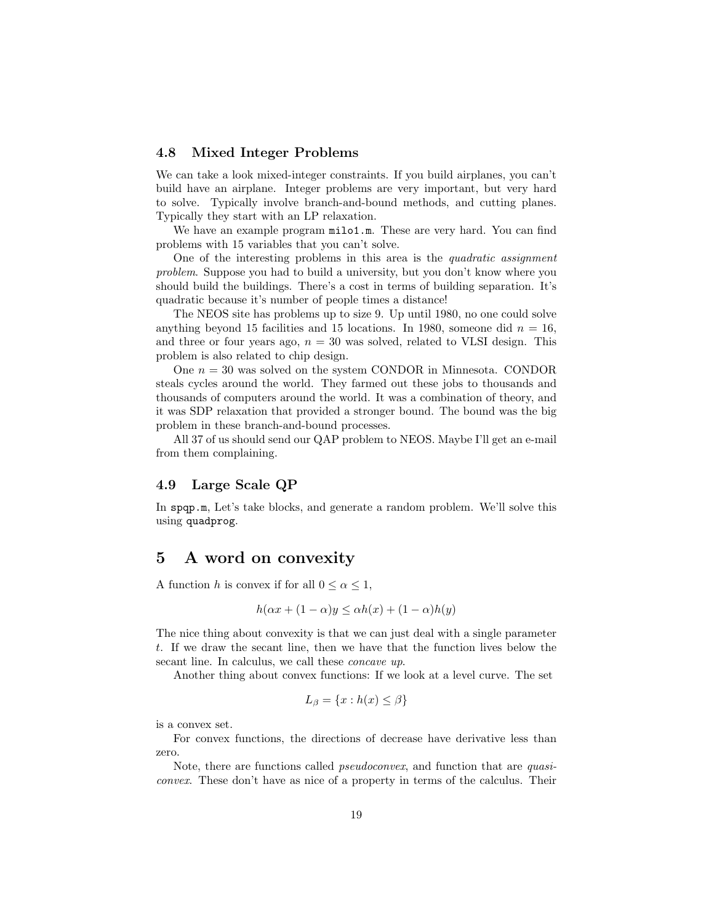#### 4.8 Mixed Integer Problems

We can take a look mixed-integer constraints. If you build airplanes, you can't build have an airplane. Integer problems are very important, but very hard to solve. Typically involve branch-and-bound methods, and cutting planes. Typically they start with an LP relaxation.

We have an example program  $\text{milo1.m.}$  These are very hard. You can find problems with 15 variables that you can't solve.

One of the interesting problems in this area is the quadratic assignment problem. Suppose you had to build a university, but you don't know where you should build the buildings. There's a cost in terms of building separation. It's quadratic because it's number of people times a distance!

The NEOS site has problems up to size 9. Up until 1980, no one could solve anything beyond 15 facilities and 15 locations. In 1980, someone did  $n = 16$ , and three or four years ago,  $n = 30$  was solved, related to VLSI design. This problem is also related to chip design.

One  $n = 30$  was solved on the system CONDOR in Minnesota. CONDOR steals cycles around the world. They farmed out these jobs to thousands and thousands of computers around the world. It was a combination of theory, and it was SDP relaxation that provided a stronger bound. The bound was the big problem in these branch-and-bound processes.

All 37 of us should send our QAP problem to NEOS. Maybe I'll get an e-mail from them complaining.

#### 4.9 Large Scale QP

In spqp.m, Let's take blocks, and generate a random problem. We'll solve this using quadprog.

# 5 A word on convexity

A function h is convex if for all  $0 \leq \alpha \leq 1$ ,

$$
h(\alpha x + (1 - \alpha)y \le \alpha h(x) + (1 - \alpha)h(y)
$$

The nice thing about convexity is that we can just deal with a single parameter t. If we draw the secant line, then we have that the function lives below the secant line. In calculus, we call these *concave up*.

Another thing about convex functions: If we look at a level curve. The set

$$
L_{\beta} = \{x : h(x) \le \beta\}
$$

is a convex set.

For convex functions, the directions of decrease have derivative less than zero.

Note, there are functions called *pseudoconvex*, and function that are *quasi*convex. These don't have as nice of a property in terms of the calculus. Their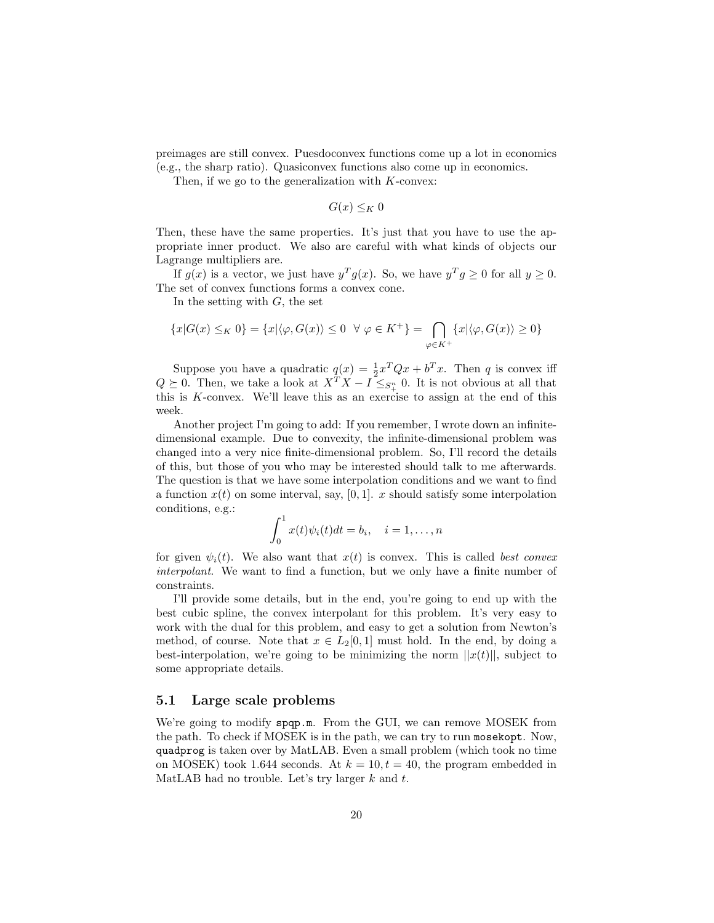preimages are still convex. Puesdoconvex functions come up a lot in economics (e.g., the sharp ratio). Quasiconvex functions also come up in economics.

Then, if we go to the generalization with  $K$ -convex:

 $G(x) \leq K$  0

Then, these have the same properties. It's just that you have to use the appropriate inner product. We also are careful with what kinds of objects our Lagrange multipliers are.

If  $g(x)$  is a vector, we just have  $y^T g(x)$ . So, we have  $y^T g \ge 0$  for all  $y \ge 0$ . The set of convex functions forms a convex cone.

In the setting with  $G$ , the set

$$
\{x|G(x) \leq_K 0\} = \{x|\langle \varphi, G(x) \rangle \leq 0 \quad \forall \ \varphi \in K^+\} = \bigcap_{\varphi \in K^+} \{x|\langle \varphi, G(x) \rangle \geq 0\}
$$

Suppose you have a quadratic  $q(x) = \frac{1}{2}x^TQx + b^Tx$ . Then q is convex iff  $Q \succeq 0$ . Then, we take a look at  $X^T X - I \leq_{S_+^T} 0$ . It is not obvious at all that this is K-convex. We'll leave this as an exercise to assign at the end of this week.

Another project I'm going to add: If you remember, I wrote down an infinitedimensional example. Due to convexity, the infinite-dimensional problem was changed into a very nice finite-dimensional problem. So, I'll record the details of this, but those of you who may be interested should talk to me afterwards. The question is that we have some interpolation conditions and we want to find a function  $x(t)$  on some interval, say, [0, 1]. x should satisfy some interpolation conditions, e.g.:

$$
\int_0^1 x(t)\psi_i(t)dt = b_i, \quad i = 1, \dots, n
$$

for given  $\psi_i(t)$ . We also want that  $x(t)$  is convex. This is called best convex interpolant. We want to find a function, but we only have a finite number of constraints.

I'll provide some details, but in the end, you're going to end up with the best cubic spline, the convex interpolant for this problem. It's very easy to work with the dual for this problem, and easy to get a solution from Newton's method, of course. Note that  $x \in L_2[0,1]$  must hold. In the end, by doing a best-interpolation, we're going to be minimizing the norm  $||x(t)||$ , subject to some appropriate details.

#### 5.1 Large scale problems

We're going to modify spqp.m. From the GUI, we can remove MOSEK from the path. To check if MOSEK is in the path, we can try to run mosekopt. Now, quadprog is taken over by MatLAB. Even a small problem (which took no time on MOSEK) took 1.644 seconds. At  $k = 10, t = 40$ , the program embedded in MatLAB had no trouble. Let's try larger  $k$  and  $t$ .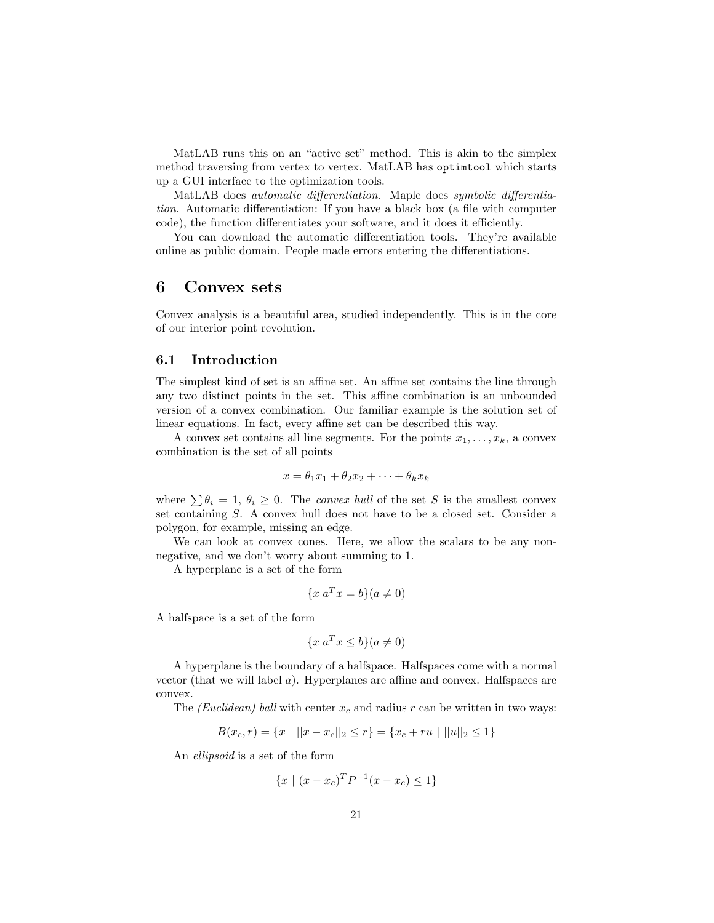MatLAB runs this on an "active set" method. This is akin to the simplex method traversing from vertex to vertex. MatLAB has optimtool which starts up a GUI interface to the optimization tools.

MatLAB does automatic differentiation. Maple does symbolic differentiation. Automatic differentiation: If you have a black box (a file with computer code), the function differentiates your software, and it does it efficiently.

You can download the automatic differentiation tools. They're available online as public domain. People made errors entering the differentiations.

# 6 Convex sets

Convex analysis is a beautiful area, studied independently. This is in the core of our interior point revolution.

#### 6.1 Introduction

The simplest kind of set is an affine set. An affine set contains the line through any two distinct points in the set. This affine combination is an unbounded version of a convex combination. Our familiar example is the solution set of linear equations. In fact, every affine set can be described this way.

A convex set contains all line segments. For the points  $x_1, \ldots, x_k$ , a convex combination is the set of all points

$$
x = \theta_1 x_1 + \theta_2 x_2 + \dots + \theta_k x_k
$$

where  $\sum \theta_i = 1, \theta_i \geq 0$ . The convex hull of the set S is the smallest convex set containing S. A convex hull does not have to be a closed set. Consider a polygon, for example, missing an edge.

We can look at convex cones. Here, we allow the scalars to be any nonnegative, and we don't worry about summing to 1.

A hyperplane is a set of the form

$$
\{x|a^T x = b\}(a \neq 0)
$$

A halfspace is a set of the form

$$
\{x|a^T x \le b\}(a \ne 0)
$$

A hyperplane is the boundary of a halfspace. Halfspaces come with a normal vector (that we will label  $a$ ). Hyperplanes are affine and convex. Halfspaces are convex.

The *(Euclidean)* ball with center  $x_c$  and radius r can be written in two ways:

$$
B(x_c, r) = \{x \mid ||x - x_c||_2 \le r\} = \{x_c + ru \mid ||u||_2 \le 1\}
$$

An ellipsoid is a set of the form

$$
\{x \mid (x - x_c)^T P^{-1} (x - x_c) \le 1\}
$$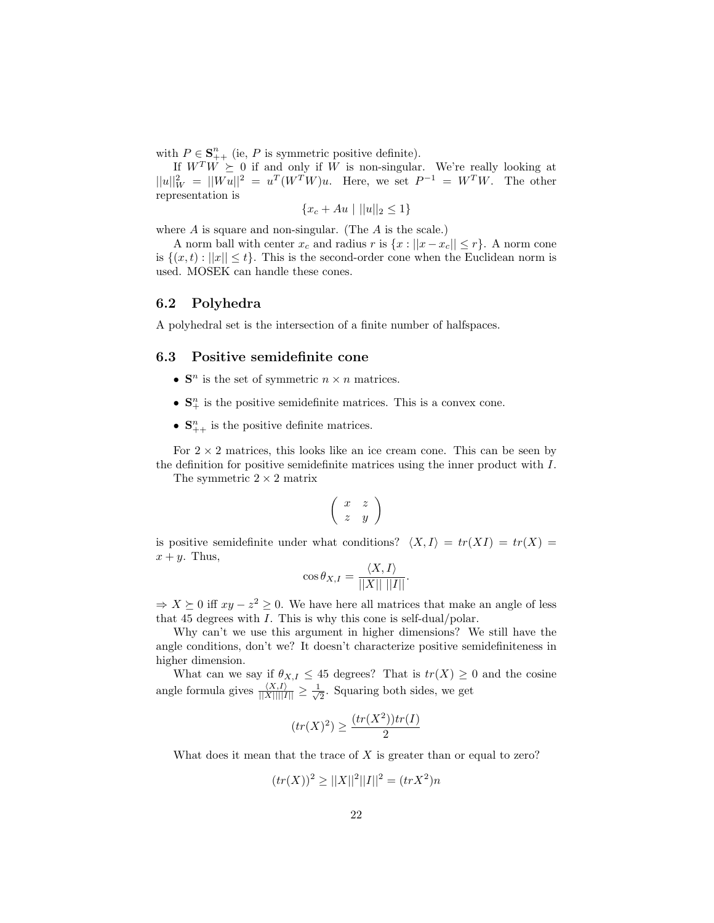with  $P \in \mathbf{S}_{++}^n$  (ie, P is symmetric positive definite).

If  $W^T W \succeq 0$  if and only if W is non-singular. We're really looking at  $||u||_W^2 = ||Wu||^2 = u^T(W^TW)u$ . Here, we set  $P^{-1} = W^TW$ . The other representation is

$$
\{x_c + Au \mid ||u||_2 \le 1\}
$$

where  $A$  is square and non-singular. (The  $A$  is the scale.)

A norm ball with center  $x_c$  and radius r is  $\{x : ||x - x_c|| \le r\}$ . A norm cone is  $\{(x, t) : ||x|| \le t\}$ . This is the second-order cone when the Euclidean norm is used. MOSEK can handle these cones.

#### 6.2 Polyhedra

A polyhedral set is the intersection of a finite number of halfspaces.

#### 6.3 Positive semidefinite cone

- $S<sup>n</sup>$  is the set of symmetric  $n \times n$  matrices.
- $\bullet \ \mathbf{S}^n_+$  is the positive semidefinite matrices. This is a convex cone.
- $S_{++}^n$  is the positive definite matrices.

For  $2 \times 2$  matrices, this looks like an ice cream cone. This can be seen by the definition for positive semidefinite matrices using the inner product with I.

The symmetric  $2 \times 2$  matrix

$$
\left(\begin{array}{cc} x & z \\ z & y \end{array}\right)
$$

is positive semidefinite under what conditions?  $\langle X, I \rangle = tr(XI) = tr(X)$  $x + y$ . Thus,

$$
\cos \theta_{X,I} = \frac{\langle X, I \rangle}{||X|| \, ||I||}.
$$

 $\Rightarrow X \succeq 0$  iff  $xy - z^2 \geq 0$ . We have here all matrices that make an angle of less that 45 degrees with I. This is why this cone is self-dual/polar.

Why can't we use this argument in higher dimensions? We still have the angle conditions, don't we? It doesn't characterize positive semidefiniteness in higher dimension.

What can we say if  $\theta_{X,I} \leq 45$  degrees? That is  $tr(X) \geq 0$  and the cosine angle formula gives  $\frac{\langle X,I \rangle}{\|X\| \|I\|} \geq \frac{1}{\sqrt{2}}$  $\frac{1}{2}$ . Squaring both sides, we get

$$
(tr(X)^2) \ge \frac{(tr(X^2))tr(I)}{2}
$$

What does it mean that the trace of  $X$  is greater than or equal to zero?

$$
(tr(X))^{2} \ge ||X||^{2}||I||^{2} = (trX^{2})n
$$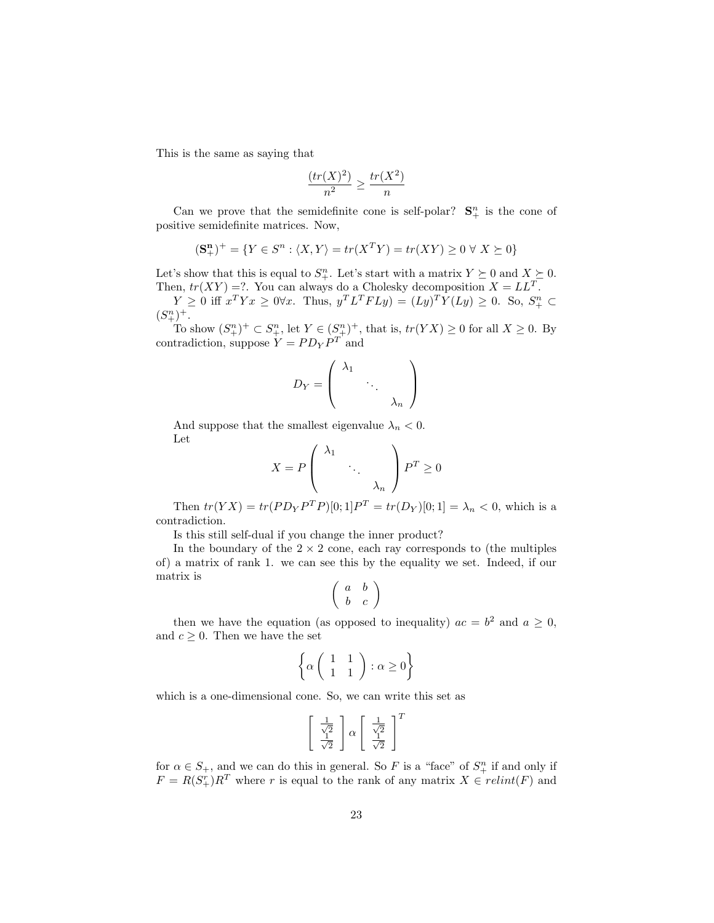This is the same as saying that

$$
\frac{(tr(X)^2)}{n^2} \ge \frac{tr(X^2)}{n}
$$

Can we prove that the semidefinite cone is self-polar?  $S_{+}^{n}$  is the cone of positive semidefinite matrices. Now,

$$
(\mathbf{S}_{+}^{n})^{+} = \{ Y \in S^{n} : \langle X, Y \rangle = tr(X^{T}Y) = tr(XY) \ge 0 \,\forall \, X \succeq 0 \}
$$

Let's show that this is equal to  $S^n_+$ . Let's start with a matrix  $Y \succeq 0$  and  $X \succeq 0$ . Then,  $tr(XY) = ?$ . You can always do a Cholesky decomposition  $X = LL^T$ .

 $Y \geq 0$  iff  $x^T Y x \geq 0 \forall x$ . Thus,  $y^T L^T F L y = (Ly)^T Y (Ly) \geq 0$ . So,  $S^n_+ \subset$  $(S_+^n)^+$ .

To show  $(S_{+}^{n})^{+} \subset S_{+}^{n}$ , let  $Y \in (S_{+}^{n})^{+}$ , that is,  $tr(YX) \geq 0$  for all  $X \geq 0$ . By contradiction, suppose  $Y = PD<sub>Y</sub>P<sup>T</sup>$  and

$$
D_Y = \left(\begin{array}{ccc} \lambda_1 & & \\ & \ddots & \\ & & \lambda_n \end{array}\right)
$$

And suppose that the smallest eigenvalue  $\lambda_n < 0$ . Let  $\sim$ 

$$
X = P \begin{pmatrix} \lambda_1 & & \\ & \ddots & \\ & & \lambda_n \end{pmatrix} P^T \ge 0
$$

Then  $tr(YX) = tr(PD_YP^TP)[0;1]P^T = tr(D_Y)[0;1] = \lambda_n < 0$ , which is a contradiction.

Is this still self-dual if you change the inner product?

In the boundary of the  $2 \times 2$  cone, each ray corresponds to (the multiples of) a matrix of rank 1. we can see this by the equality we set. Indeed, if our matrix is

$$
\left(\begin{array}{cc}a&b\\b&c\end{array}\right)
$$

then we have the equation (as opposed to inequality)  $ac = b^2$  and  $a \ge 0$ , and  $c \geq 0$ . Then we have the set

$$
\left\{ \alpha \left( \begin{array}{cc} 1 & 1 \\ 1 & 1 \end{array} \right) : \alpha \ge 0 \right\}
$$

which is a one-dimensional cone. So, we can write this set as

$$
\begin{bmatrix} \frac{1}{\sqrt{2}} \\ \frac{1}{\sqrt{2}} \end{bmatrix} \alpha \begin{bmatrix} \frac{1}{\sqrt{2}} \\ \frac{1}{\sqrt{2}} \end{bmatrix}^T
$$

for  $\alpha \in S_+$ , and we can do this in general. So F is a "face" of  $S_+^n$  if and only if  $F = R(S_{+}^{r})R^{T}$  where r is equal to the rank of any matrix  $X \in relint(F)$  and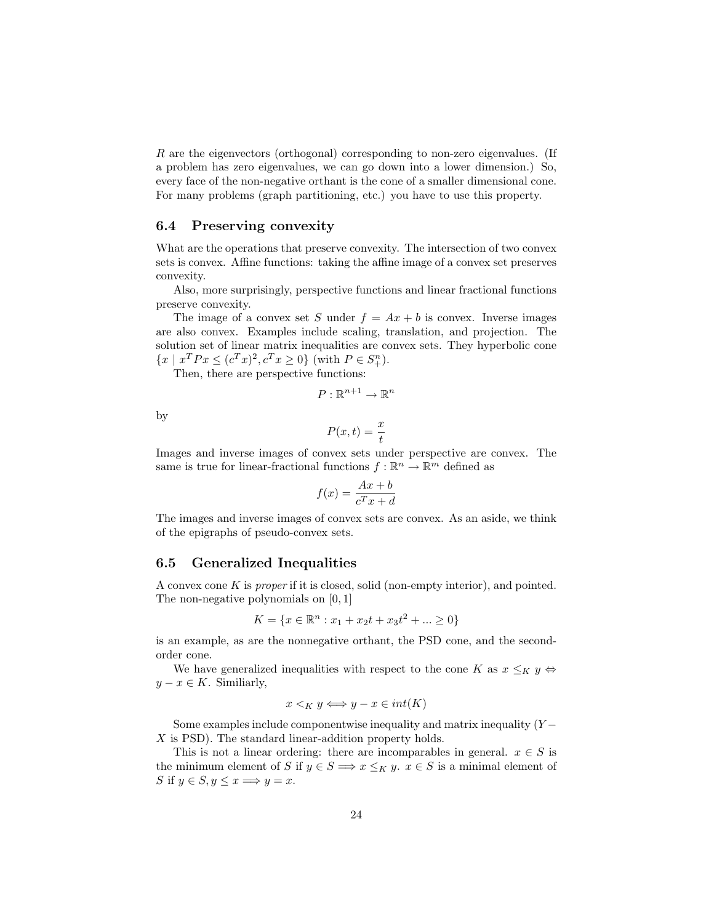R are the eigenvectors (orthogonal) corresponding to non-zero eigenvalues. (If a problem has zero eigenvalues, we can go down into a lower dimension.) So, every face of the non-negative orthant is the cone of a smaller dimensional cone. For many problems (graph partitioning, etc.) you have to use this property.

#### 6.4 Preserving convexity

What are the operations that preserve convexity. The intersection of two convex sets is convex. Affine functions: taking the affine image of a convex set preserves convexity.

Also, more surprisingly, perspective functions and linear fractional functions preserve convexity.

The image of a convex set S under  $f = Ax + b$  is convex. Inverse images are also convex. Examples include scaling, translation, and projection. The solution set of linear matrix inequalities are convex sets. They hyperbolic cone  ${x \mid x^T P x \le (c^T x)^2, c^T x \ge 0}$  (with  $P \in S_+^n$ ).

Then, there are perspective functions:

$$
P:\mathbb{R}^{n+1}\to\mathbb{R}^n
$$

by

$$
P(x,t) = \frac{x}{t}
$$

Images and inverse images of convex sets under perspective are convex. The same is true for linear-fractional functions  $f : \mathbb{R}^n \to \mathbb{R}^m$  defined as

$$
f(x) = \frac{Ax + b}{c^T x + d}
$$

The images and inverse images of convex sets are convex. As an aside, we think of the epigraphs of pseudo-convex sets.

#### 6.5 Generalized Inequalities

A convex cone K is proper if it is closed, solid (non-empty interior), and pointed. The non-negative polynomials on [0, 1]

$$
K = \{ x \in \mathbb{R}^n : x_1 + x_2t + x_3t^2 + \dots \ge 0 \}
$$

is an example, as are the nonnegative orthant, the PSD cone, and the secondorder cone.

We have generalized inequalities with respect to the cone K as  $x \leq_K y \Leftrightarrow$  $y - x \in K$ . Similiarly,

$$
x <_K y \Longleftrightarrow y - x \in int(K)
$$

Some examples include componentwise inequality and matrix inequality  $(Y X$  is PSD). The standard linear-addition property holds.

This is not a linear ordering: there are incomparables in general.  $x \in S$  is the minimum element of S if  $y \in S \implies x \leq_K y$ .  $x \in S$  is a minimal element of S if  $y \in S$ ,  $y \leq x \Longrightarrow y = x$ .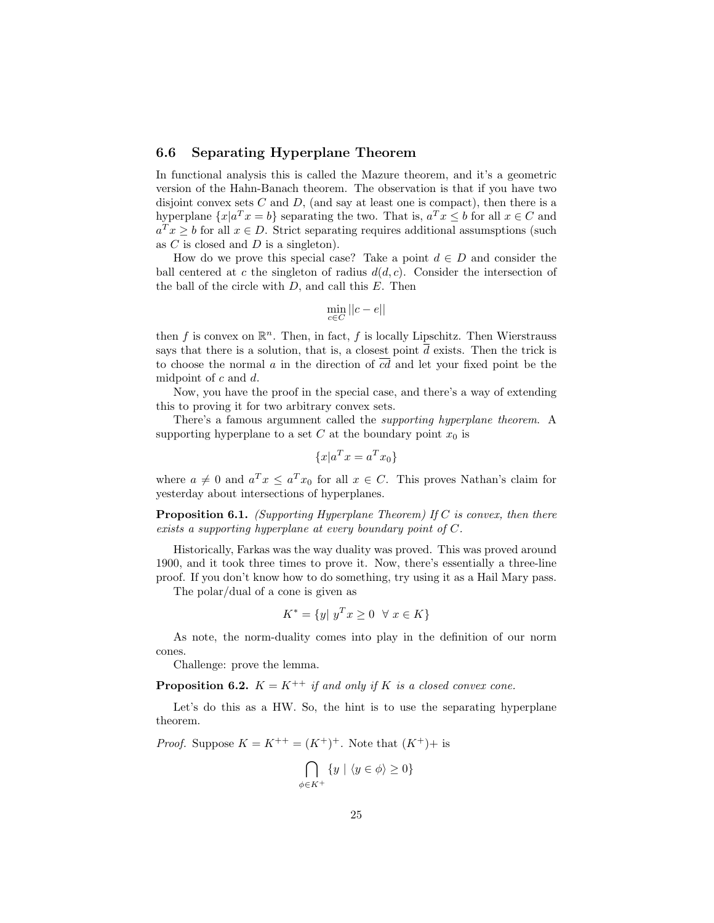## 6.6 Separating Hyperplane Theorem

In functional analysis this is called the Mazure theorem, and it's a geometric version of the Hahn-Banach theorem. The observation is that if you have two disjoint convex sets  $C$  and  $D$ , (and say at least one is compact), then there is a hyperplane  $\{x | a^T x = b\}$  separating the two. That is,  $a^T x \leq b$  for all  $x \in C$  and  $a^T x \geq b$  for all  $x \in D$ . Strict separating requires additional assumsptions (such as  $C$  is closed and  $D$  is a singleton).

How do we prove this special case? Take a point  $d \in D$  and consider the ball centered at c the singleton of radius  $d(d, c)$ . Consider the intersection of the ball of the circle with  $D$ , and call this  $E$ . Then

$$
\min_{c \in C} ||c - e||
$$

then f is convex on  $\mathbb{R}^n$ . Then, in fact, f is locally Lipschitz. Then Wierstrauss says that there is a solution, that is, a closest point  $\overline{d}$  exists. Then the trick is to choose the normal a in the direction of  $\overline{cd}$  and let your fixed point be the midpoint of c and d.

Now, you have the proof in the special case, and there's a way of extending this to proving it for two arbitrary convex sets.

There's a famous argumnent called the supporting hyperplane theorem. A supporting hyperplane to a set C at the boundary point  $x_0$  is

$$
\{x|a^T x = a^T x_0\}
$$

where  $a \neq 0$  and  $a^T x \leq a^T x_0$  for all  $x \in C$ . This proves Nathan's claim for yesterday about intersections of hyperplanes.

**Proposition 6.1.** (Supporting Hyperplane Theorem) If C is convex, then there exists a supporting hyperplane at every boundary point of C.

Historically, Farkas was the way duality was proved. This was proved around 1900, and it took three times to prove it. Now, there's essentially a three-line proof. If you don't know how to do something, try using it as a Hail Mary pass.

The polar/dual of a cone is given as

$$
K^* = \{ y | y^T x \ge 0 \quad \forall \ x \in K \}
$$

As note, the norm-duality comes into play in the definition of our norm cones.

Challenge: prove the lemma.

**Proposition 6.2.**  $K = K^{++}$  if and only if K is a closed convex cone.

Let's do this as a HW. So, the hint is to use the separating hyperplane theorem.

*Proof.* Suppose  $K = K^{++} = (K^+)^+$ . Note that  $(K^+)$  is

$$
\bigcap_{\phi \in K^+} \{ y \mid \langle y \in \phi \rangle \ge 0 \}
$$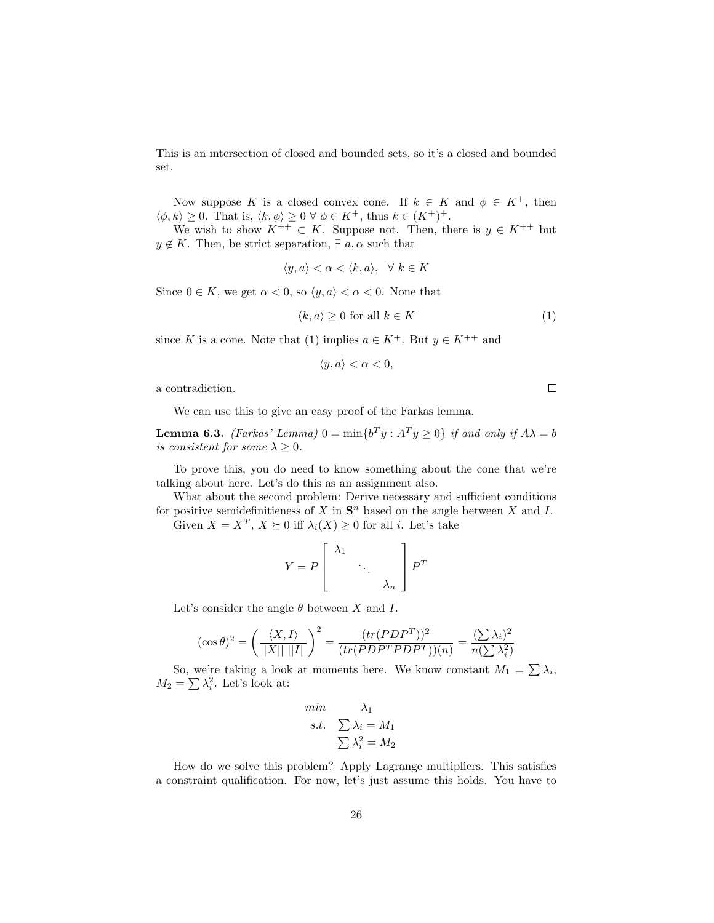This is an intersection of closed and bounded sets, so it's a closed and bounded set.

Now suppose K is a closed convex cone. If  $k \in K$  and  $\phi \in K^+$ , then  $\langle \phi, k \rangle \geq 0$ . That is,  $\langle k, \phi \rangle \geq 0 \ \forall \ \phi \in K^+$ , thus  $k \in (K^+)^+$ .

We wish to show  $K^{++} \subset K$ . Suppose not. Then, there is  $y \in K^{++}$  but  $y \notin K$ . Then, be strict separation,  $\exists a, \alpha$  such that

$$
\langle y, a \rangle < \alpha < \langle k, a \rangle, \quad \forall \ k \in K
$$

Since  $0 \in K$ , we get  $\alpha < 0$ , so  $\langle y, a \rangle < \alpha < 0$ . None that

$$
\langle k, a \rangle \ge 0 \text{ for all } k \in K \tag{1}
$$

since K is a cone. Note that (1) implies  $a \in K^+$ . But  $y \in K^{++}$  and

$$
\langle y, a \rangle < \alpha < 0
$$

a contradiction.

We can use this to give an easy proof of the Farkas lemma.

**Lemma 6.3.** (Farkas' Lemma)  $0 = \min\{b^T y : A^T y \ge 0\}$  if and only if  $A\lambda = b$ is consistent for some  $\lambda \geq 0$ .

To prove this, you do need to know something about the cone that we're talking about here. Let's do this as an assignment also.

What about the second problem: Derive necessary and sufficient conditions for positive semidefinitieness of X in  $S<sup>n</sup>$  based on the angle between X and I. Given  $X = X^T$ ,  $X \succeq 0$  iff  $\lambda_i(X) \geq 0$  for all *i*. Let's take

$$
Y = P \left[ \begin{array}{ccc} \lambda_1 & & \\ & \ddots & \\ & & \lambda_n \end{array} \right] P^T
$$

Let's consider the angle  $\theta$  between X and I.

$$
(\cos \theta)^2 = \left(\frac{\langle X, I \rangle}{||X|| ||I||}\right)^2 = \frac{(tr(PDP^T))^2}{(tr(PDP^T P D P^T))(n)} = \frac{(\sum \lambda_i)^2}{n(\sum \lambda_i^2)}
$$

So, we're taking a look at moments here. We know constant  $M_1 = \sum \lambda_i$ ,  $M_2 = \sum \lambda_i^2$ . Let's look at:

$$
\begin{array}{ll}\nmin & \lambda_1\\ \ns.t. & \sum \lambda_i = M_1\\ & \sum \lambda_i^2 = M_2\n\end{array}
$$

How do we solve this problem? Apply Lagrange multipliers. This satisfies a constraint qualification. For now, let's just assume this holds. You have to

 $\Box$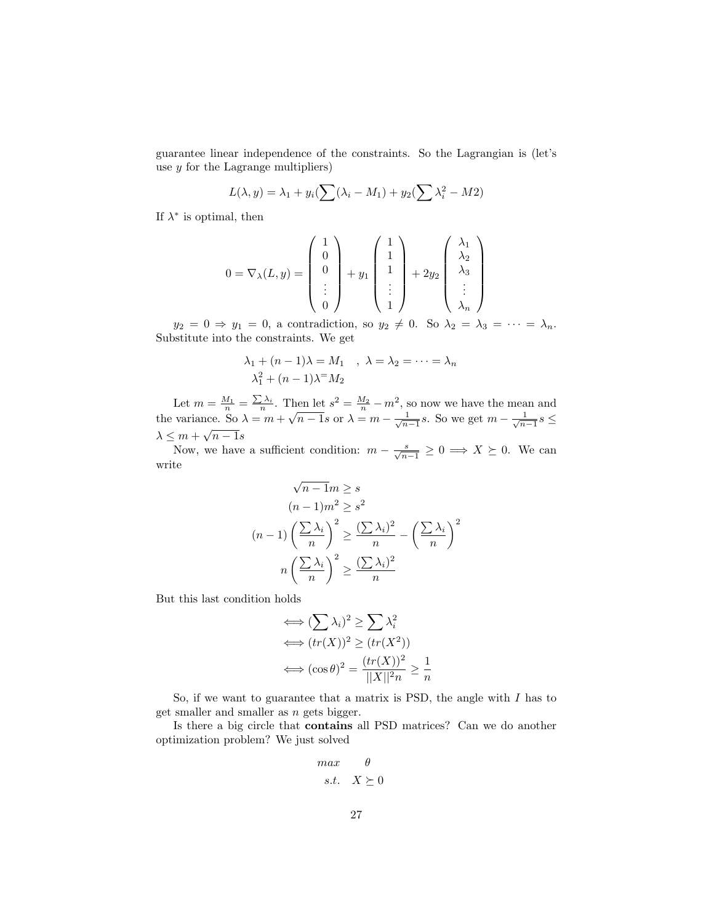guarantee linear independence of the constraints. So the Lagrangian is (let's use  $y$  for the Lagrange multipliers)

$$
L(\lambda, y) = \lambda_1 + y_i \left(\sum (\lambda_i - M_1) + y_2 \left(\sum \lambda_i^2 - M_2\right)\right)
$$

If  $\lambda^*$  is optimal, then

$$
0 = \nabla_{\lambda}(L, y) = \begin{pmatrix} 1 \\ 0 \\ 0 \\ \vdots \\ 0 \end{pmatrix} + y_1 \begin{pmatrix} 1 \\ 1 \\ 1 \\ \vdots \\ 1 \end{pmatrix} + 2y_2 \begin{pmatrix} \lambda_1 \\ \lambda_2 \\ \lambda_3 \\ \vdots \\ \lambda_n \end{pmatrix}
$$

 $y_2 = 0 \Rightarrow y_1 = 0$ , a contradiction, so  $y_2 \neq 0$ . So  $\lambda_2 = \lambda_3 = \cdots = \lambda_n$ . Substitute into the constraints. We get

$$
\lambda_1 + (n-1)\lambda = M_1 \quad , \ \lambda = \lambda_2 = \dots = \lambda_n
$$
  

$$
\lambda_1^2 + (n-1)\lambda = M_2
$$

Let  $m = \frac{M_1}{n} = \frac{\sum \lambda_i}{n}$ . Then let  $s^2 = \frac{M_2}{n} - m^2$ , so now we have the mean and Let  $m = \frac{m}{n} - \frac{m}{n}$ . Then let  $s = \frac{m}{n} - m$ , so how we have the mean and<br>the variance. So  $\lambda = m + \sqrt{n-1}s$  or  $\lambda = m - \frac{1}{\sqrt{n-1}}s$ . So we get  $m - \frac{1}{\sqrt{n-1}}s \le$  $\lambda \leq m + \sqrt{n-1}s$ 

Now, we have a sufficient condition:  $m - \frac{s}{\sqrt{n-1}} \geq 0 \implies X \succeq 0$ . We can write

$$
\sqrt{n-1}m \ge s
$$
  
(n-1) $m^2 \ge s^2$   
(n-1) $\left(\frac{\sum \lambda_i}{n}\right)^2 \ge \frac{(\sum \lambda_i)^2}{n} - \left(\frac{\sum \lambda_i}{n}\right)^2$   
 $n\left(\frac{\sum \lambda_i}{n}\right)^2 \ge \frac{(\sum \lambda_i)^2}{n}$ 

But this last condition holds

$$
\iff (\sum \lambda_i)^2 \ge \sum \lambda_i^2
$$
  

$$
\iff (tr(X))^2 \ge (tr(X^2))
$$
  

$$
\iff (\cos \theta)^2 = \frac{(tr(X))^2}{||X||^2 n} \ge \frac{1}{n}
$$

So, if we want to guarantee that a matrix is PSD, the angle with  $I$  has to get smaller and smaller as  $n$  gets bigger.

Is there a big circle that contains all PSD matrices? Can we do another optimization problem? We just solved

$$
\begin{array}{ll}\n\max & \theta \\
s.t. & X \geq 0\n\end{array}
$$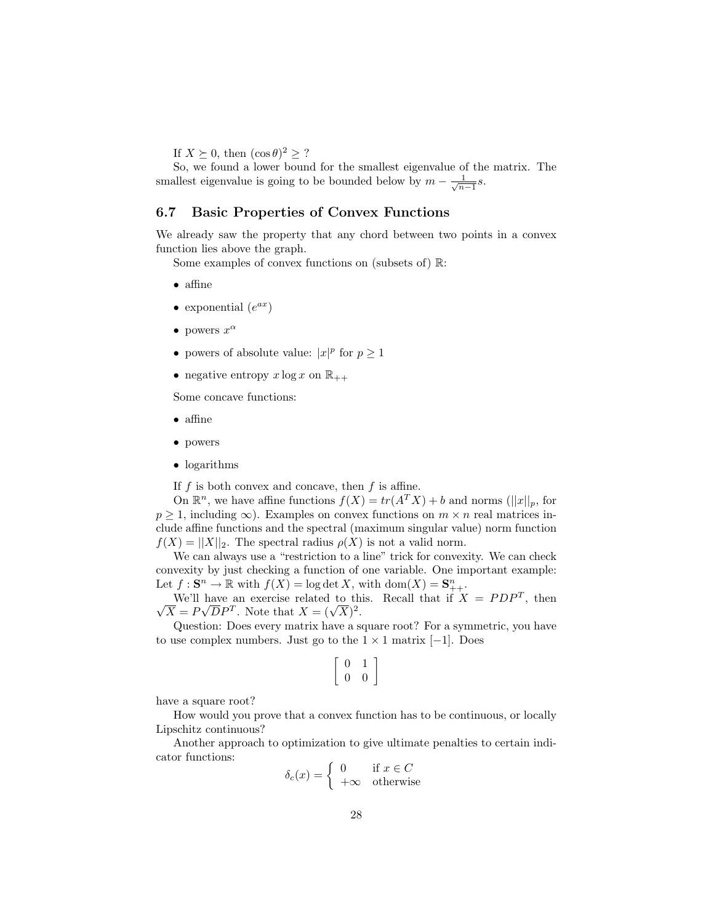If  $X \succeq 0$ , then  $(\cos \theta)^2 \geq ?$ 

So, we found a lower bound for the smallest eigenvalue of the matrix. The smallest eigenvalue is going to be bounded below by  $m - \frac{1}{\sqrt{n-1}}s$ .

#### 6.7 Basic Properties of Convex Functions

We already saw the property that any chord between two points in a convex function lies above the graph.

Some examples of convex functions on (subsets of) R:

- affine
- exponential  $(e^{ax})$
- powers  $x^{\alpha}$
- powers of absolute value:  $|x|^p$  for  $p \ge 1$
- negative entropy  $x \log x$  on  $\mathbb{R}_{++}$

Some concave functions:

- affine
- powers
- logarithms

If  $f$  is both convex and concave, then  $f$  is affine.

On  $\mathbb{R}^n$ , we have affine functions  $f(X) = tr(A^T X) + b$  and norms  $(||x||_p$ , for  $p \geq 1$ , including  $\infty$ ). Examples on convex functions on  $m \times n$  real matrices include affine functions and the spectral (maximum singular value) norm function  $f(X) = ||X||_2$ . The spectral radius  $\rho(X)$  is not a valid norm.

We can always use a "restriction to a line" trick for convexity. We can check convexity by just checking a function of one variable. One important example: Let  $f: \mathbf{S}^n \to \mathbb{R}$  with  $f(X) = \log \det X$ , with  $\text{dom}(X) = \mathbf{S}_{++}^n$ .

We'll have an exercise related to this. Recall that if  $X = PDP^T$ , then √ We'll have an exercise related to the  $\overline{X} = P\sqrt{D}P^T$ . Note that  $X = (\sqrt{X})^2$ .

Question: Does every matrix have a square root? For a symmetric, you have to use complex numbers. Just go to the  $1 \times 1$  matrix [−1]. Does

$$
\left[\begin{array}{cc} 0 & 1 \\ 0 & 0 \end{array}\right]
$$

have a square root?

How would you prove that a convex function has to be continuous, or locally Lipschitz continuous?

Another approach to optimization to give ultimate penalties to certain indicator functions:

$$
\delta_c(x) = \begin{cases} 0 & \text{if } x \in C \\ +\infty & \text{otherwise} \end{cases}
$$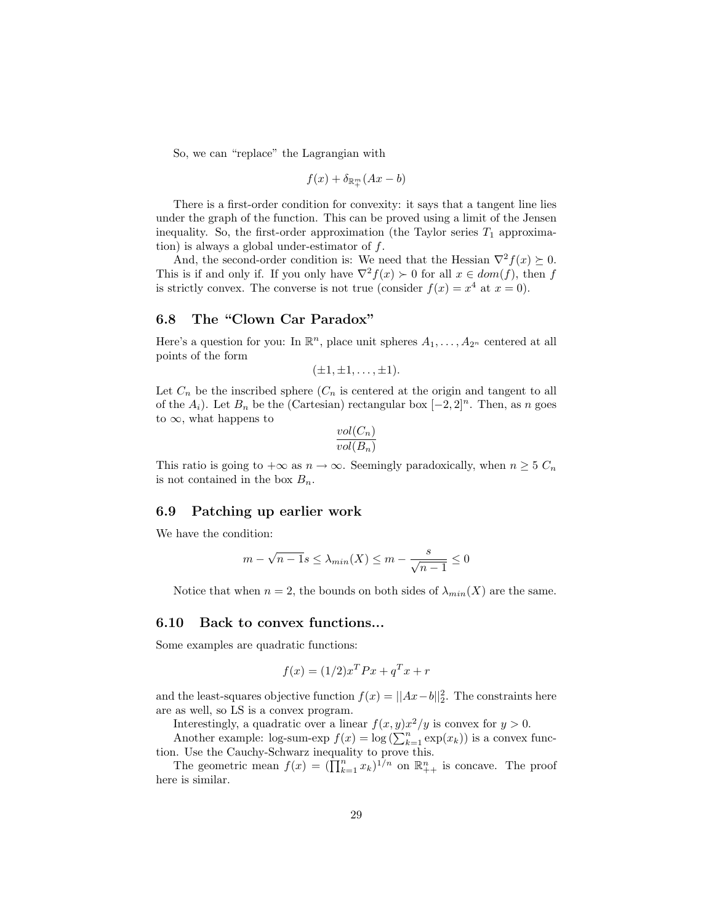So, we can "replace" the Lagrangian with

$$
f(x) + \delta_{\mathbb{R}^m_+}(Ax - b)
$$

There is a first-order condition for convexity: it says that a tangent line lies under the graph of the function. This can be proved using a limit of the Jensen inequality. So, the first-order approximation (the Taylor series  $T_1$  approximation) is always a global under-estimator of  $f$ .

And, the second-order condition is: We need that the Hessian  $\nabla^2 f(x) \succeq 0$ . This is if and only if. If you only have  $\nabla^2 f(x) \succ 0$  for all  $x \in dom(f)$ , then f is strictly convex. The converse is not true (consider  $f(x) = x^4$  at  $x = 0$ ).

# 6.8 The "Clown Car Paradox"

Here's a question for you: In  $\mathbb{R}^n$ , place unit spheres  $A_1, \ldots, A_{2^n}$  centered at all points of the form

$$
(\pm 1, \pm 1, \ldots, \pm 1).
$$

Let  $C_n$  be the inscribed sphere  $(C_n$  is centered at the origin and tangent to all of the  $A_i$ ). Let  $B_n$  be the (Cartesian) rectangular box  $[-2, 2]^n$ . Then, as n goes to  $\infty$ , what happens to

$$
\frac{vol(C_n)}{vol(B_n)}
$$

This ratio is going to  $+\infty$  as  $n \to \infty$ . Seemingly paradoxically, when  $n \geq 5$   $C_n$ is not contained in the box  $B_n$ .

#### 6.9 Patching up earlier work

We have the condition:

$$
m - \sqrt{n-1}s \le \lambda_{min}(X) \le m - \frac{s}{\sqrt{n-1}} \le 0
$$

Notice that when  $n = 2$ , the bounds on both sides of  $\lambda_{min}(X)$  are the same.

#### 6.10 Back to convex functions...

Some examples are quadratic functions:

$$
f(x) = (1/2)x^T P x + q^T x + r
$$

and the least-squares objective function  $f(x) = ||Ax-b||_2^2$ . The constraints here are as well, so LS is a convex program.

Interestingly, a quadratic over a linear  $f(x, y)x^2/y$  is convex for  $y > 0$ .

Another example: log-sum-exp  $f(x) = \log \left( \sum_{k=1}^{n} \exp(x_k) \right)$  is a convex function. Use the Cauchy-Schwarz inequality to prove this.

The geometric mean  $f(x) = (\prod_{k=1}^n x_k)^{1/n}$  on  $\mathbb{R}^n_{++}$  is concave. The proof here is similar.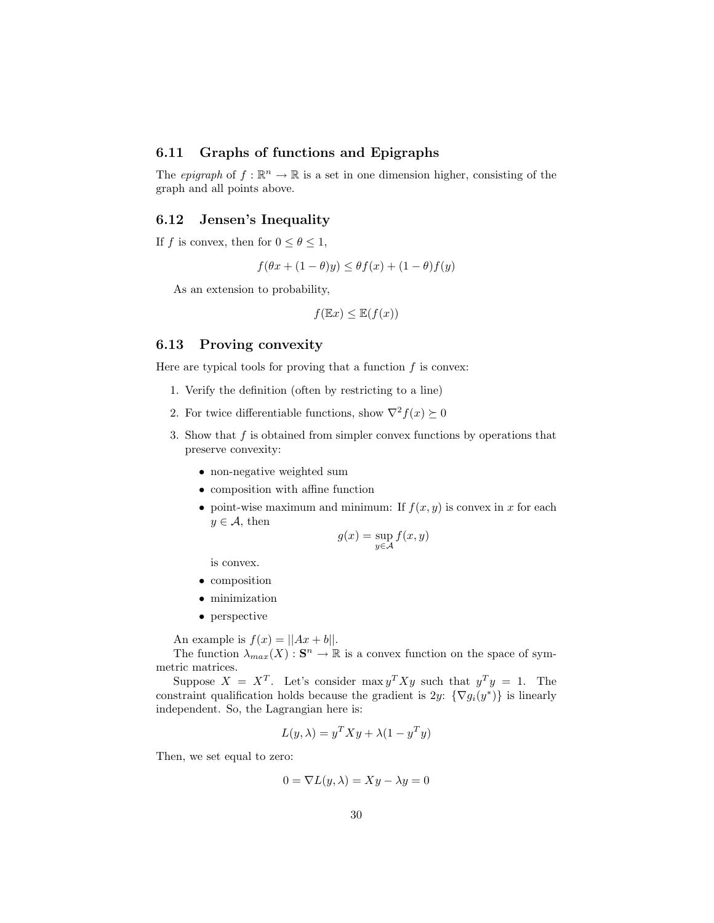# 6.11 Graphs of functions and Epigraphs

The *epigraph* of  $f : \mathbb{R}^n \to \mathbb{R}$  is a set in one dimension higher, consisting of the graph and all points above.

#### 6.12 Jensen's Inequality

If f is convex, then for  $0 \le \theta \le 1$ ,

$$
f(\theta x + (1 - \theta)y) \le \theta f(x) + (1 - \theta)f(y)
$$

As an extension to probability,

$$
f(\mathbb{E}x) \leq \mathbb{E}(f(x))
$$

#### 6.13 Proving convexity

Here are typical tools for proving that a function  $f$  is convex:

- 1. Verify the definition (often by restricting to a line)
- 2. For twice differentiable functions, show  $\nabla^2 f(x) \succeq 0$
- 3. Show that  $f$  is obtained from simpler convex functions by operations that preserve convexity:
	- non-negative weighted sum
	- composition with affine function
	- point-wise maximum and minimum: If  $f(x, y)$  is convex in x for each  $y \in \mathcal{A}$ , then

$$
g(x) = \sup_{y \in \mathcal{A}} f(x, y)
$$

is convex.

- composition
- minimization
- perspective

An example is  $f(x) = ||Ax + b||$ .

The function  $\lambda_{max}(X)$ :  $S^n \to \mathbb{R}$  is a convex function on the space of symmetric matrices.

Suppose  $X = X^T$ . Let's consider max  $y^T X y$  such that  $y^T y = 1$ . The constraint qualification holds because the gradient is  $2y$ :  $\{\nabla g_i(y^*)\}$  is linearly independent. So, the Lagrangian here is:

$$
L(y, \lambda) = y^T X y + \lambda (1 - y^T y)
$$

Then, we set equal to zero:

$$
0 = \nabla L(y, \lambda) = Xy - \lambda y = 0
$$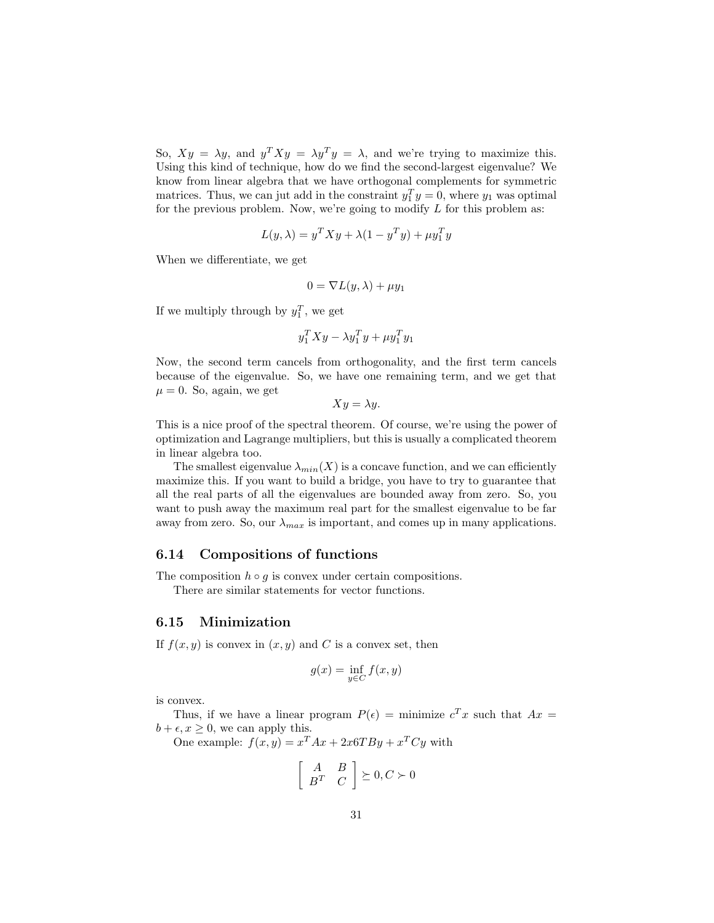So,  $Xy = \lambda y$ , and  $y^T X y = \lambda y^T y = \lambda$ , and we're trying to maximize this. Using this kind of technique, how do we find the second-largest eigenvalue? We know from linear algebra that we have orthogonal complements for symmetric matrices. Thus, we can jut add in the constraint  $y_1^T y = 0$ , where  $y_1$  was optimal for the previous problem. Now, we're going to modify  $L$  for this problem as:

$$
L(y, \lambda) = y^T X y + \lambda (1 - y^T y) + \mu y_1^T y
$$

When we differentiate, we get

$$
0 = \nabla L(y, \lambda) + \mu y_1
$$

If we multiply through by  $y_1^T$ , we get

$$
y_1^T X y - \lambda y_1^T y + \mu y_1^T y_1
$$

Now, the second term cancels from orthogonality, and the first term cancels because of the eigenvalue. So, we have one remaining term, and we get that  $\mu = 0$ . So, again, we get

$$
Xy = \lambda y.
$$

This is a nice proof of the spectral theorem. Of course, we're using the power of optimization and Lagrange multipliers, but this is usually a complicated theorem in linear algebra too.

The smallest eigenvalue  $\lambda_{min}(X)$  is a concave function, and we can efficiently maximize this. If you want to build a bridge, you have to try to guarantee that all the real parts of all the eigenvalues are bounded away from zero. So, you want to push away the maximum real part for the smallest eigenvalue to be far away from zero. So, our  $\lambda_{max}$  is important, and comes up in many applications.

#### 6.14 Compositions of functions

The composition  $h \circ g$  is convex under certain compositions.

There are similar statements for vector functions.

#### 6.15 Minimization

If  $f(x, y)$  is convex in  $(x, y)$  and C is a convex set, then

$$
g(x) = \inf_{y \in C} f(x, y)
$$

is convex.

Thus, if we have a linear program  $P(\epsilon) =$  minimize  $c^T x$  such that  $Ax =$  $b + \epsilon, x \geq 0$ , we can apply this.

One example: 
$$
f(x, y) = x^T A x + 2x 6T B y + x^T C y
$$
 with

$$
\left[\begin{array}{cc} A & B \\ B^T & C \end{array}\right] \succeq 0, C \succ 0
$$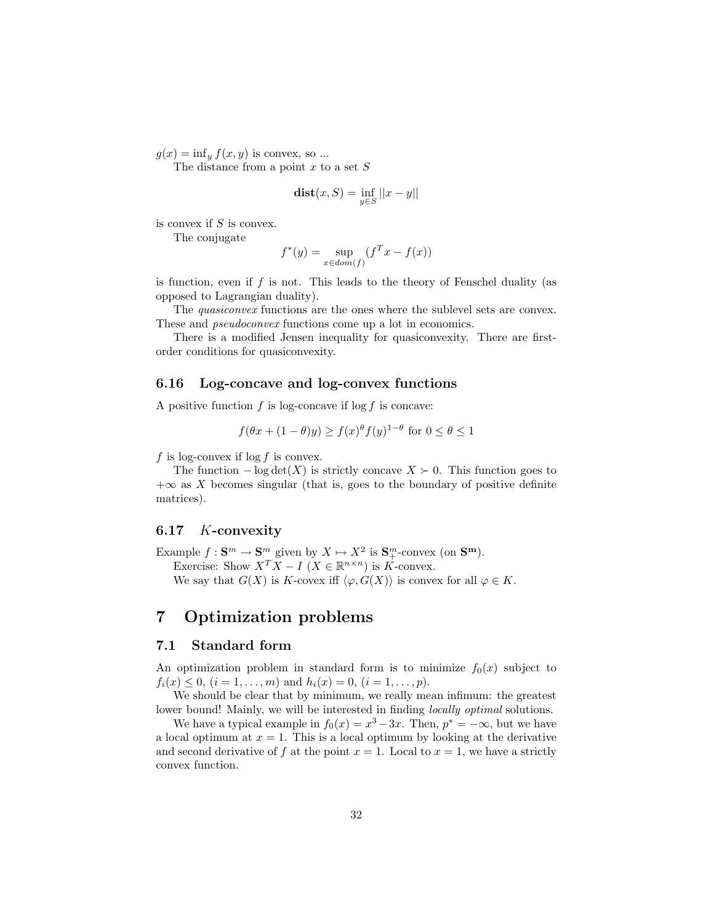$g(x) = \inf_y f(x, y)$  is convex, so ...

The distance from a point  $x$  to a set  $S$ 

$$
\mathbf{dist}(x, S) = \inf_{y \in S} ||x - y||
$$

is convex if  $S$  is convex.

The conjugate

$$
f^*(y) = \sup_{x \in dom(f)} (f^T x - f(x))
$$

is function, even if  $f$  is not. This leads to the theory of Fenschel duality (as opposed to Lagrangian duality).

The quasiconvex functions are the ones where the sublevel sets are convex. These and pseudoconvex functions come up a lot in economics.

There is a modified Jensen inequality for quasiconvexity. There are firstorder conditions for quasiconvexity.

# 6.16 Log-concave and log-convex functions

A positive function  $f$  is log-concave if log  $f$  is concave:

$$
f(\theta x + (1 - \theta)y) \ge f(x)^{\theta} f(y)^{1 - \theta} \text{ for } 0 \le \theta \le 1
$$

f is log-convex if  $\log f$  is convex.

The function  $-\log \det(X)$  is strictly concave  $X \succ 0$ . This function goes to  $+\infty$  as X becomes singular (that is, goes to the boundary of positive definite matrices).

#### 6.17 K-convexity

Example  $f: \mathbf{S}^m \to \mathbf{S}^m$  given by  $X \mapsto X^2$  is  $\mathbf{S}^m_+$ -convex (on  $\mathbf{S}^m$ ). Exercise: Show  $X^T X - I$  ( $X \in \mathbb{R}^{n \times n}$ ) is K-convex. We say that  $G(X)$  is K-covex iff  $\langle \varphi, G(X) \rangle$  is convex for all  $\varphi \in K$ .

# 7 Optimization problems

### 7.1 Standard form

An optimization problem in standard form is to minimize  $f_0(x)$  subject to  $f_i(x) \leq 0, i = 1, \ldots, m$  and  $h_i(x) = 0, i = 1, \ldots, p$ .

We should be clear that by minimum, we really mean infimum: the greatest lower bound! Mainly, we will be interested in finding *locally optimal* solutions.

We have a typical example in  $f_0(x) = x^3 - 3x$ . Then,  $p^* = -\infty$ , but we have a local optimum at  $x = 1$ . This is a local optimum by looking at the derivative and second derivative of f at the point  $x = 1$ . Local to  $x = 1$ , we have a strictly convex function.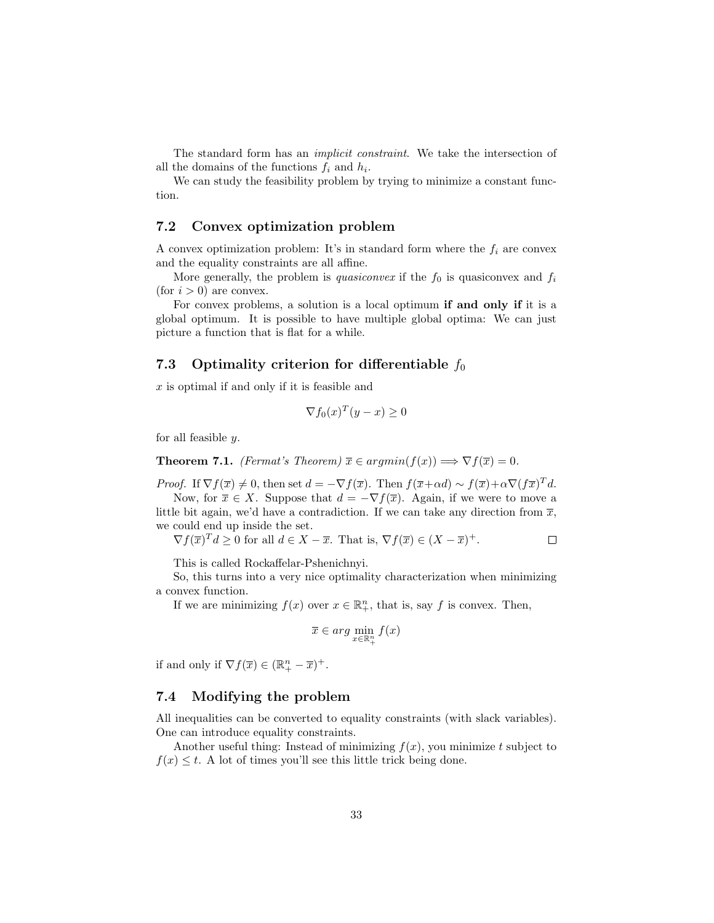The standard form has an implicit constraint. We take the intersection of all the domains of the functions  $f_i$  and  $h_i$ .

We can study the feasibility problem by trying to minimize a constant function.

## 7.2 Convex optimization problem

A convex optimization problem: It's in standard form where the  $f_i$  are convex and the equality constraints are all affine.

More generally, the problem is *quasiconvex* if the  $f_0$  is quasiconvex and  $f_i$ (for  $i > 0$ ) are convex.

For convex problems, a solution is a local optimum if and only if it is a global optimum. It is possible to have multiple global optima: We can just picture a function that is flat for a while.

# 7.3 Optimality criterion for differentiable  $f_0$

x is optimal if and only if it is feasible and

$$
\nabla f_0(x)^T (y - x) \ge 0
$$

for all feasible  $y$ .

**Theorem 7.1.** *(Fermat's Theorem)*  $\overline{x} \in argmin(f(x)) \Longrightarrow \nabla f(\overline{x}) = 0$ .

*Proof.* If  $\nabla f(\overline{x}) \neq 0$ , then set  $d = -\nabla f(\overline{x})$ . Then  $f(\overline{x} + \alpha d) \sim f(\overline{x}) + \alpha \nabla (f\overline{x})^T d$ .

Now, for  $\overline{x} \in X$ . Suppose that  $d = -\nabla f(\overline{x})$ . Again, if we were to move a little bit again, we'd have a contradiction. If we can take any direction from  $\overline{x}$ , we could end up inside the set.

$$
\nabla f(\overline{x})^T d \ge 0
$$
 for all  $d \in X - \overline{x}$ . That is,  $\nabla f(\overline{x}) \in (X - \overline{x})^+$ .

This is called Rockaffelar-Pshenichnyi.

So, this turns into a very nice optimality characterization when minimizing a convex function.

If we are minimizing  $f(x)$  over  $x \in \mathbb{R}^n_+$ , that is, say f is convex. Then,

$$
\overline{x} \in arg \min_{x \in \mathbb{R}^n_+} f(x)
$$

if and only if  $\nabla f(\overline{x}) \in (\mathbb{R}_+^n - \overline{x})^+$ .

#### 7.4 Modifying the problem

All inequalities can be converted to equality constraints (with slack variables). One can introduce equality constraints.

Another useful thing: Instead of minimizing  $f(x)$ , you minimize t subject to  $f(x) \leq t$ . A lot of times you'll see this little trick being done.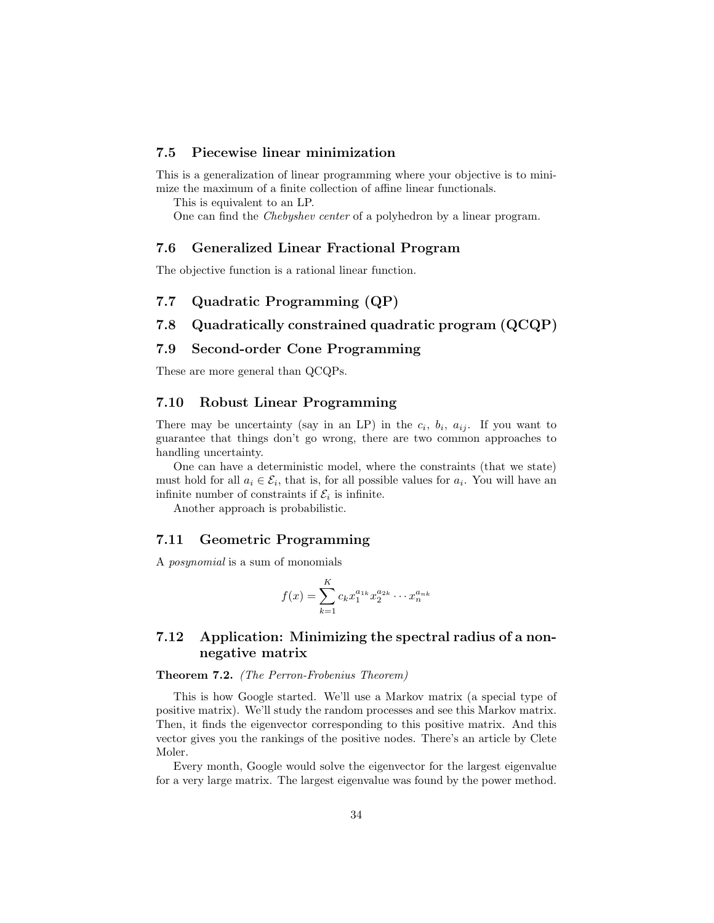## 7.5 Piecewise linear minimization

This is a generalization of linear programming where your objective is to minimize the maximum of a finite collection of affine linear functionals.

This is equivalent to an LP.

One can find the Chebyshev center of a polyhedron by a linear program.

#### 7.6 Generalized Linear Fractional Program

The objective function is a rational linear function.

# 7.7 Quadratic Programming (QP)

#### 7.8 Quadratically constrained quadratic program (QCQP)

### 7.9 Second-order Cone Programming

These are more general than QCQPs.

### 7.10 Robust Linear Programming

There may be uncertainty (say in an LP) in the  $c_i$ ,  $b_i$ ,  $a_{ij}$ . If you want to guarantee that things don't go wrong, there are two common approaches to handling uncertainty.

One can have a deterministic model, where the constraints (that we state) must hold for all  $a_i \in \mathcal{E}_i$ , that is, for all possible values for  $a_i$ . You will have an infinite number of constraints if  $\mathcal{E}_i$  is infinite.

Another approach is probabilistic.

#### 7.11 Geometric Programming

A posynomial is a sum of monomials

$$
f(x) = \sum_{k=1}^{K} c_k x_1^{a_{1k}} x_2^{a_{2k}} \cdots x_n^{a_{nk}}
$$

# 7.12 Application: Minimizing the spectral radius of a nonnegative matrix

# Theorem 7.2. (The Perron-Frobenius Theorem)

This is how Google started. We'll use a Markov matrix (a special type of positive matrix). We'll study the random processes and see this Markov matrix. Then, it finds the eigenvector corresponding to this positive matrix. And this vector gives you the rankings of the positive nodes. There's an article by Clete Moler.

Every month, Google would solve the eigenvector for the largest eigenvalue for a very large matrix. The largest eigenvalue was found by the power method.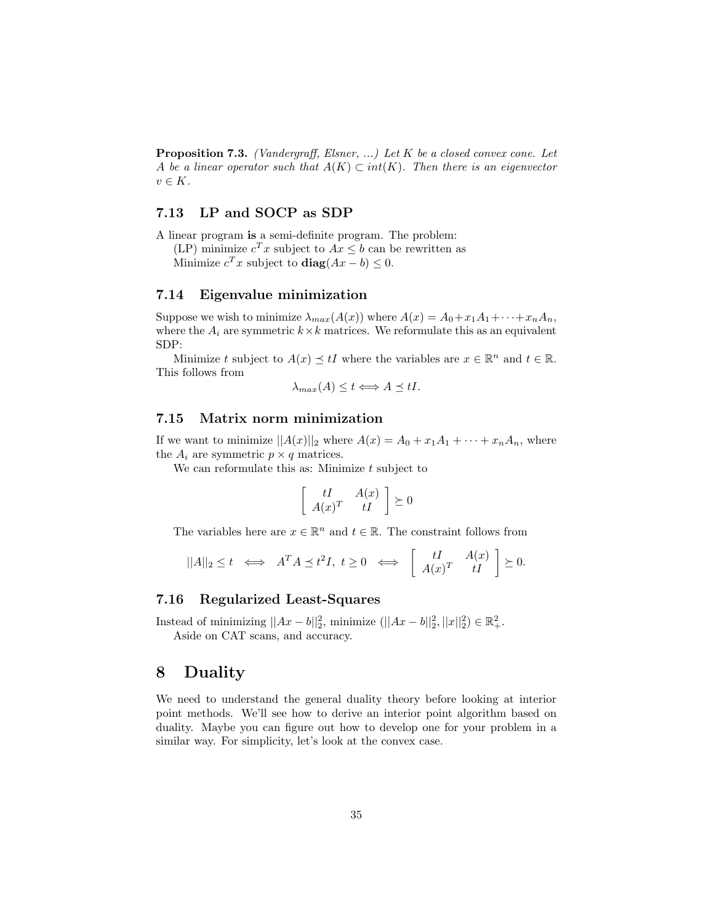Proposition 7.3. (Vandergraff, Elsner, ...) Let K be a closed convex cone. Let A be a linear operator such that  $A(K) \subset int(K)$ . Then there is an eigenvector  $v \in K$ .

# 7.13 LP and SOCP as SDP

A linear program is a semi-definite program. The problem:

(LP) minimize  $c^T x$  subject to  $Ax \leq b$  can be rewritten as

Minimize  $c^T x$  subject to  $diag(Ax - b) \leq 0$ .

# 7.14 Eigenvalue minimization

Suppose we wish to minimize  $\lambda_{max}(A(x))$  where  $A(x) = A_0 + x_1A_1 + \cdots + x_nA_n$ , where the  $A_i$  are symmetric  $k \times k$  matrices. We reformulate this as an equivalent SDP:

Minimize t subject to  $A(x) \preceq tI$  where the variables are  $x \in \mathbb{R}^n$  and  $t \in \mathbb{R}$ . This follows from

$$
\lambda_{max}(A) \leq t \Longleftrightarrow A \preceq tI.
$$

#### 7.15 Matrix norm minimization

If we want to minimize  $||A(x)||_2$  where  $A(x) = A_0 + x_1A_1 + \cdots + x_nA_n$ , where the  $A_i$  are symmetric  $p \times q$  matrices.

We can reformulate this as: Minimize  $t$  subject to

$$
\left[\begin{array}{cc} tI & A(x) \\ A(x)^T & tI \end{array}\right] \succeq 0
$$

The variables here are  $x \in \mathbb{R}^n$  and  $t \in \mathbb{R}$ . The constraint follows from

$$
||A||_2 \le t \iff A^T A \preceq t^2 I, \ t \ge 0 \iff \begin{bmatrix} tI & A(x) \\ A(x)^T & tI \end{bmatrix} \succeq 0.
$$

### 7.16 Regularized Least-Squares

Instead of minimizing  $||Ax - b||_2^2$ , minimize ( $||Ax - b||_2^2$ ,  $||x||_2^2$ ) ∈  $\mathbb{R}_+^2$ . Aside on CAT scans, and accuracy.

# 8 Duality

We need to understand the general duality theory before looking at interior point methods. We'll see how to derive an interior point algorithm based on duality. Maybe you can figure out how to develop one for your problem in a similar way. For simplicity, let's look at the convex case.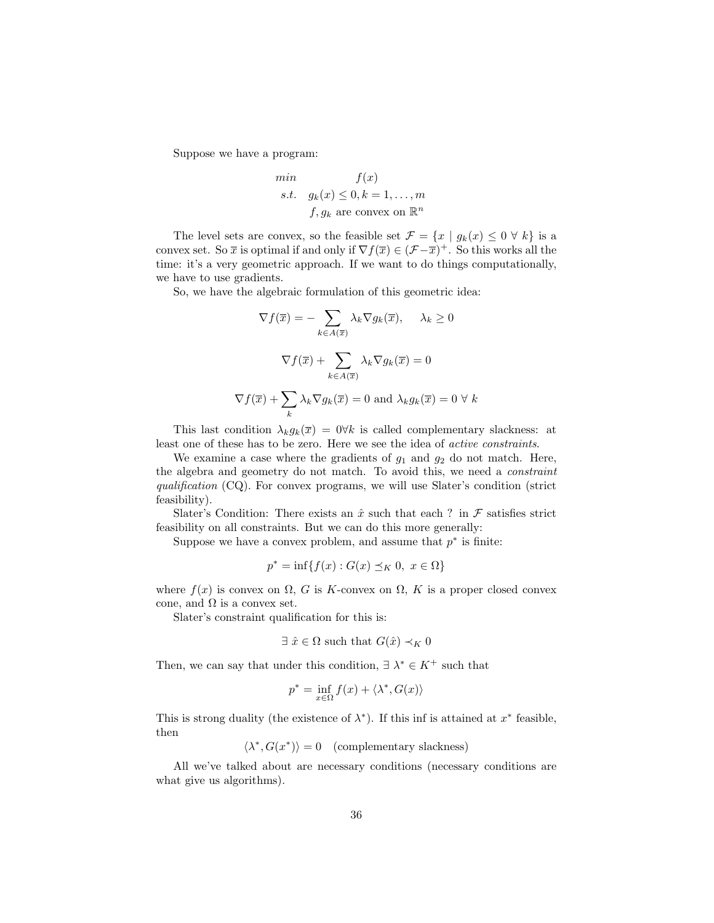Suppose we have a program:

min 
$$
f(x)
$$
  
s.t.  $g_k(x) \le 0, k = 1,..., m$   
 $f, g_k$  are convex on  $\mathbb{R}^n$ 

The level sets are convex, so the feasible set  $\mathcal{F} = \{x \mid g_k(x) \leq 0 \forall k\}$  is a convex set. So  $\bar{x}$  is optimal if and only if  $\nabla f(\bar{x}) \in (\mathcal{F} - \bar{x})^+$ . So this works all the time: it's a very geometric approach. If we want to do things computationally, we have to use gradients.

So, we have the algebraic formulation of this geometric idea:

$$
\nabla f(\overline{x}) = -\sum_{k \in A(\overline{x})} \lambda_k \nabla g_k(\overline{x}), \quad \lambda_k \ge 0
$$

$$
\nabla f(\overline{x}) + \sum_{k \in A(\overline{x})} \lambda_k \nabla g_k(\overline{x}) = 0
$$

$$
\nabla f(\overline{x}) + \sum_k \lambda_k \nabla g_k(\overline{x}) = 0 \text{ and } \lambda_k g_k(\overline{x}) = 0 \forall k
$$

This last condition  $\lambda_k g_k(\overline{x}) = 0 \forall k$  is called complementary slackness: at least one of these has to be zero. Here we see the idea of active constraints.

We examine a case where the gradients of  $g_1$  and  $g_2$  do not match. Here, the algebra and geometry do not match. To avoid this, we need a constraint qualification (CQ). For convex programs, we will use Slater's condition (strict feasibility).

Slater's Condition: There exists an  $\hat{x}$  such that each ? in  $\mathcal F$  satisfies strict feasibility on all constraints. But we can do this more generally:

Suppose we have a convex problem, and assume that  $p^*$  is finite:

$$
p^* = \inf\{f(x) : G(x) \preceq_K 0, \ x \in \Omega\}
$$

where  $f(x)$  is convex on  $\Omega$ , G is K-convex on  $\Omega$ , K is a proper closed convex cone, and  $\Omega$  is a convex set.

Slater's constraint qualification for this is:

$$
\exists \ \hat{x} \in \Omega \ \text{such that} \ G(\hat{x}) \prec_K 0
$$

Then, we can say that under this condition,  $\exists \lambda^* \in K^+$  such that

$$
p^* = \inf_{x \in \Omega} f(x) + \langle \lambda^*, G(x) \rangle
$$

This is strong duality (the existence of  $\lambda^*$ ). If this inf is attained at  $x^*$  feasible, then

 $\langle \lambda^*, G(x^*) \rangle = 0$  (complementary slackness)

All we've talked about are necessary conditions (necessary conditions are what give us algorithms).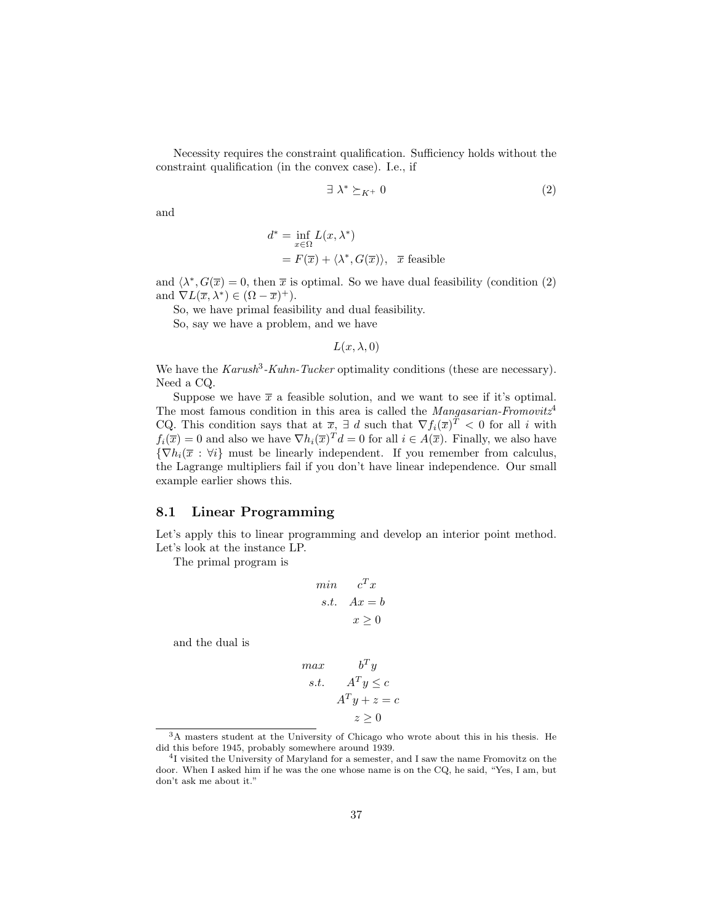Necessity requires the constraint qualification. Sufficiency holds without the constraint qualification (in the convex case). I.e., if

$$
\exists \lambda^* \succeq_{K^+} 0 \tag{2}
$$

and

$$
d^* = \inf_{x \in \Omega} L(x, \lambda^*)
$$
  
=  $F(\overline{x}) + \langle \lambda^*, G(\overline{x}) \rangle$ ,  $\overline{x}$  feasible

and  $\langle \lambda^*, G(\overline{x}) = 0$ , then  $\overline{x}$  is optimal. So we have dual feasibility (condition (2) and  $\nabla L(\overline{x}, \lambda^*) \in (\Omega - \overline{x})^+$ .

So, we have primal feasibility and dual feasibility.

So, say we have a problem, and we have

 $L(x, \lambda, 0)$ 

We have the  $Karush^3-Kuhn-Tucker$  optimality conditions (these are necessary). Need a CQ.

Suppose we have  $\bar{x}$  a feasible solution, and we want to see if it's optimal. The most famous condition in this area is called the *Mangasarian-Fromovitz*<sup>4</sup> CQ. This condition says that at  $\overline{x}$ ,  $\exists d$  such that  $\nabla f_i(\overline{x})^T < 0$  for all i with  $f_i(\overline{x}) = 0$  and also we have  $\nabla h_i(\overline{x})^T d = 0$  for all  $i \in A(\overline{x})$ . Finally, we also have  ${\nabla h_i(\overline{x} : \forall i\}$  must be linearly independent. If you remember from calculus, the Lagrange multipliers fail if you don't have linear independence. Our small example earlier shows this.

## 8.1 Linear Programming

Let's apply this to linear programming and develop an interior point method. Let's look at the instance LP.

The primal program is

$$
\begin{aligned}\n\min \quad & c^T x \\
\text{s.t.} \quad & Ax = b \\
& x \ge 0\n\end{aligned}
$$

and the dual is

$$
max \t\t bTy
$$
  
s.t. 
$$
ATy \le c
$$

$$
ATy + z = c
$$

$$
z \ge 0
$$

<sup>3</sup>A masters student at the University of Chicago who wrote about this in his thesis. He did this before 1945, probably somewhere around 1939.

<sup>&</sup>lt;sup>4</sup>I visited the University of Maryland for a semester, and I saw the name Fromovitz on the door. When I asked him if he was the one whose name is on the CQ, he said, "Yes, I am, but don't ask me about it."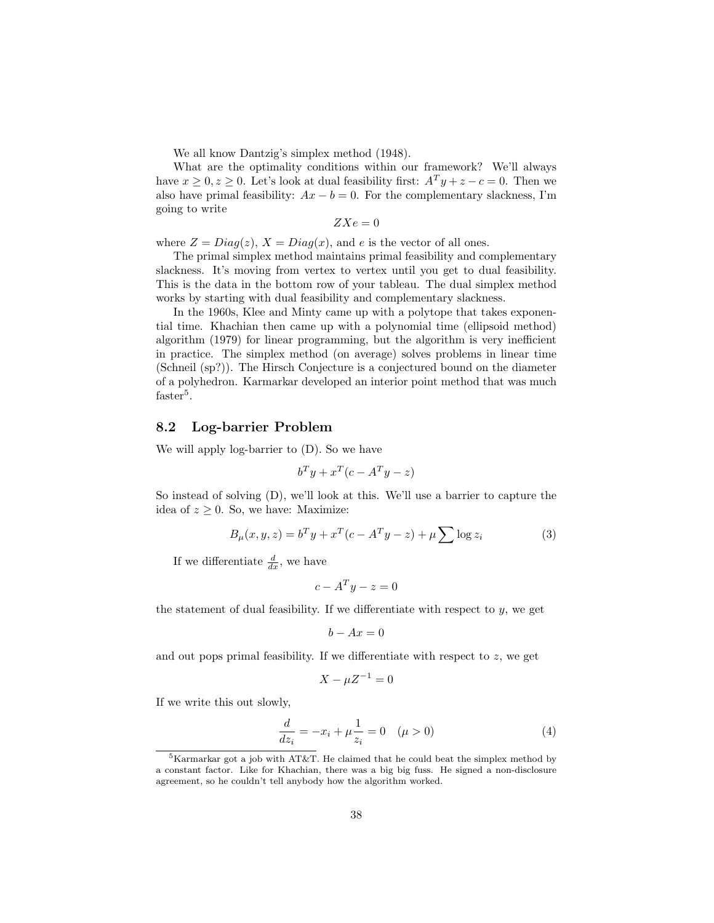We all know Dantzig's simplex method (1948).

What are the optimality conditions within our framework? We'll always have  $x \geq 0, z \geq 0$ . Let's look at dual feasibility first:  $A^T y + z - c = 0$ . Then we also have primal feasibility:  $Ax - b = 0$ . For the complementary slackness, I'm going to write

$$
ZXe = 0
$$

where  $Z = Diag(z)$ ,  $X = Diag(x)$ , and e is the vector of all ones.

The primal simplex method maintains primal feasibility and complementary slackness. It's moving from vertex to vertex until you get to dual feasibility. This is the data in the bottom row of your tableau. The dual simplex method works by starting with dual feasibility and complementary slackness.

In the 1960s, Klee and Minty came up with a polytope that takes exponential time. Khachian then came up with a polynomial time (ellipsoid method) algorithm (1979) for linear programming, but the algorithm is very inefficient in practice. The simplex method (on average) solves problems in linear time (Schneil (sp?)). The Hirsch Conjecture is a conjectured bound on the diameter of a polyhedron. Karmarkar developed an interior point method that was much  $faster<sup>5</sup>$ .

#### 8.2 Log-barrier Problem

We will apply log-barrier to (D). So we have

$$
b^T y + x^T (c - A^T y - z)
$$

So instead of solving (D), we'll look at this. We'll use a barrier to capture the idea of  $z \geq 0$ . So, we have: Maximize:

$$
B_{\mu}(x, y, z) = b^{T}y + x^{T}(c - A^{T}y - z) + \mu \sum \log z_{i}
$$
 (3)

If we differentiate  $\frac{d}{dx}$ , we have

$$
c - A^T y - z = 0
$$

the statement of dual feasibility. If we differentiate with respect to  $y$ , we get

$$
b - Ax = 0
$$

and out pops primal feasibility. If we differentiate with respect to  $z$ , we get

$$
X - \mu Z^{-1} = 0
$$

If we write this out slowly,

$$
\frac{d}{dz_i} = -x_i + \mu \frac{1}{z_i} = 0 \quad (\mu > 0)
$$
\n(4)

 ${}^{5}$ Karmarkar got a job with AT&T. He claimed that he could beat the simplex method by a constant factor. Like for Khachian, there was a big big fuss. He signed a non-disclosure agreement, so he couldn't tell anybody how the algorithm worked.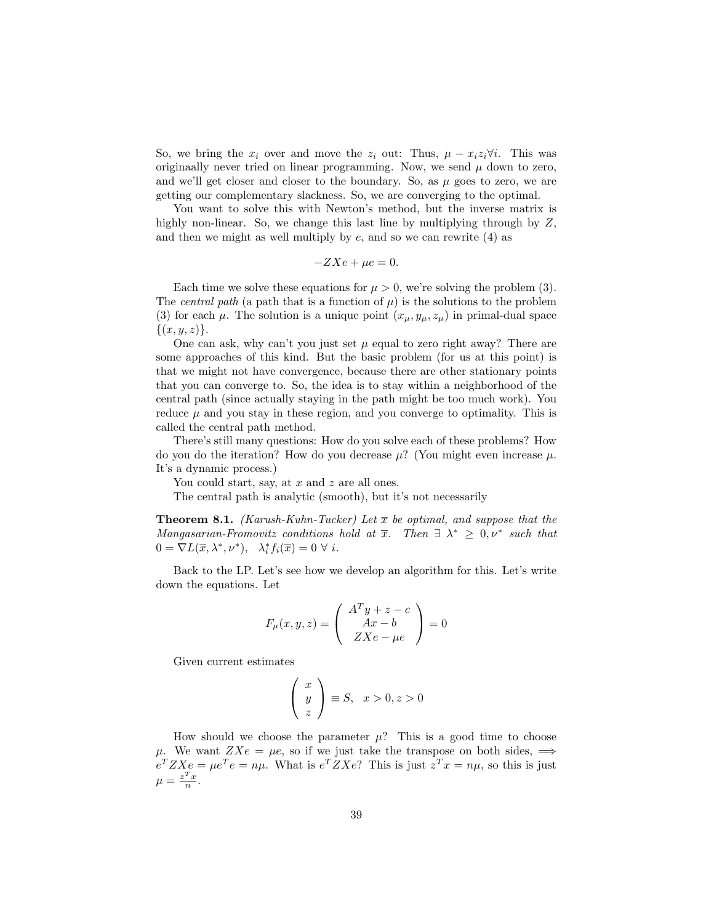So, we bring the  $x_i$  over and move the  $z_i$  out: Thus,  $\mu - x_i z_i \forall i$ . This was originaally never tried on linear programming. Now, we send  $\mu$  down to zero, and we'll get closer and closer to the boundary. So, as  $\mu$  goes to zero, we are getting our complementary slackness. So, we are converging to the optimal.

You want to solve this with Newton's method, but the inverse matrix is highly non-linear. So, we change this last line by multiplying through by  $Z$ , and then we might as well multiply by  $e$ , and so we can rewrite  $(4)$  as

$$
-ZXe + \mu e = 0.
$$

Each time we solve these equations for  $\mu > 0$ , we're solving the problem (3). The *central path* (a path that is a function of  $\mu$ ) is the solutions to the problem (3) for each  $\mu$ . The solution is a unique point  $(x_{\mu}, y_{\mu}, z_{\mu})$  in primal-dual space  $\{(x, y, z)\}.$ 

One can ask, why can't you just set  $\mu$  equal to zero right away? There are some approaches of this kind. But the basic problem (for us at this point) is that we might not have convergence, because there are other stationary points that you can converge to. So, the idea is to stay within a neighborhood of the central path (since actually staying in the path might be too much work). You reduce  $\mu$  and you stay in these region, and you converge to optimality. This is called the central path method.

There's still many questions: How do you solve each of these problems? How do you do the iteration? How do you decrease  $\mu$ ? (You might even increase  $\mu$ . It's a dynamic process.)

You could start, say, at  $x$  and  $z$  are all ones.

The central path is analytic (smooth), but it's not necessarily

**Theorem 8.1.** (Karush-Kuhn-Tucker) Let  $\bar{x}$  be optimal, and suppose that the Mangasarian-Fromovitz conditions hold at  $\overline{x}$ . Then  $\exists \lambda^* \geq 0, \nu^*$  such that  $0 = \nabla L(\overline{x}, \lambda^*, \nu^*), \quad \lambda_i^* f_i(\overline{x}) = 0 \ \forall \ i.$ 

Back to the LP. Let's see how we develop an algorithm for this. Let's write down the equations. Let

$$
F_{\mu}(x, y, z) = \begin{pmatrix} A^T y + z - c \\ Ax - b \\ ZXe - \mu e \end{pmatrix} = 0
$$

Given current estimates

$$
\left(\begin{array}{c} x \\ y \\ z \end{array}\right) \equiv S, \quad x > 0, z > 0
$$

How should we choose the parameter  $\mu$ ? This is a good time to choose  $\mu$ . We want  $ZXe = \mu e$ , so if we just take the transpose on both sides,  $\implies$  $e^T Z X e = \mu e^T e = n \mu$ . What is  $e^T Z X e$ ? This is just  $z^T x = n \mu$ , so this is just  $\mu = \frac{z^T x}{n}.$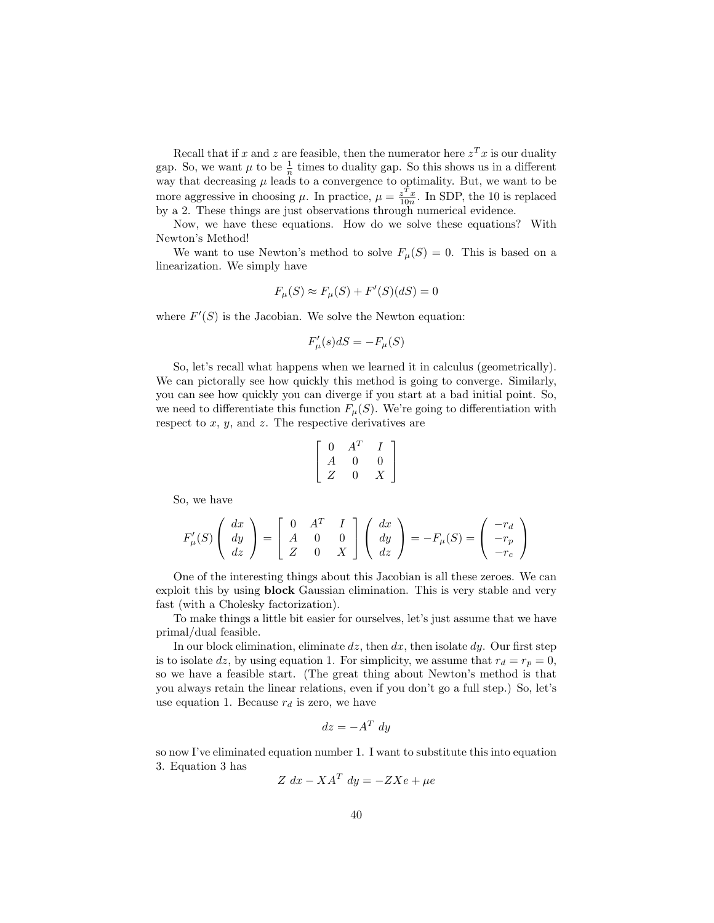Recall that if x and z are feasible, then the numerator here  $z^T x$  is our duality gap. So, we want  $\mu$  to be  $\frac{1}{n}$  times to duality gap. So this shows us in a different way that decreasing  $\mu$  leads to a convergence to optimality. But, we want to be more aggressive in choosing  $\mu$ . In practice,  $\mu = \frac{z^T x}{10n}$ . In SDP, the 10 is replaced by a 2. These things are just observations through numerical evidence.

Now, we have these equations. How do we solve these equations? With Newton's Method!

We want to use Newton's method to solve  $F_{\mu}(S) = 0$ . This is based on a linearization. We simply have

$$
F_{\mu}(S) \approx F_{\mu}(S) + F'(S)(dS) = 0
$$

where  $F'(S)$  is the Jacobian. We solve the Newton equation:

$$
F'_{\mu}(s)dS = -F_{\mu}(S)
$$

So, let's recall what happens when we learned it in calculus (geometrically). We can pictorally see how quickly this method is going to converge. Similarly, you can see how quickly you can diverge if you start at a bad initial point. So, we need to differentiate this function  $F_{\mu}(S)$ . We're going to differentiation with respect to  $x, y$ , and  $z$ . The respective derivatives are

$$
\left[ \begin{array}{ccc} 0 & A^T & I \\ A & 0 & 0 \\ Z & 0 & X \end{array} \right]
$$

So, we have

$$
F'_{\mu}(S) \left( \begin{array}{c} dx \\ dy \\ dz \end{array} \right) = \left[ \begin{array}{ccc} 0 & A^T & I \\ A & 0 & 0 \\ Z & 0 & X \end{array} \right] \left( \begin{array}{c} dx \\ dy \\ dz \end{array} \right) = -F_{\mu}(S) = \left( \begin{array}{c} -r_d \\ -r_p \\ -r_c \end{array} \right)
$$

One of the interesting things about this Jacobian is all these zeroes. We can exploit this by using block Gaussian elimination. This is very stable and very fast (with a Cholesky factorization).

To make things a little bit easier for ourselves, let's just assume that we have primal/dual feasible.

In our block elimination, eliminate  $dz$ , then  $dx$ , then isolate  $dy$ . Our first step is to isolate dz, by using equation 1. For simplicity, we assume that  $r_d = r_p = 0$ , so we have a feasible start. (The great thing about Newton's method is that you always retain the linear relations, even if you don't go a full step.) So, let's use equation 1. Because  $r_d$  is zero, we have

$$
dz = -A^T dy
$$

so now I've eliminated equation number 1. I want to substitute this into equation 3. Equation 3 has

$$
Z dx - X A^T dy = -Z X e + \mu e
$$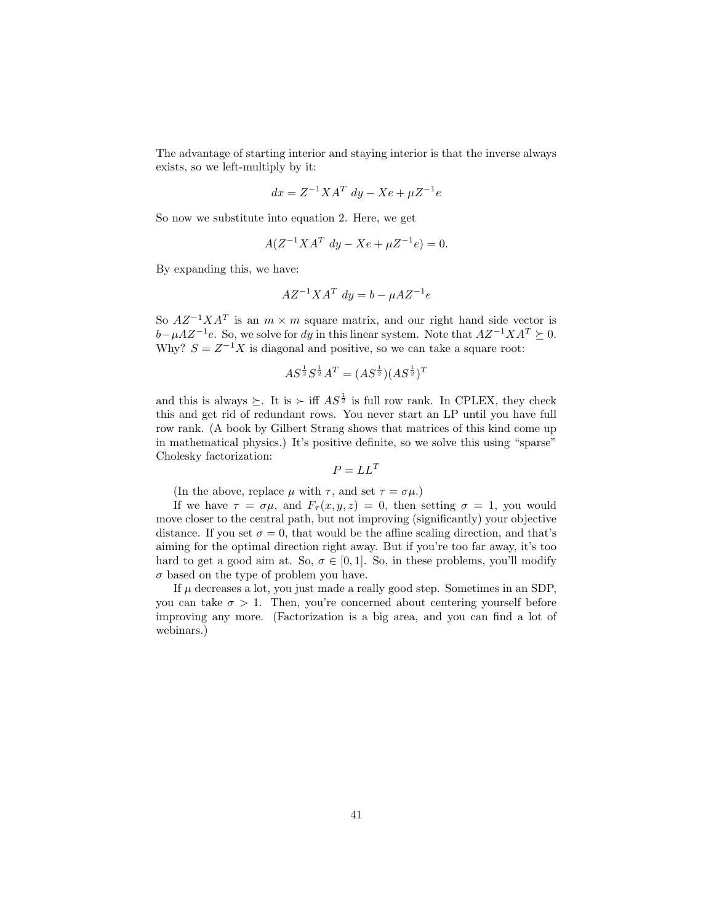The advantage of starting interior and staying interior is that the inverse always exists, so we left-multiply by it:

$$
dx = Z^{-1}XA^T dy - Xe + \mu Z^{-1}e
$$

So now we substitute into equation 2. Here, we get

$$
A(Z^{-1}XA^{T} dy - Xe + \mu Z^{-1}e) = 0.
$$

By expanding this, we have:

$$
AZ^{-1}XA^T dy = b - \mu AZ^{-1}e
$$

So  $AZ^{-1}XA^{T}$  is an  $m \times m$  square matrix, and our right hand side vector is  $b-\mu AZ^{-1}e$ . So, we solve for dy in this linear system. Note that  $AZ^{-1}XA^{T} \succeq 0$ . Why?  $S = Z^{-1}X$  is diagonal and positive, so we can take a square root:

$$
AS^{\frac{1}{2}}S^{\frac{1}{2}}A^T = (AS^{\frac{1}{2}})(AS^{\frac{1}{2}})^T
$$

and this is always  $\succeq$ . It is  $\succ$  iff  $AS^{\frac{1}{2}}$  is full row rank. In CPLEX, they check this and get rid of redundant rows. You never start an LP until you have full row rank. (A book by Gilbert Strang shows that matrices of this kind come up in mathematical physics.) It's positive definite, so we solve this using "sparse" Cholesky factorization:

$$
P = LL^T
$$

(In the above, replace  $\mu$  with  $\tau$ , and set  $\tau = \sigma \mu$ .)

If we have  $\tau = \sigma \mu$ , and  $F_{\tau}(x, y, z) = 0$ , then setting  $\sigma = 1$ , you would move closer to the central path, but not improving (significantly) your objective distance. If you set  $\sigma = 0$ , that would be the affine scaling direction, and that's aiming for the optimal direction right away. But if you're too far away, it's too hard to get a good aim at. So,  $\sigma \in [0,1]$ . So, in these problems, you'll modify  $\sigma$  based on the type of problem you have.

If  $\mu$  decreases a lot, you just made a really good step. Sometimes in an SDP, you can take  $\sigma > 1$ . Then, you're concerned about centering yourself before improving any more. (Factorization is a big area, and you can find a lot of webinars.)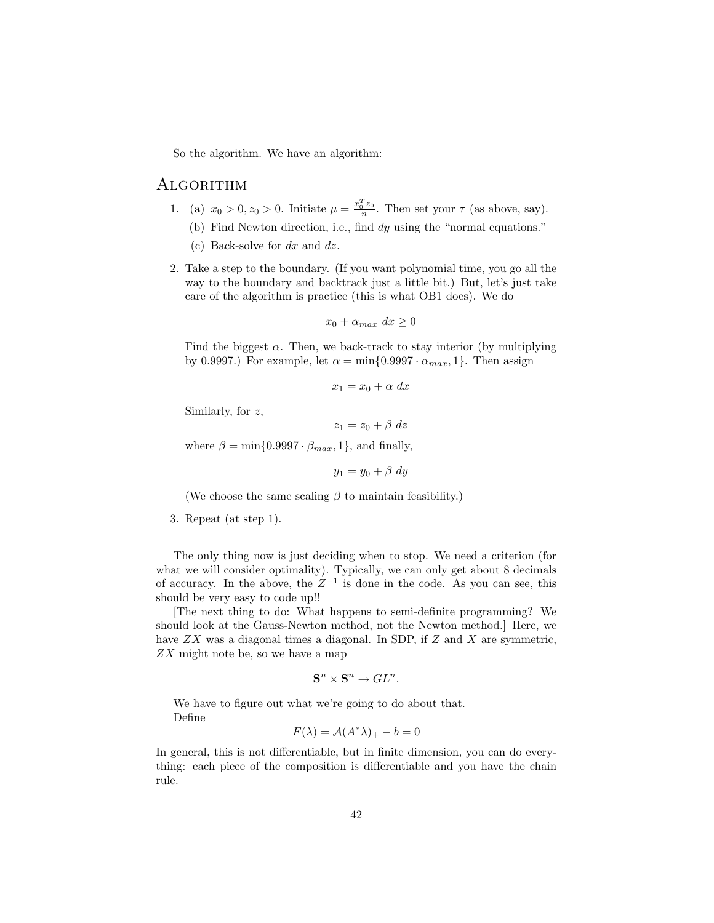So the algorithm. We have an algorithm:

## **ALGORITHM**

- 1. (a)  $x_0 > 0$ ,  $z_0 > 0$ . Initiate  $\mu = \frac{x_0^T z_0}{n}$ . Then set your  $\tau$  (as above, say).
	- (b) Find Newton direction, i.e., find dy using the "normal equations."
	- (c) Back-solve for  $dx$  and  $dz$ .
- 2. Take a step to the boundary. (If you want polynomial time, you go all the way to the boundary and backtrack just a little bit.) But, let's just take care of the algorithm is practice (this is what OB1 does). We do

$$
x_0 + \alpha_{max} \, dx \ge 0
$$

Find the biggest  $\alpha$ . Then, we back-track to stay interior (by multiplying by 0.9997.) For example, let  $\alpha = \min\{0.9997 \cdot \alpha_{max}, 1\}$ . Then assign

$$
x_1 = x_0 + \alpha \, dx
$$

Similarly, for z,

 $z_1 = z_0 + \beta dz$ 

where  $\beta = \min\{0.9997 \cdot \beta_{max}, 1\}$ , and finally,

 $y_1 = y_0 + \beta dy$ 

(We choose the same scaling  $\beta$  to maintain feasibility.)

3. Repeat (at step 1).

The only thing now is just deciding when to stop. We need a criterion (for what we will consider optimality). Typically, we can only get about 8 decimals of accuracy. In the above, the  $Z^{-1}$  is done in the code. As you can see, this should be very easy to code up!!

[The next thing to do: What happens to semi-definite programming? We should look at the Gauss-Newton method, not the Newton method.] Here, we have  $ZX$  was a diagonal times a diagonal. In SDP, if  $Z$  and  $X$  are symmetric, ZX might note be, so we have a map

$$
\mathbf{S}^n \times \mathbf{S}^n \to GL^n.
$$

We have to figure out what we're going to do about that. Define

$$
F(\lambda) = \mathcal{A}(A^*\lambda)_+ - b = 0
$$

In general, this is not differentiable, but in finite dimension, you can do everything: each piece of the composition is differentiable and you have the chain rule.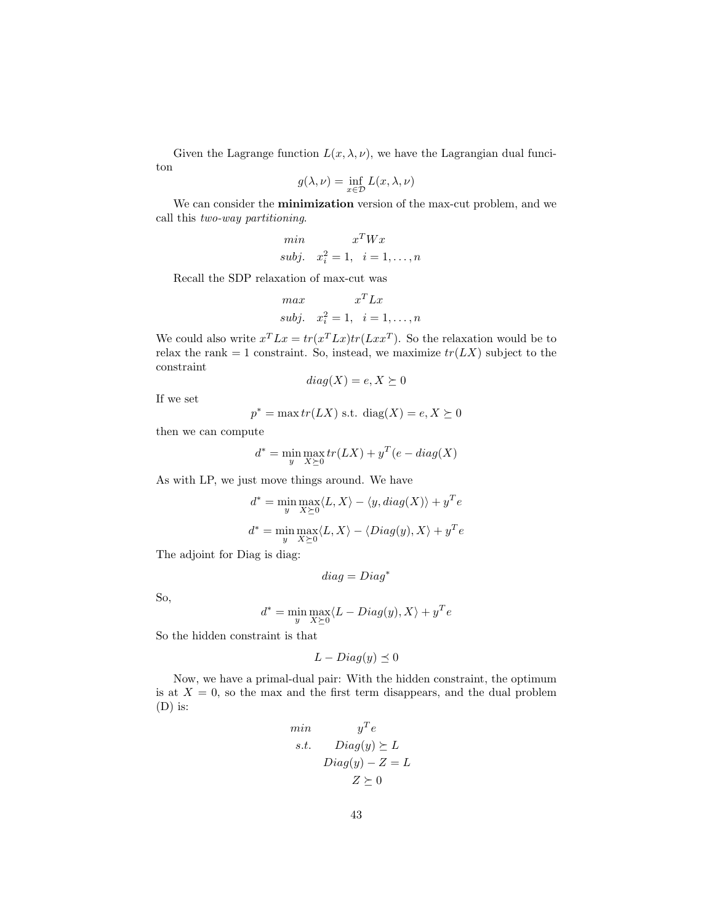Given the Lagrange function  $L(x, \lambda, \nu)$ , we have the Lagrangian dual funciton

$$
g(\lambda, \nu) = \inf_{x \in \mathcal{D}} L(x, \lambda, \nu)
$$

We can consider the minimization version of the max-cut problem, and we call this two-way partitioning.

$$
\begin{aligned}\n\min & x^T W x \\
\text{subj.} & x_i^2 = 1, \quad i = 1, \dots, n\n\end{aligned}
$$

Recall the SDP relaxation of max-cut was

$$
\begin{aligned}\n\max & x^T L x \\
\text{subj.} \quad x_i^2 = 1, \quad i = 1, \dots, n\n\end{aligned}
$$

We could also write  $x^T L x = tr(x^T L x) tr(L x x^T)$ . So the relaxation would be to relax the rank = 1 constraint. So, instead, we maximize  $tr(LX)$  subject to the constraint

$$
diag(X) = e, X \succeq 0
$$

If we set

$$
p^* = \max tr(LX) \text{ s.t. } \text{diag}(X) = e, X \succeq 0
$$

then we can compute

$$
d^* = \min_{y} \max_{X \succeq 0} tr(LX) + y^T(e - diag(X))
$$

As with LP, we just move things around. We have

$$
d^* = \min_{y} \max_{X \succeq 0} \langle L, X \rangle - \langle y, diag(X) \rangle + y^T e
$$

$$
d^* = \min_{y} \max_{X \succeq 0} \langle L, X \rangle - \langle Diag(y), X \rangle + y^T e
$$

The adjoint for Diag is diag:

$$
diag=Diag^*
$$

So,

$$
d^* = \min_{y} \max_{X \succeq 0} \langle L - Diag(y), X \rangle + y^T e
$$

So the hidden constraint is that

$$
L-Diag(y) \preceq 0
$$

Now, we have a primal-dual pair: With the hidden constraint, the optimum is at  $X = 0$ , so the max and the first term disappears, and the dual problem (D) is:

$$
\begin{aligned}\n\min & y^T e \\
\text{s.t.} & \text{Diag}(y) \ge L \\
& \text{Diag}(y) - Z = L \\
& Z \ge 0\n\end{aligned}
$$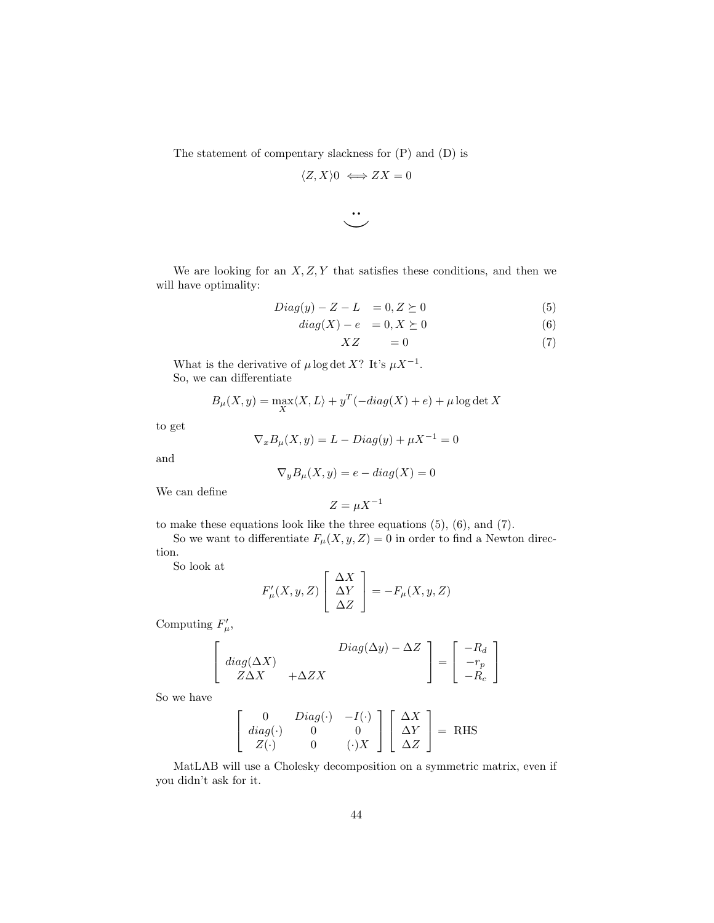The statement of compentary slackness for (P) and (D) is

$$
\langle Z, X \rangle 0 \iff ZX = 0
$$

$$
\ddot{\smile}
$$

We are looking for an  $X, Z, Y$  that satisfies these conditions, and then we will have optimality:

$$
Diag(y) - Z - L = 0, Z \succeq 0 \tag{5}
$$

$$
diag(X) - e = 0, X \succeq 0 \tag{6}
$$

$$
XZ = 0 \tag{7}
$$

What is the derivative of  $\mu \log \det X$ ? It's  $\mu X^{-1}$ . So, we can differentiate

$$
B_{\mu}(X, y) = \max_{X} \langle X, L \rangle + y^{T}(-diag(X) + e) + \mu \log \det X
$$

to get

$$
\nabla_x B_\mu(X, y) = L - Diag(y) + \mu X^{-1} = 0
$$

and

$$
\nabla_y B_\mu(X, y) = e - diag(X) = 0
$$

We can define

$$
Z = \mu X^{-1}
$$

to make these equations look like the three equations (5), (6), and (7).

So we want to differentiate  $F_{\mu}(X, y, Z) = 0$  in order to find a Newton direction.

So look at

$$
F'_{\mu}(X, y, Z) \left[ \begin{array}{c} \Delta X \\ \Delta Y \\ \Delta Z \end{array} \right] = -F_{\mu}(X, y, Z)
$$

Computing  $F'_{\mu}$ ,

$$
\begin{bmatrix}\n\text{diag}(\Delta X) \\
\text{diag}(\Delta X) \\
\text{Z}\Delta X\n\end{bmatrix} + \Delta Z X \qquad \text{Diag}(\Delta y) - \Delta Z \quad \begin{bmatrix} -R_d \\
-r_p \\
-R_c \end{bmatrix}
$$

So we have

$$
\begin{bmatrix}\n0 & Diag(\cdot) & -I(\cdot) \\
diag(\cdot) & 0 & 0 \\
Z(\cdot) & 0 & (\cdot)X\n\end{bmatrix}\n\begin{bmatrix}\n\Delta X \\
\Delta Y \\
\Delta Z\n\end{bmatrix} = \text{RHS}
$$

MatLAB will use a Cholesky decomposition on a symmetric matrix, even if you didn't ask for it.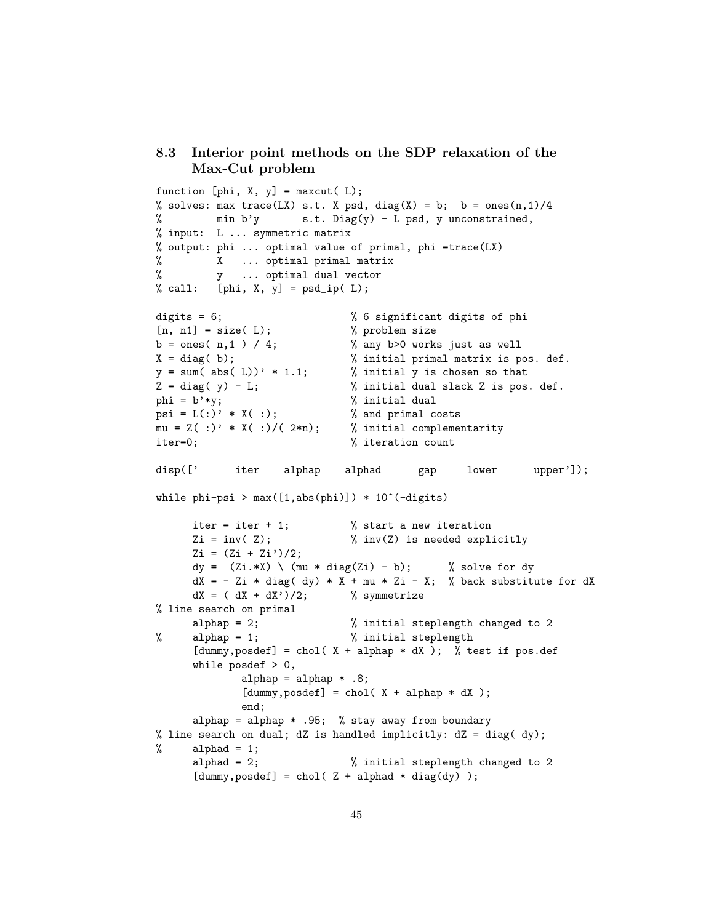## 8.3 Interior point methods on the SDP relaxation of the Max-Cut problem

```
function [phi, X, y] = maxcut(L);% solves: max trace(LX) s.t. X psd, diag(X) = b; b = ones(n,1)/4
% min b'y s.t. Diag(y) - L psd, y unconstrained,
% input: L ... symmetric matrix
% output: phi ... optimal value of primal, phi =trace(LX)
% X ... optimal primal matrix
% y ... optimal dual vector
% call: [phi, X, y] = psd_ip( L);
digits = 6; \frac{1}{2} 6 significant digits of phi
[n, n1] = size(L); <br> % problem sizeb = ones( n, 1 ) / 4; % any b>0 works just as well
X = diag(b); % initial primal matrix is pos. def.y = sum( abs( L))' * 1.1; % initial y is chosen so that
Z = diag(y) - L; % initial dual slack Z is pos. def.
phi = b'*y; \% initial dual
psi = L(:) * X(:); % and primal costs
mu = Z( :)^{\prime} * X( :)/( 2*n); % initial complementarity
iter=0; \% iteration count
disp([' iter alphap alphad gap lower upper']);
while phi-psi > max([1,abs(phi)]) * 10^-(-digits)iter = iter + 1; \frac{1}{1} % start a new iteration
     Zi = inv(Z); % inv(Z) is needed explicitly
     Zi = (Zi + Zi')/2;dy = (Zi.*X) \setminus (mu * diag(Zi) - b); % solve for dy
     dX = - Zi * diag( dy) * X + mu * Zi - X; % back substitute for dXdX = (dX + dX')/2; % symmetrize
% line search on primal
     alphap = 2; \frac{1}{2} initial steplength changed to 2
% alphap = 1; % initial steplength
     [dummy, posdef] = chol(X + alphap * dX); % test if pos.def
     while posdef > 0,
            alphap = alphap * .8;
            [dummy, posdef] = chol(X + alphap * dX);end;
     alphap = alphap * .95; % stay away from boundary
% line search on dual; dZ is handled implicitly: dZ = diag( dy);% alphad = 1;
     alphad = 2; \frac{1}{2} \frac{1}{2} \frac{1}{2} initial steplength changed to 2
     [dummy, posdef] = chol( Z + alphad * diag(dy) );
```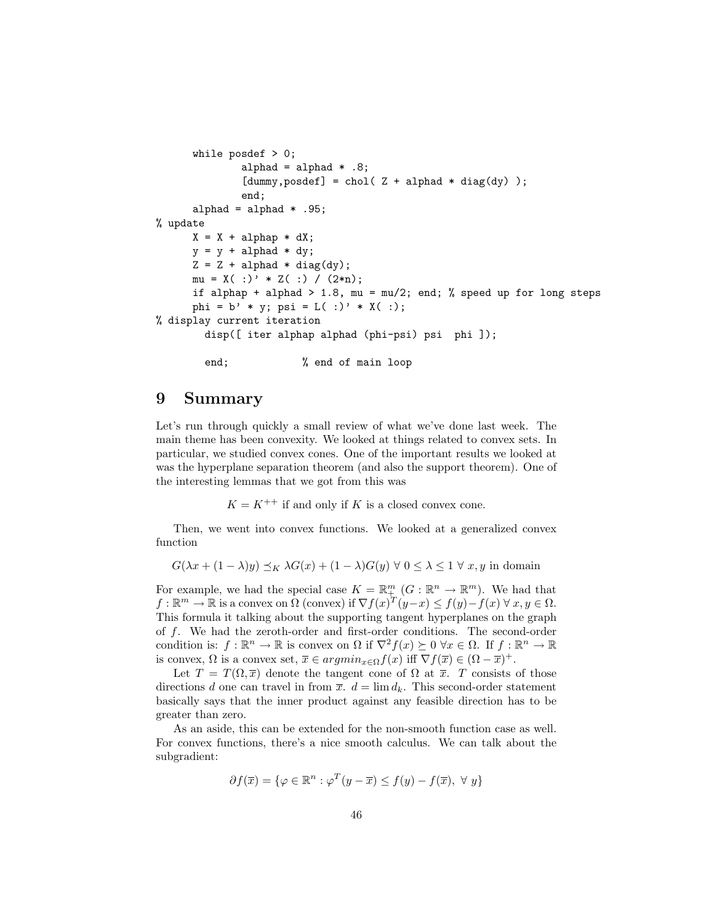```
while posdef > 0;
             alphad = alphad * .8;
              [dummy, posdef] = chol( Z + alpha * diag(dy) );end;
     alphad = alphad * .95;% update
     X = X + alphap * dX;y = y + alpha * dy;
     Z = Z + alpha d * diag(dy);mu = X( :) ' * Z( :) / (2*n);if alphap + alphad > 1.8, mu = mu/2; end; % speed up for long steps
     phi = b' * y; psi = L( :)' * X( :);
% display current iteration
       disp([ iter alphap alphad (phi-psi) psi phi ]);
        end; \% end of main loop
```
## 9 Summary

Let's run through quickly a small review of what we've done last week. The main theme has been convexity. We looked at things related to convex sets. In particular, we studied convex cones. One of the important results we looked at was the hyperplane separation theorem (and also the support theorem). One of the interesting lemmas that we got from this was

 $K = K^{++}$  if and only if K is a closed convex cone.

Then, we went into convex functions. We looked at a generalized convex function

$$
G(\lambda x + (1 - \lambda)y) \preceq_K \lambda G(x) + (1 - \lambda)G(y) \forall 0 \le \lambda \le 1 \forall x, y \text{ in domain}
$$

For example, we had the special case  $K = \mathbb{R}^m_+$   $(G : \mathbb{R}^n \to \mathbb{R}^m)$ . We had that  $f: \mathbb{R}^m \to \mathbb{R}$  is a convex on  $\Omega$  (convex) if  $\nabla f(x)^T (y-x) \leq f(y) - f(x) \forall x, y \in \Omega$ . This formula it talking about the supporting tangent hyperplanes on the graph of f. We had the zeroth-order and first-order conditions. The second-order condition is:  $f : \mathbb{R}^n \to \mathbb{R}$  is convex on  $\Omega$  if  $\nabla^2 f(x) \succeq 0 \ \forall x \in \Omega$ . If  $f : \mathbb{R}^n \to \mathbb{R}$ is convex,  $\Omega$  is a convex set,  $\overline{x} \in argmin_{x \in \Omega} f(x)$  iff  $\nabla f(\overline{x}) \in (\Omega - \overline{x})^+$ .

Let  $T = T(\Omega, \overline{x})$  denote the tangent cone of  $\Omega$  at  $\overline{x}$ . T consists of those directions d one can travel in from  $\bar{x}$ .  $d = \lim d_k$ . This second-order statement basically says that the inner product against any feasible direction has to be greater than zero.

As an aside, this can be extended for the non-smooth function case as well. For convex functions, there's a nice smooth calculus. We can talk about the subgradient:

$$
\partial f(\overline{x}) = \{ \varphi \in \mathbb{R}^n : \varphi^T(y - \overline{x}) \le f(y) - f(\overline{x}), \ \forall \ y \}
$$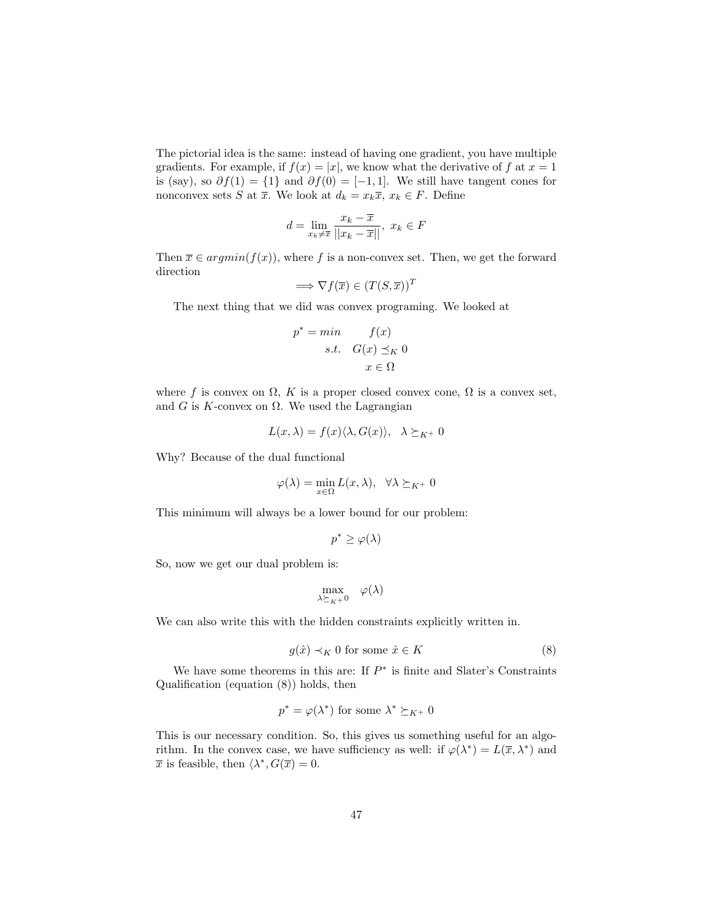The pictorial idea is the same: instead of having one gradient, you have multiple gradients. For example, if  $f(x) = |x|$ , we know what the derivative of f at  $x = 1$ is (say), so  $\partial f(1) = \{1\}$  and  $\partial f(0) = [-1, 1]$ . We still have tangent cones for nonconvex sets S at  $\overline{x}$ . We look at  $d_k = x_k \overline{x}$ ,  $x_k \in F$ . Define

$$
d=\lim_{x_k\neq\overline{x}}\frac{x_k-\overline{x}}{||x_k-\overline{x}||},\ x_k\in F
$$

Then  $\overline{x} \in argmin(f(x))$ , where f is a non-convex set. Then, we get the forward direction

$$
\implies \nabla f(\overline{x}) \in (T(S, \overline{x}))^T
$$

The next thing that we did was convex programing. We looked at

$$
p^* = \min \qquad f(x)
$$
  
s.t.  $G(x) \leq_K 0$   
 $x \in \Omega$ 

where f is convex on  $\Omega$ , K is a proper closed convex cone,  $\Omega$  is a convex set, and G is K-convex on  $\Omega$ . We used the Lagrangian

$$
L(x,\lambda) = f(x)\langle \lambda, G(x) \rangle, \quad \lambda \succeq_{K^{+}} 0
$$

Why? Because of the dual functional

$$
\varphi(\lambda) = \min_{x \in \Omega} L(x, \lambda), \ \ \forall \lambda \succeq_{K^+} 0
$$

This minimum will always be a lower bound for our problem:

$$
p^* \ge \varphi(\lambda)
$$

So, now we get our dual problem is:

$$
\max_{\lambda \succeq_{K^+} 0} \quad \varphi(\lambda)
$$

We can also write this with the hidden constraints explicitly written in.

$$
g(\hat{x}) \prec_K 0 \text{ for some } \hat{x} \in K \tag{8}
$$

We have some theorems in this are: If  $P^*$  is finite and Slater's Constraints Qualification (equation (8)) holds, then

$$
p^* = \varphi(\lambda^*)
$$
 for some  $\lambda^* \succeq_{K^+} 0$ 

This is our necessary condition. So, this gives us something useful for an algorithm. In the convex case, we have sufficiency as well: if  $\varphi(\lambda^*) = L(\overline{x}, \lambda^*)$  and  $\overline{x}$  is feasible, then  $\langle \lambda^*, G(\overline{x}) = 0$ .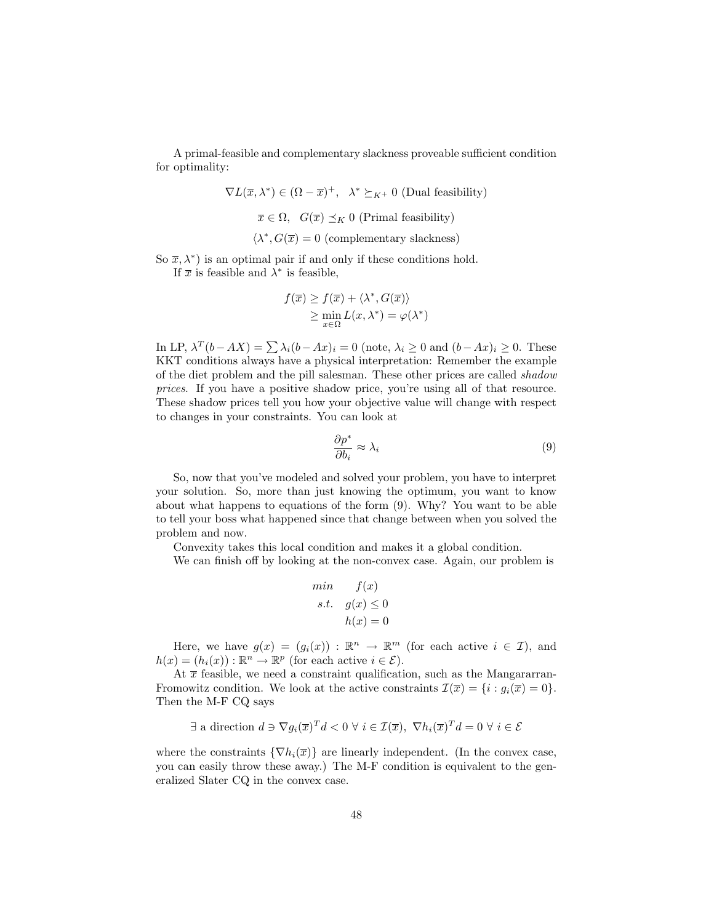A primal-feasible and complementary slackness proveable sufficient condition for optimality:

$$
\nabla L(\overline{x}, \lambda^*) \in (\Omega - \overline{x})^+, \quad \lambda^* \succeq_{K^+} 0 \text{ (Dual feasibility)}
$$
  

$$
\overline{x} \in \Omega, \quad G(\overline{x}) \preceq_K 0 \text{ (Primal feasibility)}
$$

 $\langle \lambda^*, G(\overline{x}) = 0$  (complementary slackness)

So  $\bar{x}, \lambda^*$  is an optimal pair if and only if these conditions hold.

If  $\bar{x}$  is feasible and  $\lambda^*$  is feasible,

$$
f(\overline{x}) \ge f(\overline{x}) + \langle \lambda^*, G(\overline{x}) \rangle
$$
  
\n
$$
\ge \min_{x \in \Omega} L(x, \lambda^*) = \varphi(\lambda^*)
$$

In LP,  $\lambda^T(b - AX) = \sum \lambda_i (b - Ax)_i = 0$  (note,  $\lambda_i \ge 0$  and  $(b - Ax)_i \ge 0$ . These KKT conditions always have a physical interpretation: Remember the example of the diet problem and the pill salesman. These other prices are called shadow prices. If you have a positive shadow price, you're using all of that resource. These shadow prices tell you how your objective value will change with respect to changes in your constraints. You can look at

$$
\frac{\partial p^*}{\partial b_i} \approx \lambda_i \tag{9}
$$

So, now that you've modeled and solved your problem, you have to interpret your solution. So, more than just knowing the optimum, you want to know about what happens to equations of the form (9). Why? You want to be able to tell your boss what happened since that change between when you solved the problem and now.

Convexity takes this local condition and makes it a global condition.

We can finish off by looking at the non-convex case. Again, our problem is

$$
\begin{array}{ll}\nmin & f(x) \\
s.t. & g(x) \le 0 \\
h(x) = 0\n\end{array}
$$

Here, we have  $g(x) = (g_i(x)) : \mathbb{R}^n \to \mathbb{R}^m$  (for each active  $i \in \mathcal{I}$ ), and  $h(x) = (h_i(x)) : \mathbb{R}^n \to \mathbb{R}^p$  (for each active  $i \in \mathcal{E}$ ).

At  $\bar{x}$  feasible, we need a constraint qualification, such as the Mangararran-Fromowitz condition. We look at the active constraints  $\mathcal{I}(\overline{x}) = \{i : g_i(\overline{x}) = 0\}.$ Then the M-F CQ says

$$
\exists \text{ a direction } d \ni \nabla g_i(\overline{x})^T d < 0 \,\forall \, i \in \mathcal{I}(\overline{x}), \,\nabla h_i(\overline{x})^T d = 0 \,\forall \, i \in \mathcal{E}
$$

where the constraints  $\{\nabla h_i(\overline{x})\}$  are linearly independent. (In the convex case, you can easily throw these away.) The M-F condition is equivalent to the generalized Slater CQ in the convex case.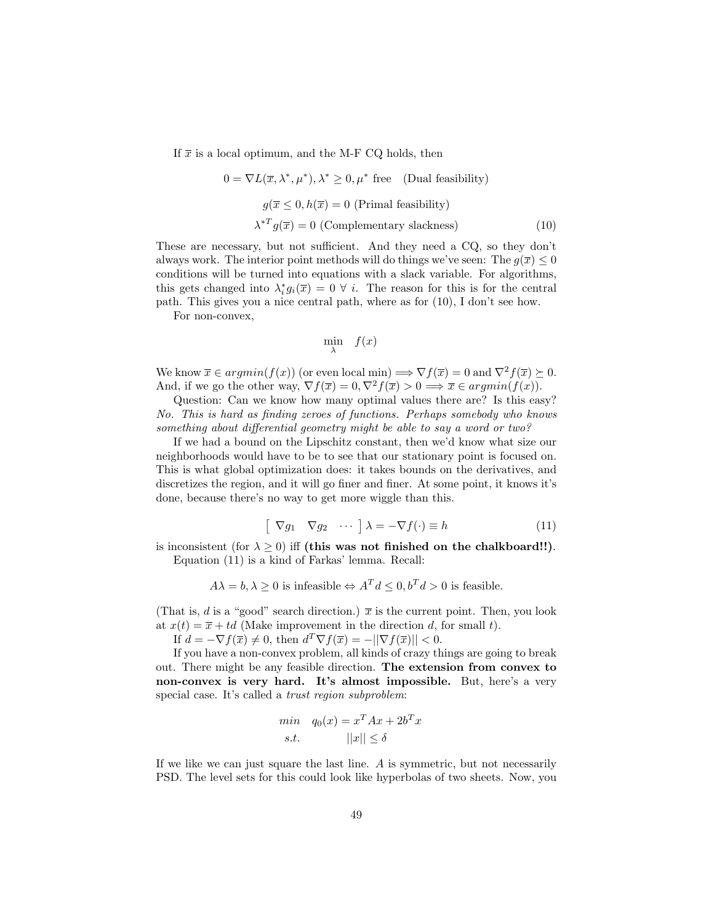If  $\bar{x}$  is a local optimum, and the M-F CQ holds, then

$$
0 = \nabla L(\overline{x}, \lambda^*, \mu^*), \lambda^* \ge 0, \mu^*
$$
 free (Dual feasibility)  

$$
g(\overline{x} \le 0, h(\overline{x}) = 0 \text{ (Primal feasibility)}
$$

$$
\lambda^{*T} g(\overline{x}) = 0 \text{ (Complementary slackness)}
$$
(10)

These are necessary, but not sufficient. And they need a CQ, so they don't always work. The interior point methods will do things we've seen: The  $g(\overline{x}) \leq 0$ conditions will be turned into equations with a slack variable. For algorithms, this gets changed into  $\lambda_i^* g_i(\overline{x}) = 0 \ \forall \ i$ . The reason for this is for the central path. This gives you a nice central path, where as for (10), I don't see how.

For non-convex,

$$
\min_{\lambda} f(x)
$$

We know  $\overline{x} \in argmin(f(x))$  (or even local min)  $\Rightarrow \nabla f(\overline{x}) = 0$  and  $\nabla^2 f(\overline{x}) \succ 0$ . And, if we go the other way,  $\nabla f(\overline{x}) = 0, \nabla^2 f(\overline{x}) > 0 \implies \overline{x} \in argmin(f(x)).$ 

Question: Can we know how many optimal values there are? Is this easy? No. This is hard as finding zeroes of functions. Perhaps somebody who knows something about differential geometry might be able to say a word or two?

If we had a bound on the Lipschitz constant, then we'd know what size our neighborhoods would have to be to see that our stationary point is focused on. This is what global optimization does: it takes bounds on the derivatives, and discretizes the region, and it will go finer and finer. At some point, it knows it's done, because there's no way to get more wiggle than this.

$$
\begin{bmatrix} \nabla g_1 & \nabla g_2 & \cdots \n\end{bmatrix} \lambda = -\nabla f(\cdot) \equiv h \tag{11}
$$

is inconsistent (for  $\lambda \geq 0$ ) iff (this was not finished on the chalkboard!!). Equation (11) is a kind of Farkas' lemma. Recall:

$$
A\lambda = b, \lambda \ge 0
$$
 is infeasible  $\Leftrightarrow A^T d \le 0, b^T d > 0$  is feasible.

(That is, d is a "good" search direction.)  $\bar{x}$  is the current point. Then, you look at  $x(t) = \overline{x} + td$  (Make improvement in the direction d, for small t).

If  $d = -\nabla f(\overline{x}) \neq 0$ , then  $d^T \nabla f(\overline{x}) = -||\nabla f(\overline{x})|| < 0$ .

If you have a non-convex problem, all kinds of crazy things are going to break out. There might be any feasible direction. The extension from convex to non-convex is very hard. It's almost impossible. But, here's a very special case. It's called a trust region subproblem:

$$
\min_{\mathbf{g}_0(x)} q_0(x) = x^T A x + 2b^T x
$$
  
s.t. 
$$
||x|| \le \delta
$$

If we like we can just square the last line. A is symmetric, but not necessarily PSD. The level sets for this could look like hyperbolas of two sheets. Now, you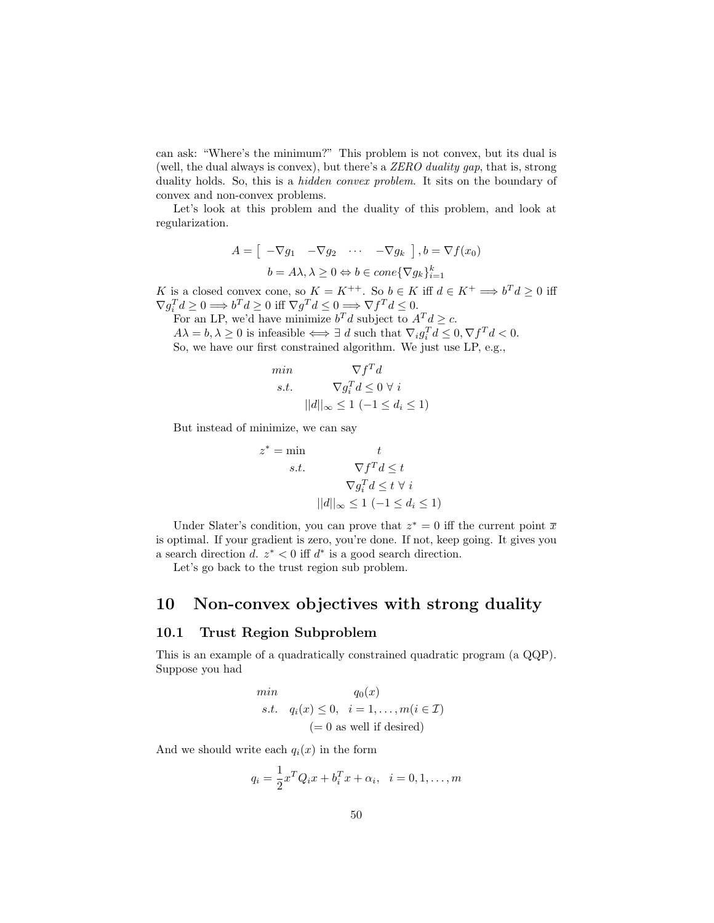can ask: "Where's the minimum?" This problem is not convex, but its dual is (well, the dual always is convex), but there's a ZERO duality gap, that is, strong duality holds. So, this is a *hidden convex problem*. It sits on the boundary of convex and non-convex problems.

Let's look at this problem and the duality of this problem, and look at regularization.

$$
A = \begin{bmatrix} -\nabla g_1 & -\nabla g_2 & \cdots & -\nabla g_k \end{bmatrix}, b = \nabla f(x_0)
$$

$$
b = A\lambda, \lambda \ge 0 \Leftrightarrow b \in cone\{\nabla g_k\}_{i=1}^k
$$

K is a closed convex cone, so  $K = K^{++}$ . So  $b \in K$  iff  $d \in K^+ \Longrightarrow b^T d \geq 0$  iff  $\nabla g_i^T d \geq 0 \Longrightarrow b^T d \geq 0 \text{ iff } \nabla g^T d \leq 0 \Longrightarrow \nabla f^T d \leq 0.$ 

For an LP, we'd have minimize  $b^T d$  subject to  $A^T d \geq c$ .  $A\lambda = b, \lambda \geq 0$  is infeasible  $\Longleftrightarrow \exists d$  such that  $\nabla_i g_i^T d \leq 0, \nabla f^T d < 0$ .

So, we have our first constrained algorithm. We just use LP, e.g.,

$$
\min \qquad \nabla f^T d
$$
\n
$$
s.t. \qquad \nabla g_i^T d \le 0 \ \forall \ i
$$
\n
$$
||d||_{\infty} \le 1 \ (-1 \le d_i \le 1)
$$

But instead of minimize, we can say

$$
z^* = \min \t t
$$
  
s.t. 
$$
\nabla f^T d \le t
$$

$$
\nabla g_i^T d \le t \ \forall i
$$

$$
||d||_{\infty} \le 1 \ (-1 \le d_i \le 1)
$$

Under Slater's condition, you can prove that  $z^* = 0$  iff the current point  $\overline{x}$ is optimal. If your gradient is zero, you're done. If not, keep going. It gives you a search direction d.  $z^* < 0$  iff  $d^*$  is a good search direction.

Let's go back to the trust region sub problem.

## 10 Non-convex objectives with strong duality

#### 10.1 Trust Region Subproblem

This is an example of a quadratically constrained quadratic program (a QQP). Suppose you had

min  
\n
$$
q_0(x)
$$
  
\ns.t.  $q_i(x) \le 0, \quad i = 1, ..., m(i \in \mathcal{I})$   
\n $(= 0 \text{ as well if desired})$ 

And we should write each  $q_i(x)$  in the form

$$
q_i = \frac{1}{2}x^T Q_i x + b_i^T x + \alpha_i, \ \ i = 0, 1, \dots, m
$$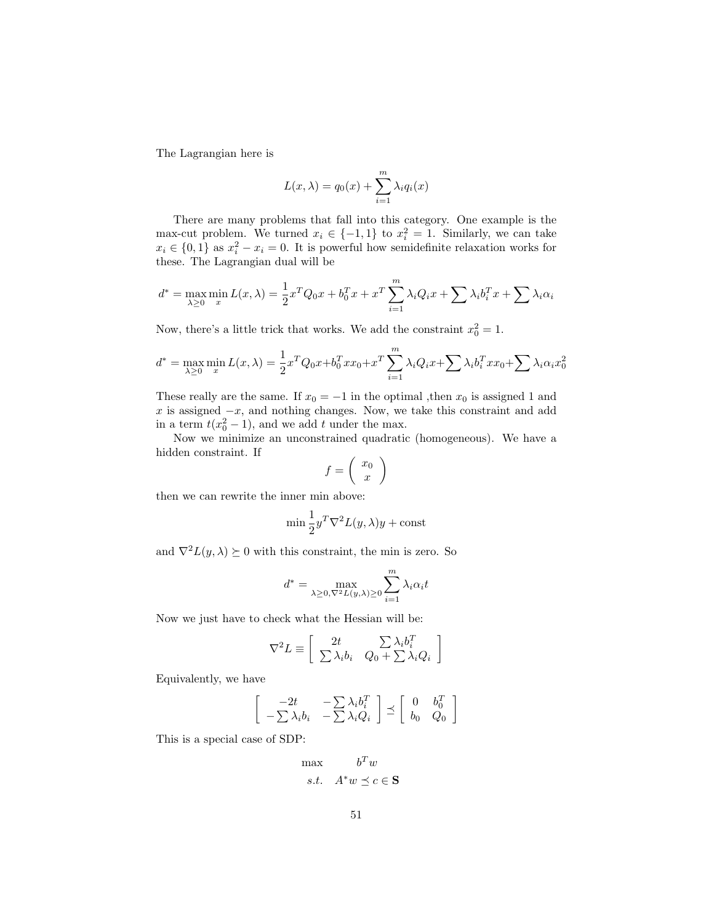The Lagrangian here is

$$
L(x,\lambda) = q_0(x) + \sum_{i=1}^{m} \lambda_i q_i(x)
$$

There are many problems that fall into this category. One example is the max-cut problem. We turned  $x_i \in \{-1,1\}$  to  $x_i^2 = 1$ . Similarly, we can take  $x_i \in \{0,1\}$  as  $x_i^2 - x_i = 0$ . It is powerful how semidefinite relaxation works for these. The Lagrangian dual will be

$$
d^* = \max_{\lambda \ge 0} \min_x L(x, \lambda) = \frac{1}{2} x^T Q_0 x + b_0^T x + x^T \sum_{i=1}^m \lambda_i Q_i x + \sum_{i=1}^m \lambda_i b_i^T x + \sum_{i=1}^m \lambda_i \alpha_i
$$

Now, there's a little trick that works. We add the constraint  $x_0^2 = 1$ .

$$
d^* = \max_{\lambda \ge 0} \min_x L(x, \lambda) = \frac{1}{2} x^T Q_0 x + b_0^T x x_0 + x^T \sum_{i=1}^m \lambda_i Q_i x + \sum_{i=1}^m \lambda_i b_i^T x x_0 + \sum_{i=1}^m \lambda_i \alpha_i x_0^2
$$

These really are the same. If  $x_0 = -1$  in the optimal ,then  $x_0$  is assigned 1 and  $x$  is assigned  $-x$ , and nothing changes. Now, we take this constraint and add in a term  $t(x_0^2 - 1)$ , and we add t under the max.

Now we minimize an unconstrained quadratic (homogeneous). We have a hidden constraint. If

$$
f = \left(\begin{array}{c} x_0 \\ x \end{array}\right)
$$

then we can rewrite the inner min above:

$$
\min \frac{1}{2} y^T \nabla^2 L(y, \lambda) y + \text{const}
$$

and  $\nabla^2 L(y, \lambda) \succeq 0$  with this constraint, the min is zero. So

$$
d^* = \max_{\lambda \ge 0, \nabla^2 L(y, \lambda) \ge 0} \sum_{i=1}^m \lambda_i \alpha_i t
$$

Now we just have to check what the Hessian will be:

$$
\nabla^2 L \equiv \left[ \begin{array}{cc} 2t & \sum \lambda_i b_i^T \\ \sum \lambda_i b_i & Q_0 + \sum \lambda_i Q_i \end{array} \right]
$$

Equivalently, we have

$$
\begin{bmatrix} -2t & -\sum \lambda_i b_i^T \\ -\sum \lambda_i b_i & -\sum \lambda_i Q_i \end{bmatrix} \preceq \begin{bmatrix} 0 & b_0^T \\ b_0 & Q_0 \end{bmatrix}
$$

This is a special case of SDP:

$$
\begin{aligned}\n\max & \qquad b^T w \\
s.t. & \qquad A^* w \preceq c \in \mathbf{S}\n\end{aligned}
$$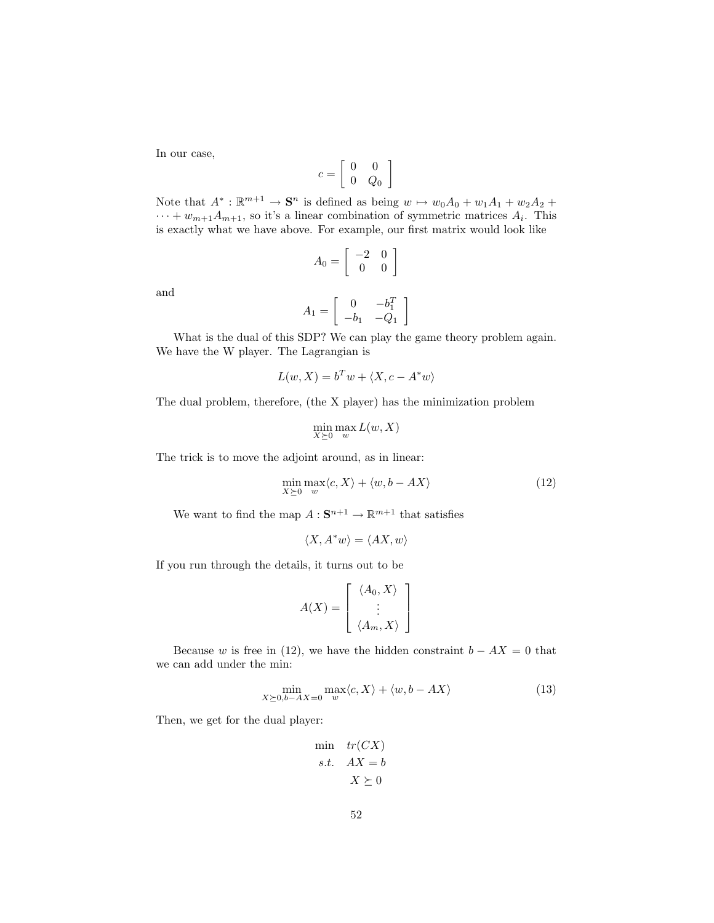In our case,

$$
c=\left[\begin{array}{cc} 0 & 0 \\ 0 & Q_0 \end{array}\right]
$$

Note that  $A^*: \mathbb{R}^{m+1} \to \mathbf{S}^n$  is defined as being  $w \mapsto w_0A_0 + w_1A_1 + w_2A_2 +$  $\cdots + w_{m+1}A_{m+1}$ , so it's a linear combination of symmetric matrices  $A_i$ . This is exactly what we have above. For example, our first matrix would look like

$$
A_0 = \left[ \begin{array}{cc} -2 & 0 \\ 0 & 0 \end{array} \right]
$$

and

$$
A_1 = \left[ \begin{array}{cc} 0 & -b_1^T \\ -b_1 & -Q_1 \end{array} \right]
$$

What is the dual of this SDP? We can play the game theory problem again. We have the W player. The Lagrangian is

$$
L(w, X) = b^T w + \langle X, c - A^* w \rangle
$$

The dual problem, therefore, (the X player) has the minimization problem

$$
\min_{X \succeq 0} \max_w L(w, X)
$$

The trick is to move the adjoint around, as in linear:

$$
\min_{X \succeq 0} \max_w \langle c, X \rangle + \langle w, b - AX \rangle \tag{12}
$$

We want to find the map  $A: \mathbf{S}^{n+1} \to \mathbb{R}^{m+1}$  that satisfies

$$
\langle X, A^*w \rangle = \langle AX, w \rangle
$$

If you run through the details, it turns out to be

$$
A(X) = \left[ \begin{array}{c} \langle A_0, X \rangle \\ \vdots \\ \langle A_m, X \rangle \end{array} \right]
$$

Because w is free in (12), we have the hidden constraint  $b - AX = 0$  that we can add under the min:

$$
\min_{X \succeq 0, b - AX = 0} \max_{w} \langle c, X \rangle + \langle w, b - AX \rangle \tag{13}
$$

Then, we get for the dual player:

$$
\min_{\begin{array}{l}\n\text{min} & \text{tr}(CX) \\
\text{s.t.} & AX = b \\
& X \succeq 0\n\end{array}
$$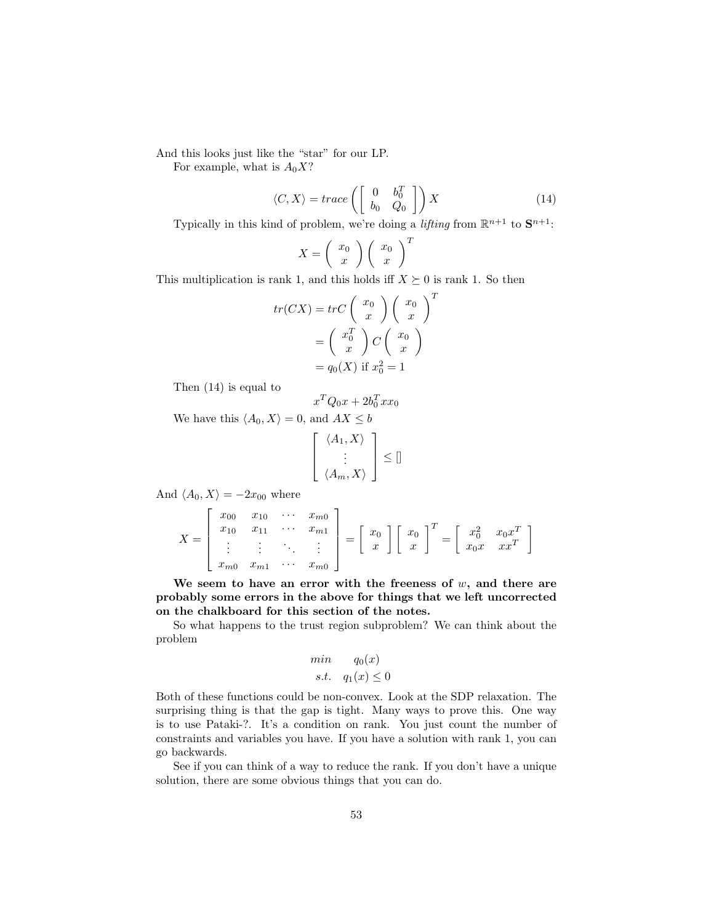And this looks just like the "star" for our LP.

For example, what is  $A_0X$ ?

$$
\langle C, X \rangle = trace\left( \left[ \begin{array}{cc} 0 & b_0^T \\ b_0 & Q_0 \end{array} \right] \right) X \tag{14}
$$

Typically in this kind of problem, we're doing a *lifting* from  $\mathbb{R}^{n+1}$  to  $\mathbf{S}^{n+1}$ .

$$
X = \left(\begin{array}{c} x_0 \\ x \end{array}\right) \left(\begin{array}{c} x_0 \\ x \end{array}\right)^T
$$

This multiplication is rank 1, and this holds iff  $X \succeq 0$  is rank 1. So then

$$
tr(CX) = trC\left(\begin{array}{c} x_0 \\ x \end{array}\right) \left(\begin{array}{c} x_0 \\ x \end{array}\right)^T
$$

$$
= \left(\begin{array}{c} x_0^T \\ x \end{array}\right) C \left(\begin{array}{c} x_0 \\ x \end{array}\right)
$$

$$
= q_0(X) \text{ if } x_0^2 = 1
$$

Then (14) is equal to

$$
x^TQ_0x+2b_0^Txx_0\\
$$

We have this  $\langle A_0, X \rangle = 0$ , and  $AX \leq b$ 

$$
\left[\begin{array}{c} \langle A_1, X \rangle \\ \vdots \\ \langle A_m, X \rangle \end{array}\right] \leq []
$$

And  $\langle A_0, X \rangle = -2x_{00}$  where

$$
X = \begin{bmatrix} x_{00} & x_{10} & \cdots & x_{m0} \\ x_{10} & x_{11} & \cdots & x_{m1} \\ \vdots & \vdots & \ddots & \vdots \\ x_{m0} & x_{m1} & \cdots & x_{m0} \end{bmatrix} = \begin{bmatrix} x_0 \\ x \end{bmatrix} \begin{bmatrix} x_0 \\ x \end{bmatrix}^T = \begin{bmatrix} x_0^2 & x_0 x^T \\ x_0 x & x x^T \end{bmatrix}
$$

We seem to have an error with the freeness of  $w$ , and there are probably some errors in the above for things that we left uncorrected on the chalkboard for this section of the notes.

So what happens to the trust region subproblem? We can think about the problem

$$
\begin{array}{ll}\nmin & q_0(x) \\
s.t. & q_1(x) \le 0\n\end{array}
$$

Both of these functions could be non-convex. Look at the SDP relaxation. The surprising thing is that the gap is tight. Many ways to prove this. One way is to use Pataki-?. It's a condition on rank. You just count the number of constraints and variables you have. If you have a solution with rank 1, you can go backwards.

See if you can think of a way to reduce the rank. If you don't have a unique solution, there are some obvious things that you can do.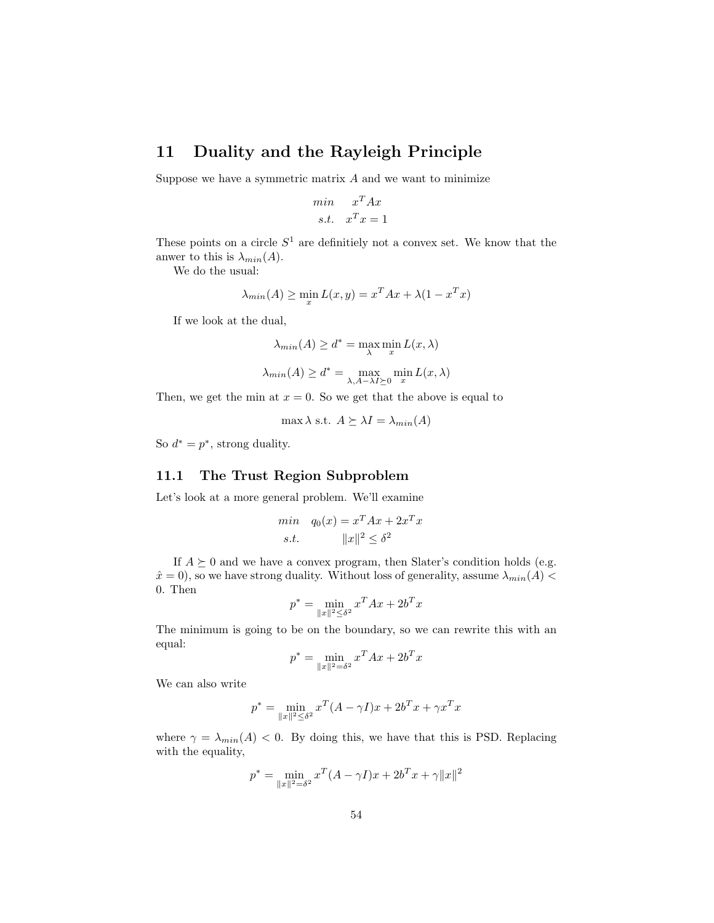# 11 Duality and the Rayleigh Principle

Suppose we have a symmetric matrix  $A$  and we want to minimize

$$
\begin{aligned}\n\min \quad & x^T A x \\
\text{s.t.} \quad & x^T x = 1\n\end{aligned}
$$

These points on a circle  $S^1$  are definitiely not a convex set. We know that the anwer to this is  $\lambda_{min}(A)$ .

We do the usual:

$$
\lambda_{min}(A) \ge \min_{x} L(x, y) = x^T A x + \lambda (1 - x^T x)
$$

If we look at the dual,

$$
\lambda_{min}(A) \ge d^* = \max_{\lambda} \min_{x} L(x, \lambda)
$$

$$
\lambda_{min}(A) \ge d^* = \max_{\lambda, A - \lambda I \ge 0} \min_{x} L(x, \lambda)
$$

Then, we get the min at  $x = 0$ . So we get that the above is equal to

max  $\lambda$  s.t.  $A \succeq \lambda I = \lambda_{min}(A)$ 

So  $d^* = p^*$ , strong duality.

### 11.1 The Trust Region Subproblem

Let's look at a more general problem. We'll examine

$$
\min_{\mathbf{g}_0(x)} q_0(x) = x^T A x + 2x^T x
$$
  
s.t. 
$$
||x||^2 \le \delta^2
$$

If  $A \succeq 0$  and we have a convex program, then Slater's condition holds (e.g.  $\hat{x} = 0$ , so we have strong duality. Without loss of generality, assume  $\lambda_{min}(A)$  < 0. Then

$$
p^* = \min_{\|x\|^2 \le \delta^2} x^T A x + 2b^T x
$$

The minimum is going to be on the boundary, so we can rewrite this with an equal:

$$
p^* = \min_{\|x\|^2 = \delta^2} x^T A x + 2b^T x
$$

We can also write

$$
p^* = \min_{\|x\|^2 \le \delta^2} x^T (A - \gamma I) x + 2b^T x + \gamma x^T x
$$

where  $\gamma = \lambda_{min}(A) < 0$ . By doing this, we have that this is PSD. Replacing with the equality,

$$
p^* = \min_{\|x\|^2 = \delta^2} x^T (A - \gamma I)x + 2b^T x + \gamma \|x\|^2
$$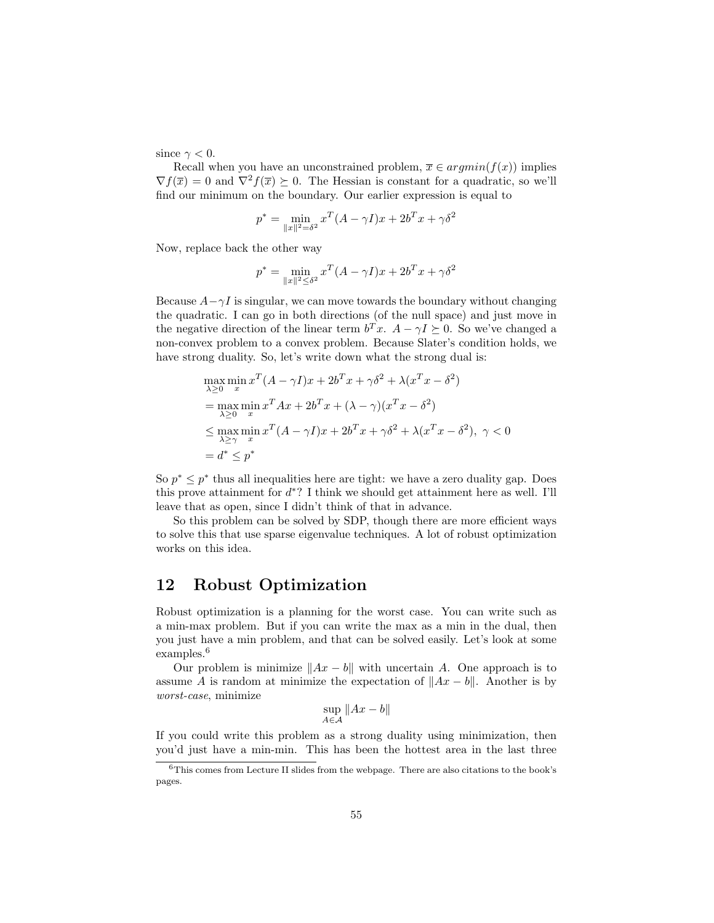since  $\gamma < 0$ .

Recall when you have an unconstrained problem,  $\bar{x} \in argmin(f(x))$  implies  $\nabla f(\overline{x}) = 0$  and  $\nabla^2 f(\overline{x}) \succeq 0$ . The Hessian is constant for a quadratic, so we'll find our minimum on the boundary. Our earlier expression is equal to

$$
p^* = \min_{\|x\|^2 = \delta^2} x^T (A - \gamma I) x + 2b^T x + \gamma \delta^2
$$

Now, replace back the other way

$$
p^* = \min_{\|x\|^2 \le \delta^2} x^T (A - \gamma I) x + 2b^T x + \gamma \delta^2
$$

Because  $A-\gamma I$  is singular, we can move towards the boundary without changing the quadratic. I can go in both directions (of the null space) and just move in the negative direction of the linear term  $b^T x$ .  $A - \gamma I \succeq 0$ . So we've changed a non-convex problem to a convex problem. Because Slater's condition holds, we have strong duality. So, let's write down what the strong dual is:

$$
\max_{\lambda \geq 0} \min_{x} x^{T} (A - \gamma I)x + 2b^{T} x + \gamma \delta^{2} + \lambda (x^{T} x - \delta^{2})
$$
\n
$$
= \max_{\lambda \geq 0} \min_{x} x^{T} A x + 2b^{T} x + (\lambda - \gamma)(x^{T} x - \delta^{2})
$$
\n
$$
\leq \max_{\lambda \geq \gamma} \min_{x} x^{T} (A - \gamma I)x + 2b^{T} x + \gamma \delta^{2} + \lambda (x^{T} x - \delta^{2}), \ \gamma < 0
$$
\n
$$
= d^{*} \leq p^{*}
$$

So  $p^* \leq p^*$  thus all inequalities here are tight: we have a zero duality gap. Does this prove attainment for  $d^*$ ? I think we should get attainment here as well. I'll leave that as open, since I didn't think of that in advance.

So this problem can be solved by SDP, though there are more efficient ways to solve this that use sparse eigenvalue techniques. A lot of robust optimization works on this idea.

# 12 Robust Optimization

Robust optimization is a planning for the worst case. You can write such as a min-max problem. But if you can write the max as a min in the dual, then you just have a min problem, and that can be solved easily. Let's look at some examples.<sup>6</sup>

Our problem is minimize  $||Ax - b||$  with uncertain A. One approach is to assume A is random at minimize the expectation of  $||Ax - b||$ . Another is by worst-case, minimize

 $\sup_{A \in \mathcal{A}} \|Ax - b\|$ 

If you could write this problem as a strong duality using minimization, then you'd just have a min-min. This has been the hottest area in the last three

 $6$ This comes from Lecture II slides from the webpage. There are also citations to the book's pages.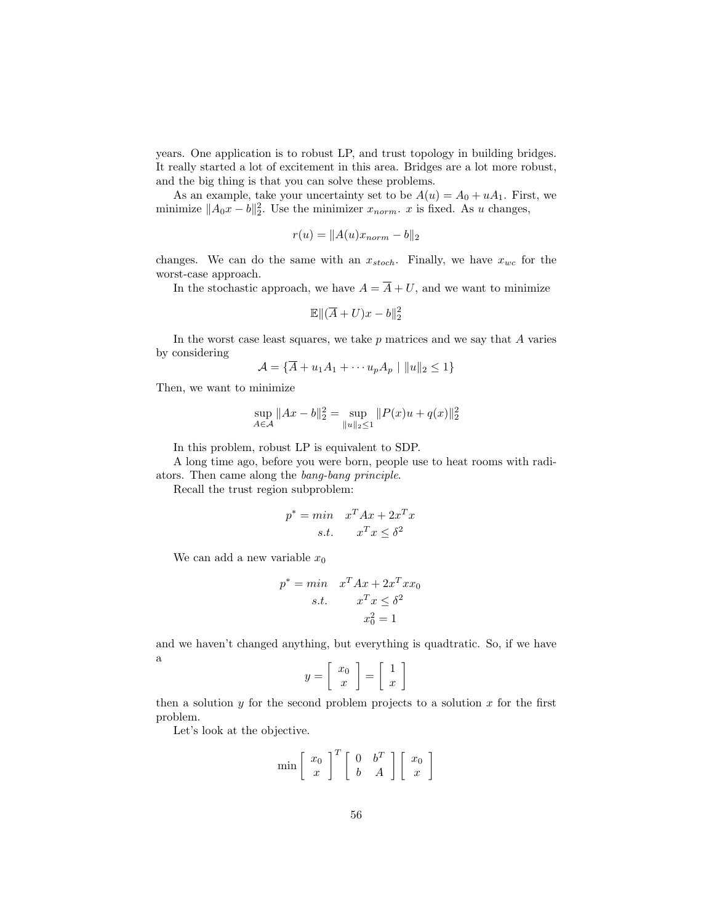years. One application is to robust LP, and trust topology in building bridges. It really started a lot of excitement in this area. Bridges are a lot more robust, and the big thing is that you can solve these problems.

As an example, take your uncertainty set to be  $A(u) = A_0 + uA_1$ . First, we minimize  $||A_0x - b||_2^2$ . Use the minimizer  $x_{norm}$ . x is fixed. As u changes,

$$
r(u) = ||A(u)x_{norm} - b||_2
$$

changes. We can do the same with an  $x_{stoch}$ . Finally, we have  $x_{wc}$  for the worst-case approach.

In the stochastic approach, we have  $A = \overline{A} + U$ , and we want to minimize

$$
\mathbb{E}\|(\overline{A}+U)x-b\|_2^2
$$

In the worst case least squares, we take  $p$  matrices and we say that  $A$  varies by considering

$$
\mathcal{A} = \{ \overline{A} + u_1 A_1 + \cdots + u_p A_p \mid ||u||_2 \le 1 \}
$$

Then, we want to minimize

$$
\sup_{A \in \mathcal{A}} \|Ax - b\|_2^2 = \sup_{\|u\|_2 \le 1} \|P(x)u + q(x)\|_2^2
$$

In this problem, robust LP is equivalent to SDP.

A long time ago, before you were born, people use to heat rooms with radiators. Then came along the bang-bang principle.

Recall the trust region subproblem:

$$
p^* = \min \quad x^T A x + 2x^T x
$$
  
s.t. 
$$
x^T x \le \delta^2
$$

We can add a new variable  $x_0$ 

$$
p^* = min \t x^T A x + 2x^T x x_0
$$
  
s.t. 
$$
x^T x \le \delta^2
$$

$$
x_0^2 = 1
$$

and we haven't changed anything, but everything is quadtratic. So, if we have a

$$
y = \left[ \begin{array}{c} x_0 \\ x \end{array} \right] = \left[ \begin{array}{c} 1 \\ x \end{array} \right]
$$

then a solution  $y$  for the second problem projects to a solution  $x$  for the first problem.

Let's look at the objective.

$$
\min \left[ \begin{array}{c} x_0 \\ x \end{array} \right]^T \left[ \begin{array}{cc} 0 & b^T \\ b & A \end{array} \right] \left[ \begin{array}{c} x_0 \\ x \end{array} \right]
$$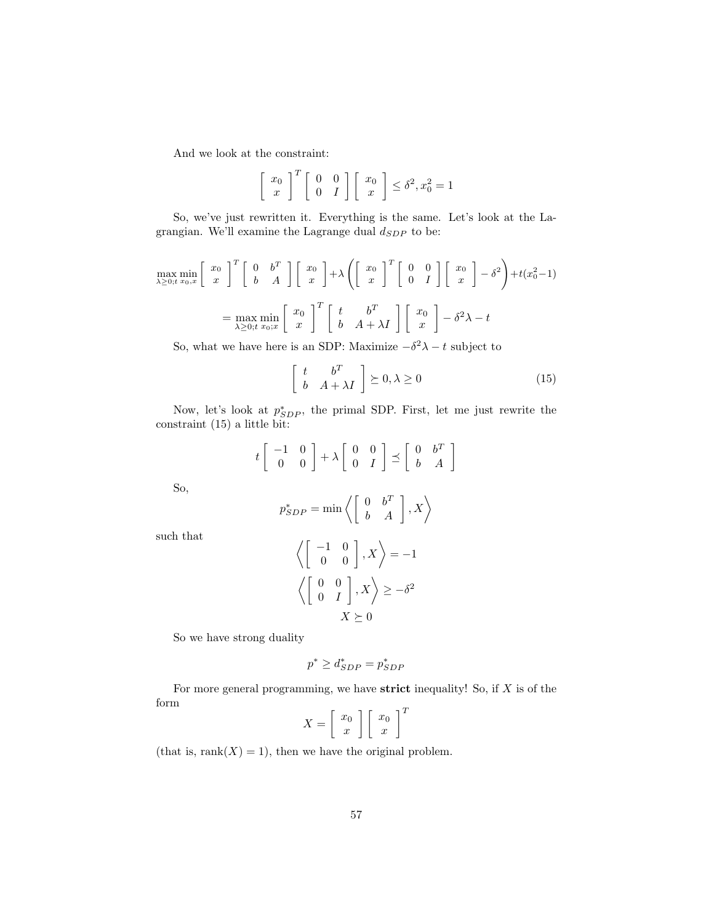And we look at the constraint:

$$
\left[\begin{array}{c} x_0 \\ x \end{array}\right]^T \left[\begin{array}{cc} 0 & 0 \\ 0 & I \end{array}\right] \left[\begin{array}{c} x_0 \\ x \end{array}\right] \le \delta^2, x_0^2 = 1
$$

So, we've just rewritten it. Everything is the same. Let's look at the Lagrangian. We'll examine the Lagrange dual  $d_{SDP}$  to be:

$$
\max_{\lambda \ge 0; t} \min_{x_0, x} \begin{bmatrix} x_0 \\ x \end{bmatrix}^T \begin{bmatrix} 0 & b^T \\ b & A \end{bmatrix} \begin{bmatrix} x_0 \\ x \end{bmatrix} + \lambda \left( \begin{bmatrix} x_0 \\ x \end{bmatrix}^T \begin{bmatrix} 0 & 0 \\ 0 & I \end{bmatrix} \begin{bmatrix} x_0 \\ x \end{bmatrix} - \delta^2 \right) + t(x_0^2 - 1)
$$

$$
= \max_{\lambda \ge 0; t} \min_{x_0; x} \begin{bmatrix} x_0 \\ x \end{bmatrix}^T \begin{bmatrix} t & b^T \\ b & A + \lambda I \end{bmatrix} \begin{bmatrix} x_0 \\ x \end{bmatrix} - \delta^2 \lambda - t
$$

So, what we have here is an SDP: Maximize  $-\delta^2 \lambda - t$  subject to

$$
\begin{bmatrix} t & b^T \\ b & A + \lambda I \end{bmatrix} \succeq 0, \lambda \ge 0
$$
 (15)

Now, let's look at  $p_{SDP}^*$ , the primal SDP. First, let me just rewrite the constraint (15) a little bit:

$$
t\left[\begin{array}{cc} -1 & 0 \\ 0 & 0 \end{array}\right] + \lambda \left[\begin{array}{cc} 0 & 0 \\ 0 & I \end{array}\right] \preceq \left[\begin{array}{cc} 0 & b^T \\ b & A \end{array}\right]
$$

So,

$$
p_{SDP}^* = \min \left\langle \left[ \begin{array}{cc} 0 & b^T \\ b & A \end{array} \right], X \right\rangle
$$

such that

$$
\left\langle \begin{bmatrix} -1 & 0 \\ 0 & 0 \end{bmatrix}, X \right\rangle = -1
$$

$$
\left\langle \begin{bmatrix} 0 & 0 \\ 0 & I \end{bmatrix}, X \right\rangle \ge -\delta^2
$$

$$
X \succeq 0
$$

So we have strong duality

$$
p^* \ge d_{SDP}^* = p_{SDP}^*
$$

For more general programming, we have **strict** inequality! So, if  $X$  is of the form

$$
X = \left[ \begin{array}{c} x_0 \\ x \end{array} \right] \left[ \begin{array}{c} x_0 \\ x \end{array} \right]^T
$$

(that is,  $rank(X) = 1$ ), then we have the original problem.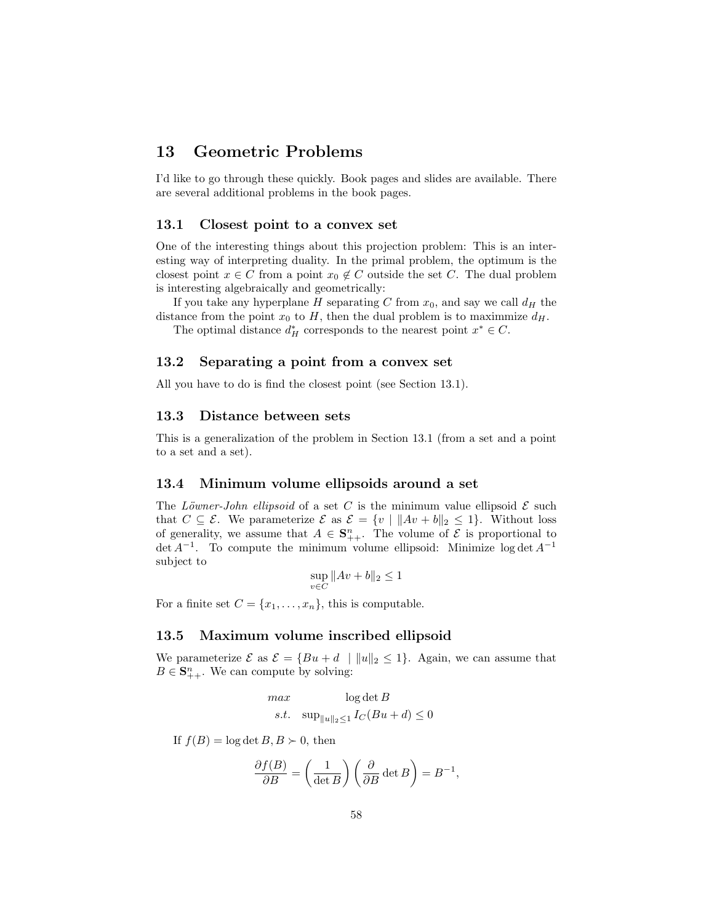## 13 Geometric Problems

I'd like to go through these quickly. Book pages and slides are available. There are several additional problems in the book pages.

#### 13.1 Closest point to a convex set

One of the interesting things about this projection problem: This is an interesting way of interpreting duality. In the primal problem, the optimum is the closest point  $x \in C$  from a point  $x_0 \notin C$  outside the set C. The dual problem is interesting algebraically and geometrically:

If you take any hyperplane H separating C from  $x_0$ , and say we call  $d_H$  the distance from the point  $x_0$  to H, then the dual problem is to maximmize  $d_H$ .

The optimal distance  $d_H^*$  corresponds to the nearest point  $x^* \in C$ .

### 13.2 Separating a point from a convex set

All you have to do is find the closest point (see Section 13.1).

#### 13.3 Distance between sets

This is a generalization of the problem in Section 13.1 (from a set and a point to a set and a set).

#### 13.4 Minimum volume ellipsoids around a set

The Löwner-John ellipsoid of a set C is the minimum value ellipsoid  $\mathcal E$  such that  $C \subseteq \mathcal{E}$ . We parameterize  $\mathcal{E}$  as  $\mathcal{E} = \{v \mid ||Av + b||_2 \leq 1\}$ . Without loss of generality, we assume that  $A \in \mathbf{S}_{++}^n$ . The volume of  $\mathcal E$  is proportional to  $\det A^{-1}$ . To compute the minimum volume ellipsoid: Minimize log  $\det A^{-1}$ subject to

$$
\sup_{v \in C} \|Av + b\|_2 \le 1
$$

For a finite set  $C = \{x_1, \ldots, x_n\}$ , this is computable.

#### 13.5 Maximum volume inscribed ellipsoid

We parameterize  $\mathcal E$  as  $\mathcal E = \{Bu + d \mid ||u||_2 \leq 1\}$ . Again, we can assume that  $B \in \mathbf{S}_{++}^n$ . We can compute by solving:

$$
\begin{aligned}\n\max & \qquad \log \det B \\
s.t. & \qquad \sup_{\|u\|_2 \le 1} I_C(Bu + d) \le 0\n\end{aligned}
$$

If  $f(B) = \log \det B, B \succ 0$ , then

$$
\frac{\partial f(B)}{\partial B} = \left(\frac{1}{\det B}\right) \left(\frac{\partial}{\partial B} \det B\right) = B^{-1},
$$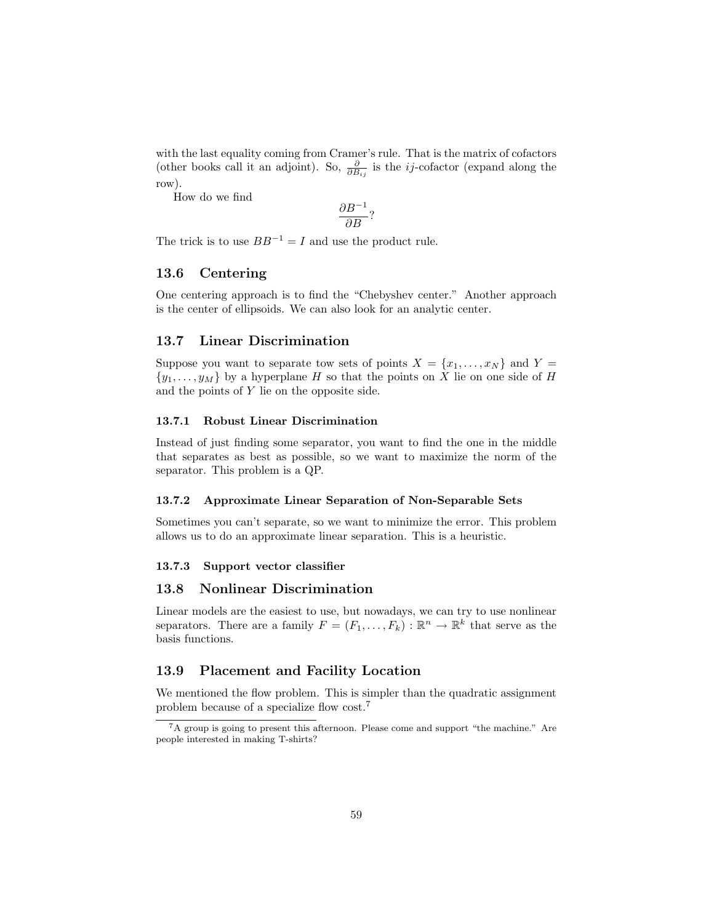with the last equality coming from Cramer's rule. That is the matrix of cofactors (other books call it an adjoint). So,  $\frac{\partial}{\partial B_{ij}}$  is the *ij*-cofactor (expand along the row).

How do we find

$$
\frac{\partial B^{-1}}{\partial B}?
$$

The trick is to use  $BB^{-1} = I$  and use the product rule.

### 13.6 Centering

One centering approach is to find the "Chebyshev center." Another approach is the center of ellipsoids. We can also look for an analytic center.

#### 13.7 Linear Discrimination

Suppose you want to separate tow sets of points  $X = \{x_1, \ldots, x_N\}$  and  $Y =$  $\{y_1, \ldots, y_M\}$  by a hyperplane H so that the points on X lie on one side of H and the points of Y lie on the opposite side.

#### 13.7.1 Robust Linear Discrimination

Instead of just finding some separator, you want to find the one in the middle that separates as best as possible, so we want to maximize the norm of the separator. This problem is a QP.

#### 13.7.2 Approximate Linear Separation of Non-Separable Sets

Sometimes you can't separate, so we want to minimize the error. This problem allows us to do an approximate linear separation. This is a heuristic.

#### 13.7.3 Support vector classifier

### 13.8 Nonlinear Discrimination

Linear models are the easiest to use, but nowadays, we can try to use nonlinear separators. There are a family  $F = (F_1, \ldots, F_k) : \mathbb{R}^n \to \mathbb{R}^k$  that serve as the basis functions.

#### 13.9 Placement and Facility Location

We mentioned the flow problem. This is simpler than the quadratic assignment problem because of a specialize flow cost.<sup>7</sup>

<sup>7</sup>A group is going to present this afternoon. Please come and support "the machine." Are people interested in making T-shirts?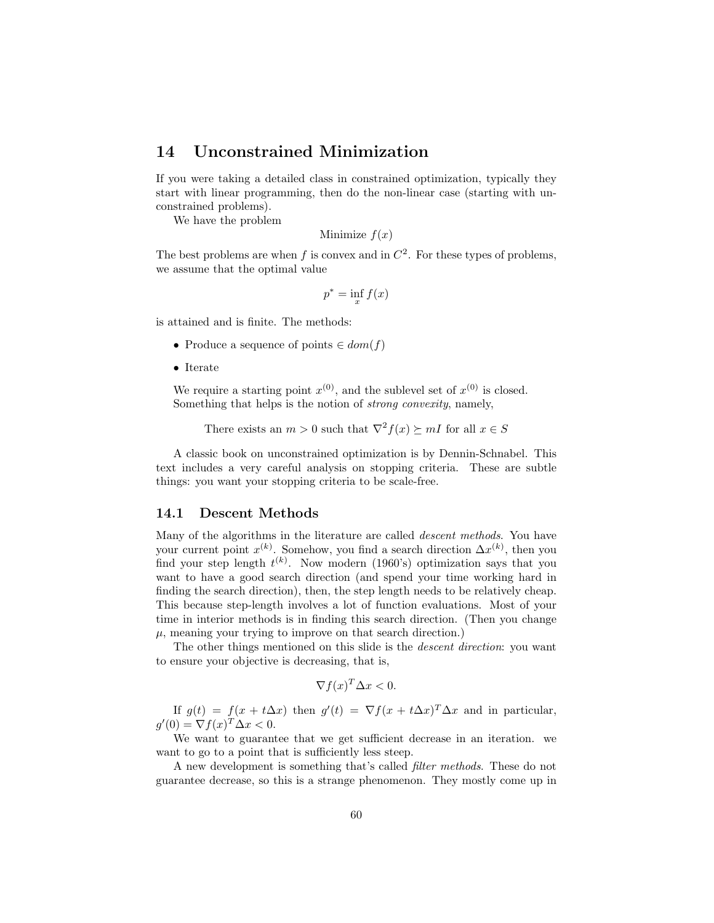## 14 Unconstrained Minimization

If you were taking a detailed class in constrained optimization, typically they start with linear programming, then do the non-linear case (starting with unconstrained problems).

We have the problem

Minimize  $f(x)$ 

The best problems are when f is convex and in  $C^2$ . For these types of problems, we assume that the optimal value

$$
p^* = \inf_x f(x)
$$

is attained and is finite. The methods:

- Produce a sequence of points  $\in dom(f)$
- Iterate

We require a starting point  $x^{(0)}$ , and the sublevel set of  $x^{(0)}$  is closed. Something that helps is the notion of strong convexity, namely,

There exists an  $m > 0$  such that  $\nabla^2 f(x) \succeq mI$  for all  $x \in S$ 

A classic book on unconstrained optimization is by Dennin-Schnabel. This text includes a very careful analysis on stopping criteria. These are subtle things: you want your stopping criteria to be scale-free.

### 14.1 Descent Methods

Many of the algorithms in the literature are called descent methods. You have your current point  $x^{(k)}$ . Somehow, you find a search direction  $\Delta x^{(k)}$ , then you find your step length  $t^{(k)}$ . Now modern (1960's) optimization says that you want to have a good search direction (and spend your time working hard in finding the search direction), then, the step length needs to be relatively cheap. This because step-length involves a lot of function evaluations. Most of your time in interior methods is in finding this search direction. (Then you change  $\mu$ , meaning your trying to improve on that search direction.)

The other things mentioned on this slide is the *descent direction*: you want to ensure your objective is decreasing, that is,

$$
\nabla f(x)^T \Delta x < 0.
$$

If  $g(t) = f(x + t\Delta x)$  then  $g'(t) = \nabla f(x + t\Delta x)^T \Delta x$  and in particular,  $g'(0) = \nabla f(x)^T \Delta x < 0.$ 

We want to guarantee that we get sufficient decrease in an iteration. we want to go to a point that is sufficiently less steep.

A new development is something that's called filter methods. These do not guarantee decrease, so this is a strange phenomenon. They mostly come up in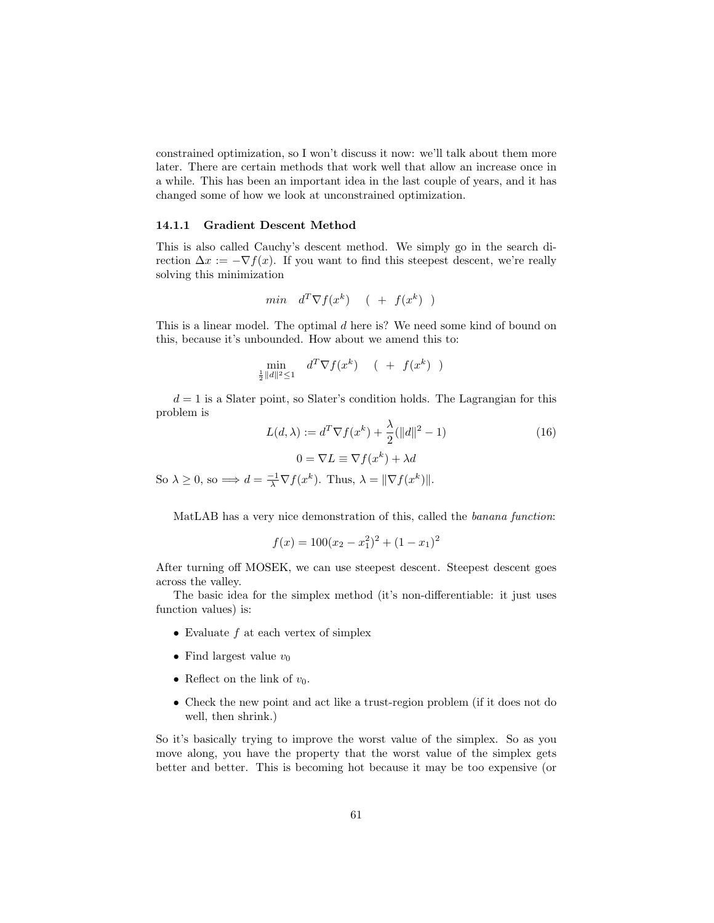constrained optimization, so I won't discuss it now: we'll talk about them more later. There are certain methods that work well that allow an increase once in a while. This has been an important idea in the last couple of years, and it has changed some of how we look at unconstrained optimization.

#### 14.1.1 Gradient Descent Method

This is also called Cauchy's descent method. We simply go in the search direction  $\Delta x := -\nabla f(x)$ . If you want to find this steepest descent, we're really solving this minimization

$$
min \quad d^T \nabla f(x^k) \quad (+ \quad f(x^k) \quad )
$$

This is a linear model. The optimal d here is? We need some kind of bound on this, because it's unbounded. How about we amend this to:

$$
\min_{\frac{1}{2}||d||^2 \le 1} d^T \nabla f(x^k) \quad (+ \ f(x^k))
$$

 $d = 1$  is a Slater point, so Slater's condition holds. The Lagrangian for this problem is

$$
L(d, \lambda) := d^T \nabla f(x^k) + \frac{\lambda}{2} (||d||^2 - 1)
$$
  

$$
0 = \nabla L \equiv \nabla f(x^k) + \lambda d
$$
 (16)

So  $\lambda \geq 0$ , so  $\Longrightarrow d = \frac{-1}{\lambda} \nabla f(x^k)$ . Thus,  $\lambda = ||\nabla f(x^k)||$ .

MatLAB has a very nice demonstration of this, called the banana function:

$$
f(x) = 100(x_2 - x_1^2)^2 + (1 - x_1)^2
$$

After turning off MOSEK, we can use steepest descent. Steepest descent goes across the valley.

The basic idea for the simplex method (it's non-differentiable: it just uses function values) is:

- Evaluate  $f$  at each vertex of simplex
- Find largest value  $v_0$
- Reflect on the link of  $v_0$ .
- Check the new point and act like a trust-region problem (if it does not do well, then shrink.)

So it's basically trying to improve the worst value of the simplex. So as you move along, you have the property that the worst value of the simplex gets better and better. This is becoming hot because it may be too expensive (or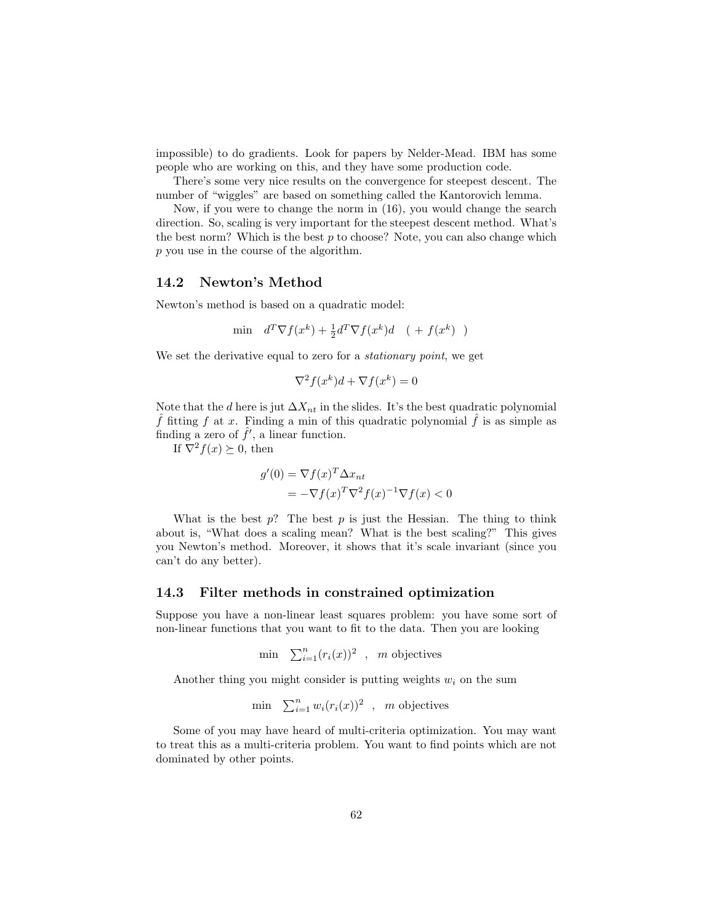impossible) to do gradients. Look for papers by Nelder-Mead. IBM has some people who are working on this, and they have some production code.

There's some very nice results on the convergence for steepest descent. The number of "wiggles" are based on something called the Kantorovich lemma.

Now, if you were to change the norm in (16), you would change the search direction. So, scaling is very important for the steepest descent method. What's the best norm? Which is the best  $p$  to choose? Note, you can also change which p you use in the course of the algorithm.

### 14.2 Newton's Method

Newton's method is based on a quadratic model:

$$
\min \quad d^T \nabla f(x^k) + \frac{1}{2} d^T \nabla f(x^k) d \quad (+ \ f(x^k) )
$$

We set the derivative equal to zero for a *stationary point*, we get

$$
\nabla^2 f(x^k) d + \nabla f(x^k) = 0
$$

Note that the d here is jut  $\Delta X_{nt}$  in the slides. It's the best quadratic polynomial f fitting f at x. Finding a min of this quadratic polynomial f is as simple as finding a zero of  $\hat{f}'$ , a linear function.

If  $\nabla^2 f(x) \succeq 0$ , then

$$
g'(0) = \nabla f(x)^T \Delta x_{nt}
$$
  
=  $-\nabla f(x)^T \nabla^2 f(x)^{-1} \nabla f(x) < 0$ 

What is the best  $p$ ? The best  $p$  is just the Hessian. The thing to think about is, "What does a scaling mean? What is the best scaling?" This gives you Newton's method. Moreover, it shows that it's scale invariant (since you can't do any better).

#### 14.3 Filter methods in constrained optimization

Suppose you have a non-linear least squares problem: you have some sort of non-linear functions that you want to fit to the data. Then you are looking

$$
\min \sum_{i=1}^{n} (r_i(x))^2 \quad , \quad m \text{ objectives}
$$

Another thing you might consider is putting weights  $w_i$  on the sum

$$
\min \quad \sum_{i=1}^n w_i(r_i(x))^2 \quad , \quad m \text{ objectives}
$$

Some of you may have heard of multi-criteria optimization. You may want to treat this as a multi-criteria problem. You want to find points which are not dominated by other points.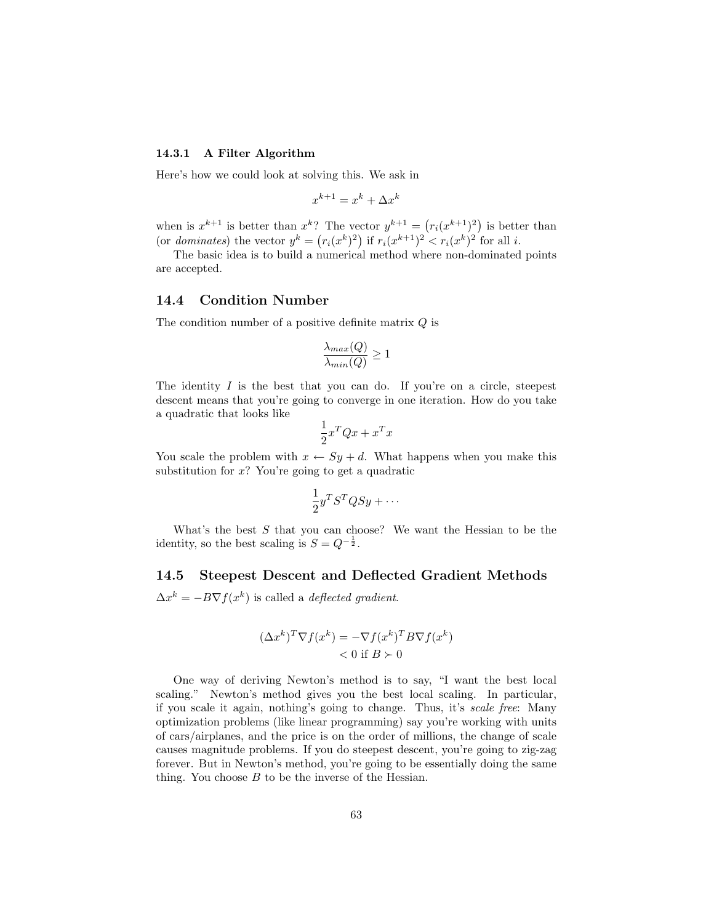#### 14.3.1 A Filter Algorithm

Here's how we could look at solving this. We ask in

$$
x^{k+1} = x^k + \Delta x^k
$$

when is  $x^{k+1}$  is better than  $x^k$ ? The vector  $y^{k+1} = (r_i(x^{k+1})^2)$  is better than (or dominates) the vector  $y^k = (r_i(x^k)^2)$  if  $r_i(x^{k+1})^2 < r_i(x^k)^2$  for all i.

The basic idea is to build a numerical method where non-dominated points are accepted.

### 14.4 Condition Number

The condition number of a positive definite matrix Q is

$$
\frac{\lambda_{max}(Q)}{\lambda_{min}(Q)} \ge 1
$$

The identity  $I$  is the best that you can do. If you're on a circle, steepest descent means that you're going to converge in one iteration. How do you take a quadratic that looks like

$$
\frac{1}{2}x^T Q x + x^T x
$$

You scale the problem with  $x \leftarrow Sy + d$ . What happens when you make this substitution for  $x$ ? You're going to get a quadratic

$$
\frac{1}{2}y^T S^T Q S y + \cdots
$$

What's the best  $S$  that you can choose? We want the Hessian to be the identity, so the best scaling is  $S = Q^{-\frac{1}{2}}$ .

### 14.5 Steepest Descent and Deflected Gradient Methods

 $\Delta x^k = -B\nabla f(x^k)$  is called a *deflected gradient*.

$$
(\Delta x^k)^T \nabla f(x^k) = -\nabla f(x^k)^T B \nabla f(x^k)
$$
  
< 0 if  $B \succ 0$ 

One way of deriving Newton's method is to say, "I want the best local scaling." Newton's method gives you the best local scaling. In particular, if you scale it again, nothing's going to change. Thus, it's scale free: Many optimization problems (like linear programming) say you're working with units of cars/airplanes, and the price is on the order of millions, the change of scale causes magnitude problems. If you do steepest descent, you're going to zig-zag forever. But in Newton's method, you're going to be essentially doing the same thing. You choose  $B$  to be the inverse of the Hessian.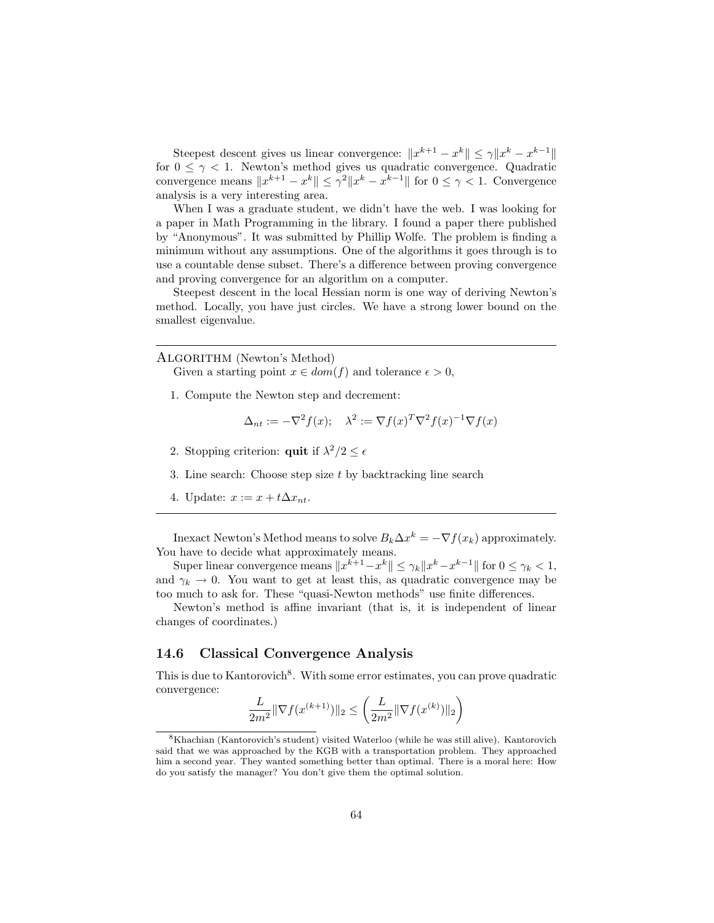Steepest descent gives us linear convergence:  $||x^{k+1} - x^k|| \leq \gamma ||x^k - x^{k-1}||$ for  $0 \leq \gamma < 1$ . Newton's method gives us quadratic convergence. Quadratic convergence means  $||x^{k+1} - x^k|| \leq \gamma^2 ||x^k - x^{k-1}||$  for  $0 \leq \gamma < 1$ . Convergence analysis is a very interesting area.

When I was a graduate student, we didn't have the web. I was looking for a paper in Math Programming in the library. I found a paper there published by "Anonymous". It was submitted by Phillip Wolfe. The problem is finding a minimum without any assumptions. One of the algorithms it goes through is to use a countable dense subset. There's a difference between proving convergence and proving convergence for an algorithm on a computer.

Steepest descent in the local Hessian norm is one way of deriving Newton's method. Locally, you have just circles. We have a strong lower bound on the smallest eigenvalue.

ALGORITHM (Newton's Method)

Given a starting point  $x \in dom(f)$  and tolerance  $\epsilon > 0$ ,

1. Compute the Newton step and decrement:

$$
\Delta_{nt} := -\nabla^2 f(x); \quad \lambda^2 := \nabla f(x)^T \nabla^2 f(x)^{-1} \nabla f(x)
$$

- 2. Stopping criterion: **quit** if  $\lambda^2/2 \leq \epsilon$
- 3. Line search: Choose step size t by backtracking line search
- 4. Update:  $x := x + t\Delta x_{nt}$ .

Inexact Newton's Method means to solve  $B_k\Delta x^k = -\nabla f(x_k)$  approximately. You have to decide what approximately means.

Super linear convergence means  $||x^{k+1}-x^k|| \leq \gamma_k ||x^k-x^{k-1}||$  for  $0 \leq \gamma_k < 1$ , and  $\gamma_k \to 0$ . You want to get at least this, as quadratic convergence may be too much to ask for. These "quasi-Newton methods" use finite differences.

Newton's method is affine invariant (that is, it is independent of linear changes of coordinates.)

## 14.6 Classical Convergence Analysis

This is due to Kantorovich<sup>8</sup>. With some error estimates, you can prove quadratic convergence:

$$
\frac{L}{2m^2} \|\nabla f(x^{(k+1)})\|_2 \le \left(\frac{L}{2m^2} \|\nabla f(x^{(k)})\|_2\right)
$$

<sup>8</sup>Khachian (Kantorovich's student) visited Waterloo (while he was still alive). Kantorovich said that we was approached by the KGB with a transportation problem. They approached him a second year. They wanted something better than optimal. There is a moral here: How do you satisfy the manager? You don't give them the optimal solution.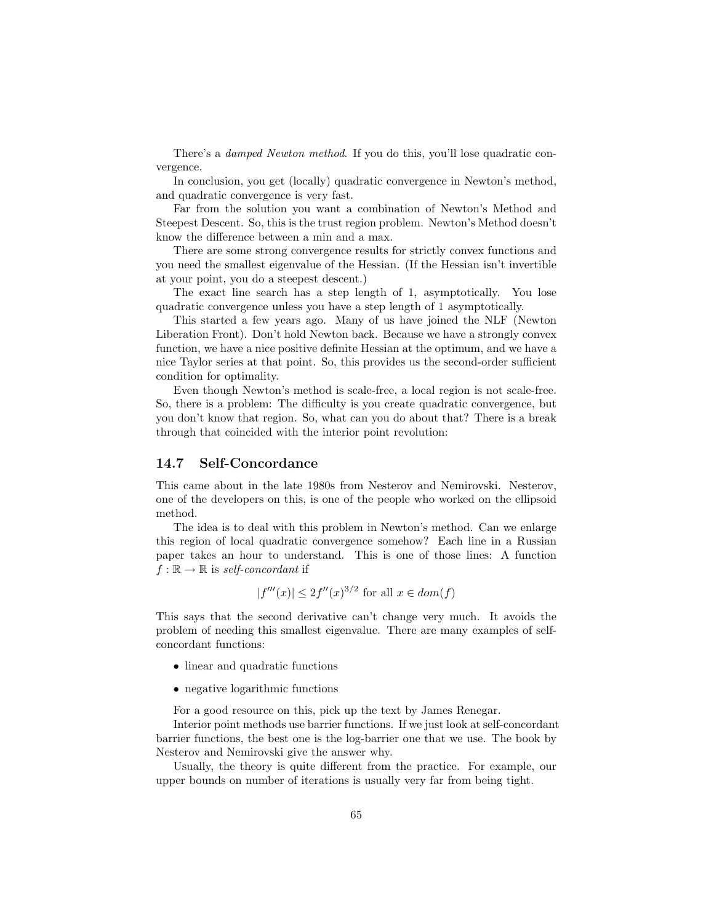There's a *damped Newton method*. If you do this, you'll lose quadratic convergence.

In conclusion, you get (locally) quadratic convergence in Newton's method, and quadratic convergence is very fast.

Far from the solution you want a combination of Newton's Method and Steepest Descent. So, this is the trust region problem. Newton's Method doesn't know the difference between a min and a max.

There are some strong convergence results for strictly convex functions and you need the smallest eigenvalue of the Hessian. (If the Hessian isn't invertible at your point, you do a steepest descent.)

The exact line search has a step length of 1, asymptotically. You lose quadratic convergence unless you have a step length of 1 asymptotically.

This started a few years ago. Many of us have joined the NLF (Newton Liberation Front). Don't hold Newton back. Because we have a strongly convex function, we have a nice positive definite Hessian at the optimum, and we have a nice Taylor series at that point. So, this provides us the second-order sufficient condition for optimality.

Even though Newton's method is scale-free, a local region is not scale-free. So, there is a problem: The difficulty is you create quadratic convergence, but you don't know that region. So, what can you do about that? There is a break through that coincided with the interior point revolution:

#### 14.7 Self-Concordance

This came about in the late 1980s from Nesterov and Nemirovski. Nesterov, one of the developers on this, is one of the people who worked on the ellipsoid method.

The idea is to deal with this problem in Newton's method. Can we enlarge this region of local quadratic convergence somehow? Each line in a Russian paper takes an hour to understand. This is one of those lines: A function  $f : \mathbb{R} \to \mathbb{R}$  is self-concordant if

$$
|f'''(x)| \le 2f''(x)^{3/2}
$$
 for all  $x \in dom(f)$ 

This says that the second derivative can't change very much. It avoids the problem of needing this smallest eigenvalue. There are many examples of selfconcordant functions:

- linear and quadratic functions
- negative logarithmic functions

For a good resource on this, pick up the text by James Renegar.

Interior point methods use barrier functions. If we just look at self-concordant barrier functions, the best one is the log-barrier one that we use. The book by Nesterov and Nemirovski give the answer why.

Usually, the theory is quite different from the practice. For example, our upper bounds on number of iterations is usually very far from being tight.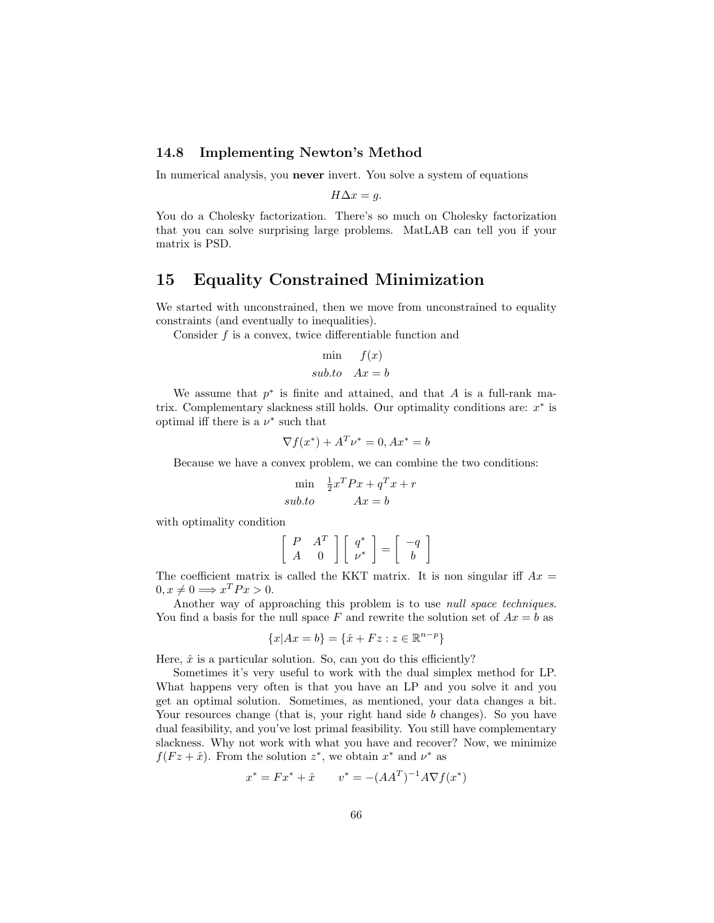#### 14.8 Implementing Newton's Method

In numerical analysis, you never invert. You solve a system of equations

$$
H\Delta x = g.
$$

You do a Cholesky factorization. There's so much on Cholesky factorization that you can solve surprising large problems. MatLAB can tell you if your matrix is PSD.

# 15 Equality Constrained Minimization

We started with unconstrained, then we move from unconstrained to equality constraints (and eventually to inequalities).

Consider f is a convex, twice differentiable function and

$$
\min \quad f(x) \nsub.to \quad Ax = b
$$

We assume that  $p^*$  is finite and attained, and that A is a full-rank matrix. Complementary slackness still holds. Our optimality conditions are:  $x^*$  is optimal iff there is a  $\nu^*$  such that

$$
\nabla f(x^*) + A^T \nu^* = 0, Ax^* = b
$$

Because we have a convex problem, we can combine the two conditions:

$$
\min_{\substack{\overline{1} \\ \overline{2} \\ \underline{3} \\ \underline{4} \\ \underline{5} \\ \underline{5} \\ \underline{4} \\ \underline{7} \\ \underline{1} \\ \underline{2} \\ \underline{3} \\ \underline{4} \\ \underline{7} \\ \underline{1} \\ \underline{7} \\ \underline{1} \\ \underline{4} \\ \underline{7} \\ \underline{1} \\ \underline{4} \\ \underline{7} \\ \underline{1} \\ \underline{4} \\ \underline{7} \\ \underline{1} \\ \underline{4} \\ \underline{7} \\ \underline{1} \\ \underline{4} \\ \underline{7} \\ \underline{1} \\ \underline{4} \\ \underline{1} \\ \underline{5} \\ \underline{1} \\ \underline{2} \\ \underline{1} \\ \underline{3} \\ \underline{1} \\ \underline{2} \\ \underline{1} \\ \underline{3} \\ \underline{1} \\ \underline{2} \\ \underline{1} \\ \underline{3} \\ \underline{1} \\ \underline{2} \\ \underline{1} \\ \underline{3} \\ \underline{1} \\ \underline{2} \\ \underline{3} \\ \underline{1} \\ \underline{3} \\ \underline{1} \\ \underline{2} \\ \underline{1} \\ \underline{3} \\ \underline{1} \\ \underline{3} \\ \underline{1} \\ \underline{2} \\ \underline{1} \\ \underline{3} \\ \underline{1} \\ \underline{3} \\ \underline{1} \\ \underline{2} \\ \underline{3} \\ \underline{1} \\ \underline{3} \\ \underline{1} \\ \underline{2} \\ \underline{3} \\ \underline{1} \\ \underline{3} \\ \underline{1} \\ \underline{3} \\ \underline{1} \\ \underline{2} \\ \underline{3} \\ \underline{1} \\ \underline{3} \\ \underline{1} \\ \underline{2} \\ \underline{1} \\ \underline{3} \\ \underline{1} \\ \underline{3} \\ \underline{1} \\ \underline{2} \\ \underline{1} \\ \underline{3} \\ \underline{1} \\ \underline{2} \\ \underline{1} \\ \underline{3} \\ \underline{1} \\ \underline{3} \\ \underline{1} \\ \underline{2} \\ \underline{1} \\ \underline{3} \\ \underline{1} \\ \underline{2} \\ \underline{1} \\ \underline{3} \\ \underline{1} \\ \underline{3} \\ \underline{1} \\ \underline{2} \\ \underline{1} \\ \underline{3} \\ \underline{1} \\ \underline{3} \\ \underline{1} \\ \underline{2} \\ \underline{3} \\ \underline{1} \\ \underline{3} \\ \underline{1} \\ \underline{3} \\ \underline{1} \\ \underline{2} \\ \underline
$$

with optimality condition

$$
\left[\begin{array}{cc} P & A^T \\ A & 0 \end{array}\right] \left[\begin{array}{c} q^* \\ \nu^* \end{array}\right] = \left[\begin{array}{c} -q \\ b \end{array}\right]
$$

The coefficient matrix is called the KKT matrix. It is non singular iff  $Ax =$  $0, x \neq 0 \Longrightarrow x^T P x > 0.$ 

Another way of approaching this problem is to use null space techniques. You find a basis for the null space F and rewrite the solution set of  $Ax = b$  as

$$
\{x|Ax = b\} = \{\hat{x} + Fz : z \in \mathbb{R}^{n-p}\}\
$$

Here,  $\hat{x}$  is a particular solution. So, can you do this efficiently?

Sometimes it's very useful to work with the dual simplex method for LP. What happens very often is that you have an LP and you solve it and you get an optimal solution. Sometimes, as mentioned, your data changes a bit. Your resources change (that is, your right hand side b changes). So you have dual feasibility, and you've lost primal feasibility. You still have complementary slackness. Why not work with what you have and recover? Now, we minimize  $f(Fz + \hat{x})$ . From the solution  $z^*$ , we obtain  $x^*$  and  $\nu^*$  as

$$
x^* = Fx^* + \hat{x} \qquad v^* = -(AA^T)^{-1}A\nabla f(x^*)
$$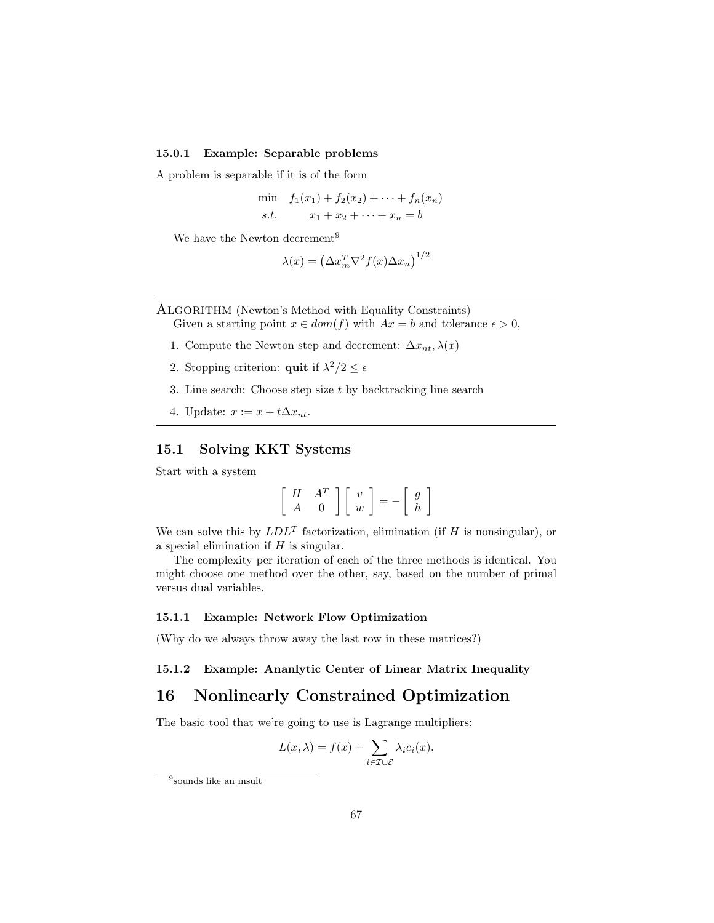#### 15.0.1 Example: Separable problems

A problem is separable if it is of the form

min 
$$
f_1(x_1) + f_2(x_2) + \cdots + f_n(x_n)
$$
  
s.t.  $x_1 + x_2 + \cdots + x_n = b$ 

We have the Newton decrement<sup>9</sup>

$$
\lambda(x) = \left(\Delta x_m^T \nabla^2 f(x) \Delta x_n\right)^{1/2}
$$

ALGORITHM (Newton's Method with Equality Constraints) Given a starting point  $x \in dom(f)$  with  $Ax = b$  and tolerance  $\epsilon > 0$ ,

- 1. Compute the Newton step and decrement:  $\Delta x_{nt}, \lambda(x)$
- 2. Stopping criterion: **quit** if  $\lambda^2/2 \leq \epsilon$
- 3. Line search: Choose step size t by backtracking line search
- 4. Update:  $x := x + t\Delta x_{nt}$ .

## 15.1 Solving KKT Systems

Start with a system

$$
\left[\begin{array}{cc} H & A^T \\ A & 0 \end{array}\right] \left[\begin{array}{c} v \\ w \end{array}\right] = -\left[\begin{array}{c} g \\ h \end{array}\right]
$$

We can solve this by  $LDL<sup>T</sup>$  factorization, elimination (if H is nonsingular), or a special elimination if  $H$  is singular.

The complexity per iteration of each of the three methods is identical. You might choose one method over the other, say, based on the number of primal versus dual variables.

#### 15.1.1 Example: Network Flow Optimization

(Why do we always throw away the last row in these matrices?)

15.1.2 Example: Ananlytic Center of Linear Matrix Inequality

## 16 Nonlinearly Constrained Optimization

The basic tool that we're going to use is Lagrange multipliers:

$$
L(x,\lambda) = f(x) + \sum_{i \in \mathcal{I} \cup \mathcal{E}} \lambda_i c_i(x).
$$

<sup>9</sup> sounds like an insult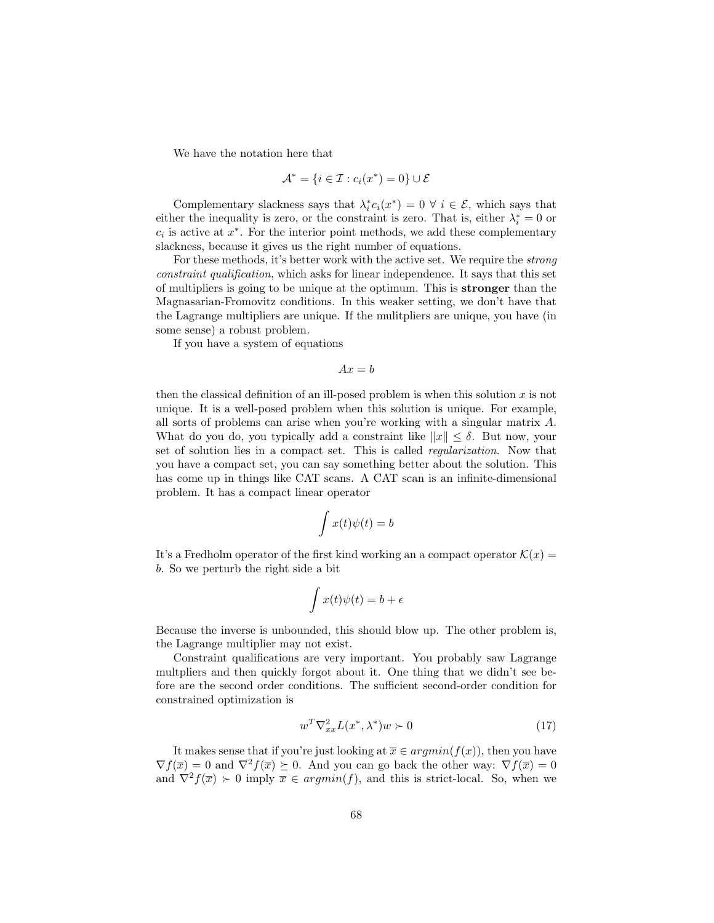We have the notation here that

$$
\mathcal{A}^* = \{i \in \mathcal{I} : c_i(x^*) = 0\} \cup \mathcal{E}
$$

Complementary slackness says that  $\lambda_i^* c_i(x^*) = 0 \ \forall \ i \in \mathcal{E}$ , which says that either the inequality is zero, or the constraint is zero. That is, either  $\lambda_i^* = 0$  or  $c_i$  is active at  $x^*$ . For the interior point methods, we add these complementary slackness, because it gives us the right number of equations.

For these methods, it's better work with the active set. We require the strong constraint qualification, which asks for linear independence. It says that this set of multipliers is going to be unique at the optimum. This is stronger than the Magnasarian-Fromovitz conditions. In this weaker setting, we don't have that the Lagrange multipliers are unique. If the mulitpliers are unique, you have (in some sense) a robust problem.

If you have a system of equations

$$
Ax = b
$$

then the classical definition of an ill-posed problem is when this solution  $x$  is not unique. It is a well-posed problem when this solution is unique. For example, all sorts of problems can arise when you're working with a singular matrix A. What do you do, you typically add a constraint like  $||x|| \leq \delta$ . But now, your set of solution lies in a compact set. This is called regularization. Now that you have a compact set, you can say something better about the solution. This has come up in things like CAT scans. A CAT scan is an infinite-dimensional problem. It has a compact linear operator

$$
\int x(t)\psi(t) = b
$$

It's a Fredholm operator of the first kind working an a compact operator  $\mathcal{K}(x) =$ b. So we perturb the right side a bit

$$
\int x(t)\psi(t) = b + \epsilon
$$

Because the inverse is unbounded, this should blow up. The other problem is, the Lagrange multiplier may not exist.

Constraint qualifications are very important. You probably saw Lagrange multpliers and then quickly forgot about it. One thing that we didn't see before are the second order conditions. The sufficient second-order condition for constrained optimization is

$$
w^T \nabla_{xx}^2 L(x^*, \lambda^*) w \succ 0 \tag{17}
$$

It makes sense that if you're just looking at  $\overline{x} \in argmin(f(x))$ , then you have  $\nabla f(\overline{x}) = 0$  and  $\nabla^2 f(\overline{x}) \succeq 0$ . And you can go back the other way:  $\nabla f(\overline{x}) = 0$ and  $\nabla^2 f(\overline{x}) \succ 0$  imply  $\overline{x} \in argmin(f)$ , and this is strict-local. So, when we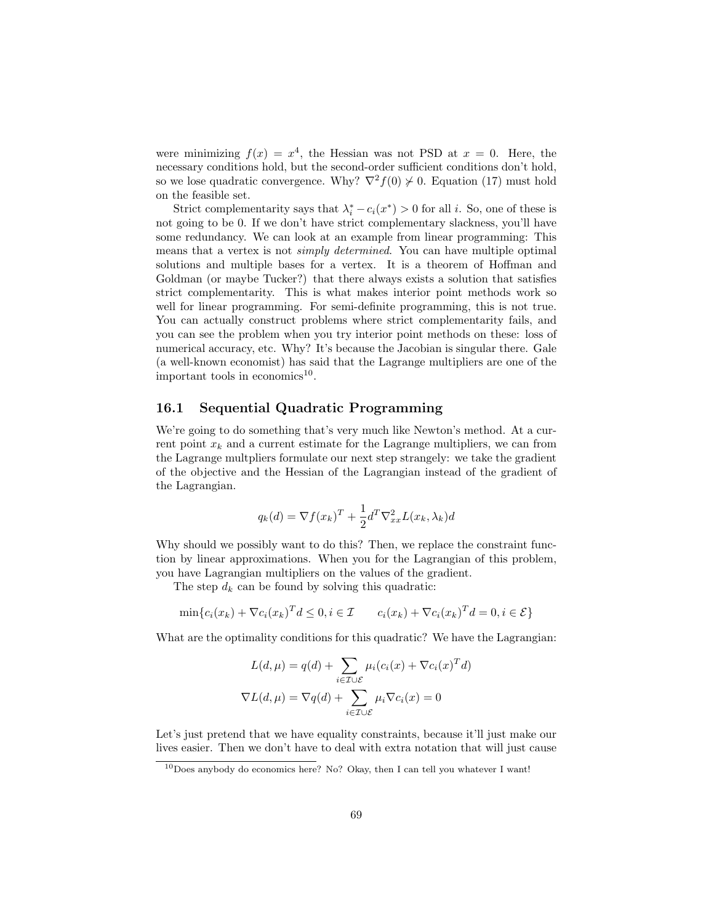were minimizing  $f(x) = x^4$ , the Hessian was not PSD at  $x = 0$ . Here, the necessary conditions hold, but the second-order sufficient conditions don't hold, so we lose quadratic convergence. Why?  $\nabla^2 f(0) \nless 0$ . Equation (17) must hold on the feasible set.

Strict complementarity says that  $\lambda_i^* - c_i(x^*) > 0$  for all *i*. So, one of these is not going to be 0. If we don't have strict complementary slackness, you'll have some redundancy. We can look at an example from linear programming: This means that a vertex is not simply determined. You can have multiple optimal solutions and multiple bases for a vertex. It is a theorem of Hoffman and Goldman (or maybe Tucker?) that there always exists a solution that satisfies strict complementarity. This is what makes interior point methods work so well for linear programming. For semi-definite programming, this is not true. You can actually construct problems where strict complementarity fails, and you can see the problem when you try interior point methods on these: loss of numerical accuracy, etc. Why? It's because the Jacobian is singular there. Gale (a well-known economist) has said that the Lagrange multipliers are one of the important tools in economics<sup>10</sup>.

### 16.1 Sequential Quadratic Programming

We're going to do something that's very much like Newton's method. At a current point  $x_k$  and a current estimate for the Lagrange multipliers, we can from the Lagrange multpliers formulate our next step strangely: we take the gradient of the objective and the Hessian of the Lagrangian instead of the gradient of the Lagrangian.

$$
q_k(d) = \nabla f(x_k)^T + \frac{1}{2}d^T \nabla_{xx}^2 L(x_k, \lambda_k) d
$$

Why should we possibly want to do this? Then, we replace the constraint function by linear approximations. When you for the Lagrangian of this problem, you have Lagrangian multipliers on the values of the gradient.

The step  $d_k$  can be found by solving this quadratic:

$$
\min\{c_i(x_k) + \nabla c_i(x_k)^T d \leq 0, i \in \mathcal{I} \qquad c_i(x_k) + \nabla c_i(x_k)^T d = 0, i \in \mathcal{E}\}
$$

What are the optimality conditions for this quadratic? We have the Lagrangian:

$$
L(d, \mu) = q(d) + \sum_{i \in \mathcal{I} \cup \mathcal{E}} \mu_i (c_i(x) + \nabla c_i(x)^T d)
$$

$$
\nabla L(d, \mu) = \nabla q(d) + \sum_{i \in \mathcal{I} \cup \mathcal{E}} \mu_i \nabla c_i(x) = 0
$$

Let's just pretend that we have equality constraints, because it'll just make our lives easier. Then we don't have to deal with extra notation that will just cause

<sup>10</sup>Does anybody do economics here? No? Okay, then I can tell you whatever I want!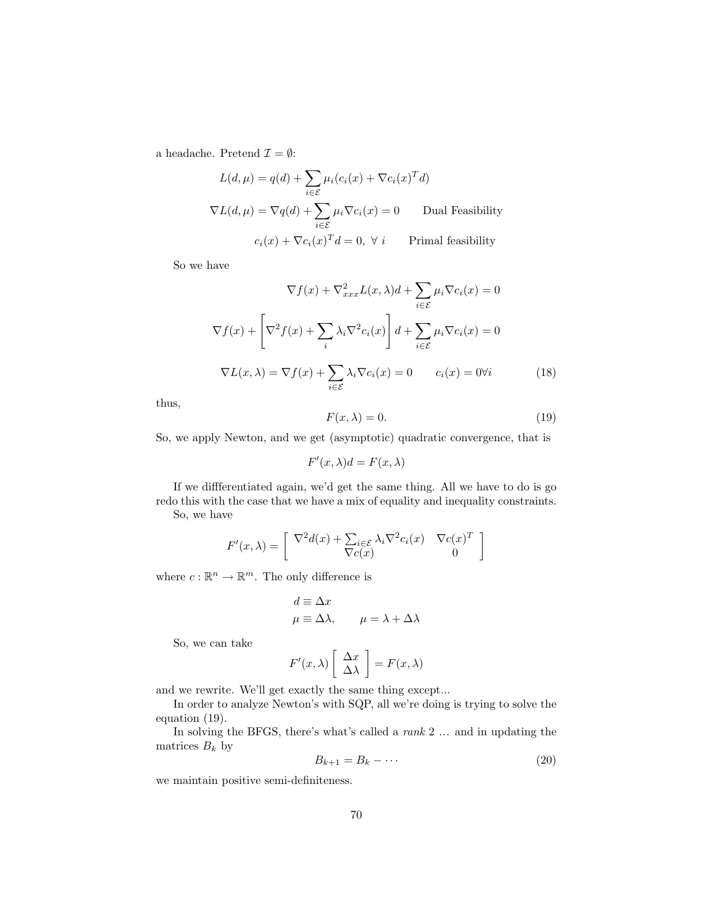a headache. Pretend  $\mathcal{I} = \emptyset$ :

$$
L(d, \mu) = q(d) + \sum_{i \in \mathcal{E}} \mu_i (c_i(x) + \nabla c_i(x)^T d)
$$
  

$$
\nabla L(d, \mu) = \nabla q(d) + \sum_{i \in \mathcal{E}} \mu_i \nabla c_i(x) = 0
$$
 Dual Feasibility  

$$
c_i(x) + \nabla c_i(x)^T d = 0, \forall i
$$
 Primal feasibility

So we have

$$
\nabla f(x) + \nabla_{xxx}^2 L(x, \lambda) d + \sum_{i \in \mathcal{E}} \mu_i \nabla c_i(x) = 0
$$

$$
\nabla f(x) + \left[ \nabla^2 f(x) + \sum_i \lambda_i \nabla^2 c_i(x) \right] d + \sum_{i \in \mathcal{E}} \mu_i \nabla c_i(x) = 0
$$

$$
\nabla L(x, \lambda) = \nabla f(x) + \sum_{i \in \mathcal{E}} \lambda_i \nabla c_i(x) = 0 \qquad c_i(x) = 0 \forall i \tag{18}
$$

thus,

$$
F(x,\lambda) = 0.\t(19)
$$

So, we apply Newton, and we get (asymptotic) quadratic convergence, that is

$$
F'(x,\lambda)d = F(x,\lambda)
$$

If we diffferentiated again, we'd get the same thing. All we have to do is go redo this with the case that we have a mix of equality and inequality constraints. So, we have

$$
F'(x,\lambda) = \begin{bmatrix} \nabla^2 d(x) + \sum_{i \in \mathcal{E}} \lambda_i \nabla^2 c_i(x) & \nabla c(x)^T \\ \nabla c(x) & 0 \end{bmatrix}
$$

where  $c : \mathbb{R}^n \to \mathbb{R}^m$ . The only difference is

$$
d \equiv \Delta x
$$
  

$$
\mu \equiv \Delta \lambda, \qquad \mu = \lambda + \Delta \lambda
$$

So, we can take

$$
F'(x,\lambda)\left[\begin{array}{c}\Delta x\\ \Delta\lambda\end{array}\right]=F(x,\lambda)
$$

and we rewrite. We'll get exactly the same thing except...

In order to analyze Newton's with SQP, all we're doing is trying to solve the equation (19).

In solving the BFGS, there's what's called a rank 2 ... and in updating the matrices  $B_k$  by

$$
B_{k+1} = B_k - \cdots \tag{20}
$$

we maintain positive semi-definiteness.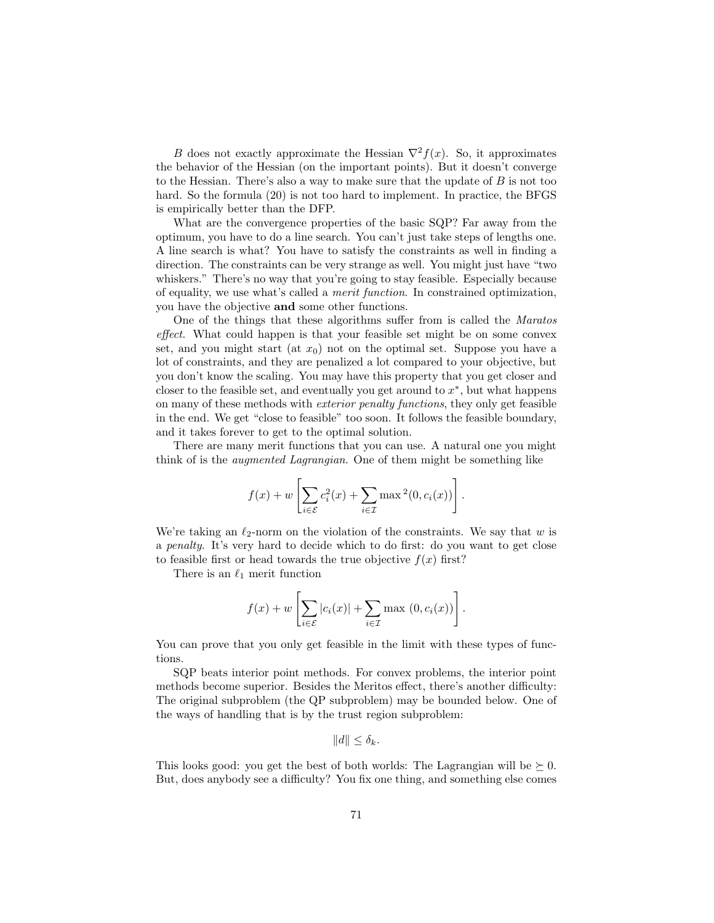B does not exactly approximate the Hessian  $\nabla^2 f(x)$ . So, it approximates the behavior of the Hessian (on the important points). But it doesn't converge to the Hessian. There's also a way to make sure that the update of B is not too hard. So the formula  $(20)$  is not too hard to implement. In practice, the BFGS is empirically better than the DFP.

What are the convergence properties of the basic SQP? Far away from the optimum, you have to do a line search. You can't just take steps of lengths one. A line search is what? You have to satisfy the constraints as well in finding a direction. The constraints can be very strange as well. You might just have "two whiskers." There's no way that you're going to stay feasible. Especially because of equality, we use what's called a merit function. In constrained optimization, you have the objective and some other functions.

One of the things that these algorithms suffer from is called the Maratos effect. What could happen is that your feasible set might be on some convex set, and you might start (at  $x_0$ ) not on the optimal set. Suppose you have a lot of constraints, and they are penalized a lot compared to your objective, but you don't know the scaling. You may have this property that you get closer and closer to the feasible set, and eventually you get around to  $x^*$ , but what happens on many of these methods with exterior penalty functions, they only get feasible in the end. We get "close to feasible" too soon. It follows the feasible boundary, and it takes forever to get to the optimal solution.

There are many merit functions that you can use. A natural one you might think of is the augmented Lagrangian. One of them might be something like

$$
f(x) + w \left[ \sum_{i \in \mathcal{E}} c_i^2(x) + \sum_{i \in \mathcal{I}} \max^2(0, c_i(x)) \right].
$$

We're taking an  $\ell_2$ -norm on the violation of the constraints. We say that w is a penalty. It's very hard to decide which to do first: do you want to get close to feasible first or head towards the true objective  $f(x)$  first?

There is an  $\ell_1$  merit function

$$
f(x) + w \left[ \sum_{i \in \mathcal{E}} |c_i(x)| + \sum_{i \in \mathcal{I}} \max(0, c_i(x)) \right].
$$

You can prove that you only get feasible in the limit with these types of functions.

SQP beats interior point methods. For convex problems, the interior point methods become superior. Besides the Meritos effect, there's another difficulty: The original subproblem (the QP subproblem) may be bounded below. One of the ways of handling that is by the trust region subproblem:

 $||d|| \leq \delta_k$ .

This looks good: you get the best of both worlds: The Lagrangian will be  $\succeq 0$ . But, does anybody see a difficulty? You fix one thing, and something else comes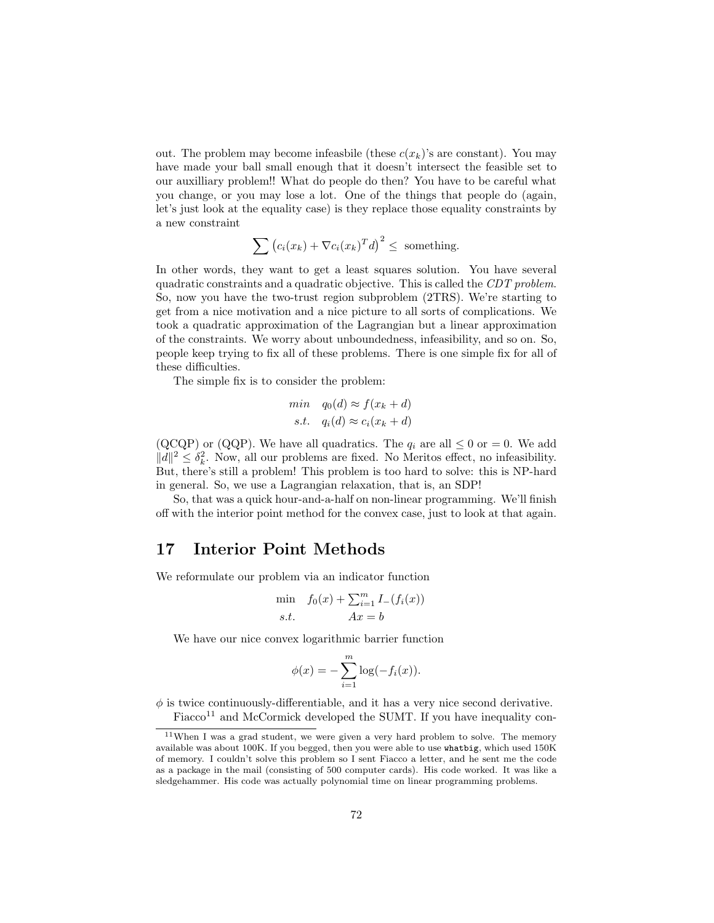out. The problem may become infeasible (these  $c(x_k)$ 's are constant). You may have made your ball small enough that it doesn't intersect the feasible set to our auxilliary problem!! What do people do then? You have to be careful what you change, or you may lose a lot. One of the things that people do (again, let's just look at the equality case) is they replace those equality constraints by a new constraint

$$
\sum \left( c_i(x_k) + \nabla c_i(x_k)^T d \right)^2 \leq \text{ something.}
$$

In other words, they want to get a least squares solution. You have several quadratic constraints and a quadratic objective. This is called the CDT problem. So, now you have the two-trust region subproblem (2TRS). We're starting to get from a nice motivation and a nice picture to all sorts of complications. We took a quadratic approximation of the Lagrangian but a linear approximation of the constraints. We worry about unboundedness, infeasibility, and so on. So, people keep trying to fix all of these problems. There is one simple fix for all of these difficulties.

The simple fix is to consider the problem:

$$
\min \quad q_0(d) \approx f(x_k + d)
$$
  
s.t.  $q_i(d) \approx c_i(x_k + d)$ 

(QCQP) or (QQP). We have all quadratics. The  $q_i$  are all  $\leq 0$  or  $= 0$ . We add  $||d||^2 \leq \delta_k^2$ . Now, all our problems are fixed. No Meritos effect, no infeasibility. But, there's still a problem! This problem is too hard to solve: this is NP-hard in general. So, we use a Lagrangian relaxation, that is, an SDP!

So, that was a quick hour-and-a-half on non-linear programming. We'll finish off with the interior point method for the convex case, just to look at that again.

## 17 Interior Point Methods

We reformulate our problem via an indicator function

$$
\min_{s.t.} f_0(x) + \sum_{i=1}^m I_{-}(f_i(x))
$$

We have our nice convex logarithmic barrier function

$$
\phi(x) = -\sum_{i=1}^m \log(-f_i(x)).
$$

 $\phi$  is twice continuously-differentiable, and it has a very nice second derivative. Fiacco<sup>11</sup> and McCormick developed the SUMT. If you have inequality con-

<sup>11</sup>When I was a grad student, we were given a very hard problem to solve. The memory available was about 100K. If you begged, then you were able to use whatbig, which used 150K of memory. I couldn't solve this problem so I sent Fiacco a letter, and he sent me the code as a package in the mail (consisting of 500 computer cards). His code worked. It was like a sledgehammer. His code was actually polynomial time on linear programming problems.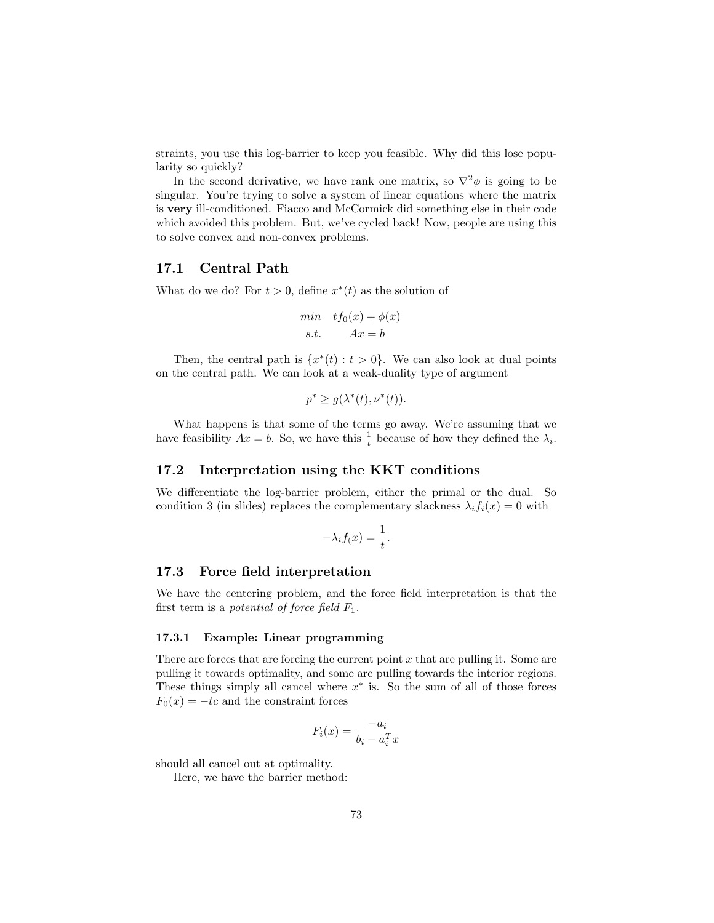straints, you use this log-barrier to keep you feasible. Why did this lose popularity so quickly?

In the second derivative, we have rank one matrix, so  $\nabla^2 \phi$  is going to be singular. You're trying to solve a system of linear equations where the matrix is very ill-conditioned. Fiacco and McCormick did something else in their code which avoided this problem. But, we've cycled back! Now, people are using this to solve convex and non-convex problems.

#### 17.1 Central Path

What do we do? For  $t > 0$ , define  $x^*(t)$  as the solution of

$$
\begin{aligned}\n\min \quad & tf_0(x) + \phi(x) \\
\text{s.t.} \quad & Ax = b\n\end{aligned}
$$

Then, the central path is  $\{x^*(t): t > 0\}$ . We can also look at dual points on the central path. We can look at a weak-duality type of argument

$$
p^* \ge g(\lambda^*(t), \nu^*(t)).
$$

What happens is that some of the terms go away. We're assuming that we have feasibility  $Ax = b$ . So, we have this  $\frac{1}{t}$  because of how they defined the  $\lambda_i$ .

#### 17.2 Interpretation using the KKT conditions

We differentiate the log-barrier problem, either the primal or the dual. So condition 3 (in slides) replaces the complementary slackness  $\lambda_i f_i(x) = 0$  with

$$
-\lambda_i f(x) = \frac{1}{t}.
$$

#### 17.3 Force field interpretation

We have the centering problem, and the force field interpretation is that the first term is a potential of force field  $F_1$ .

#### 17.3.1 Example: Linear programming

There are forces that are forcing the current point  $x$  that are pulling it. Some are pulling it towards optimality, and some are pulling towards the interior regions. These things simply all cancel where  $x^*$  is. So the sum of all of those forces  $F_0(x) = -tc$  and the constraint forces

$$
F_i(x) = \frac{-a_i}{b_i - a_i^T x}
$$

should all cancel out at optimality.

Here, we have the barrier method: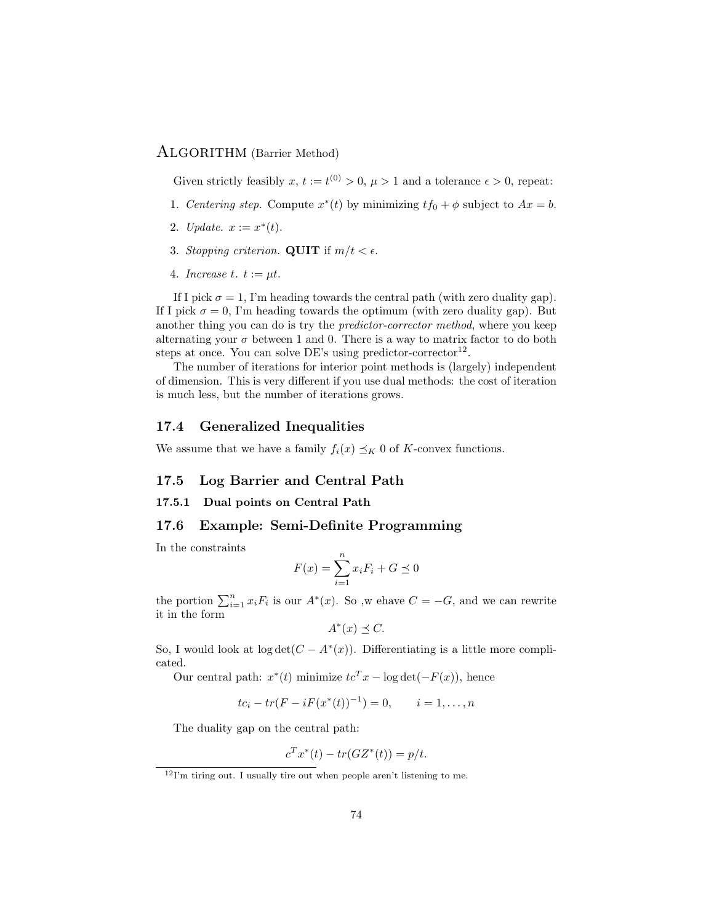#### ALGORITHM (Barrier Method)

Given strictly feasibly  $x, t := t^{(0)} > 0, \mu > 1$  and a tolerance  $\epsilon > 0$ , repeat:

- 1. Centering step. Compute  $x^*(t)$  by minimizing  $tf_0 + \phi$  subject to  $Ax = b$ .
- 2. *Update.*  $x := x^*(t)$ .
- 3. Stopping criterion. QUIT if  $m/t < \epsilon$ .
- 4. Increase t.  $t := \mu t$ .

If I pick  $\sigma = 1$ , I'm heading towards the central path (with zero duality gap). If I pick  $\sigma = 0$ , I'm heading towards the optimum (with zero duality gap). But another thing you can do is try the predictor-corrector method, where you keep alternating your  $\sigma$  between 1 and 0. There is a way to matrix factor to do both steps at once. You can solve DE's using predictor-corrector<sup>12</sup>.

The number of iterations for interior point methods is (largely) independent of dimension. This is very different if you use dual methods: the cost of iteration is much less, but the number of iterations grows.

#### 17.4 Generalized Inequalities

We assume that we have a family  $f_i(x) \preceq_K 0$  of K-convex functions.

#### 17.5 Log Barrier and Central Path

#### 17.5.1 Dual points on Central Path

#### 17.6 Example: Semi-Definite Programming

In the constraints

$$
F(x) = \sum_{i=1}^{n} x_i F_i + G \preceq 0
$$

the portion  $\sum_{i=1}^{n} x_i F_i$  is our  $A^*(x)$ . So ,w ehave  $C = -G$ , and we can rewrite it in the form

$$
A^*(x) \preceq C.
$$

So, I would look at  $log \det(C - A^*(x))$ . Differentiating is a little more complicated.

Our central path:  $x^*(t)$  minimize  $tc^T x - \log \det(-F(x))$ , hence

$$
tc_i - tr(F - iF(x^*(t))^{-1}) = 0, \qquad i = 1, \dots, n
$$

The duality gap on the central path:

$$
c^T x^*(t) - tr(GZ^*(t)) = p/t.
$$

 $12$ I'm tiring out. I usually tire out when people aren't listening to me.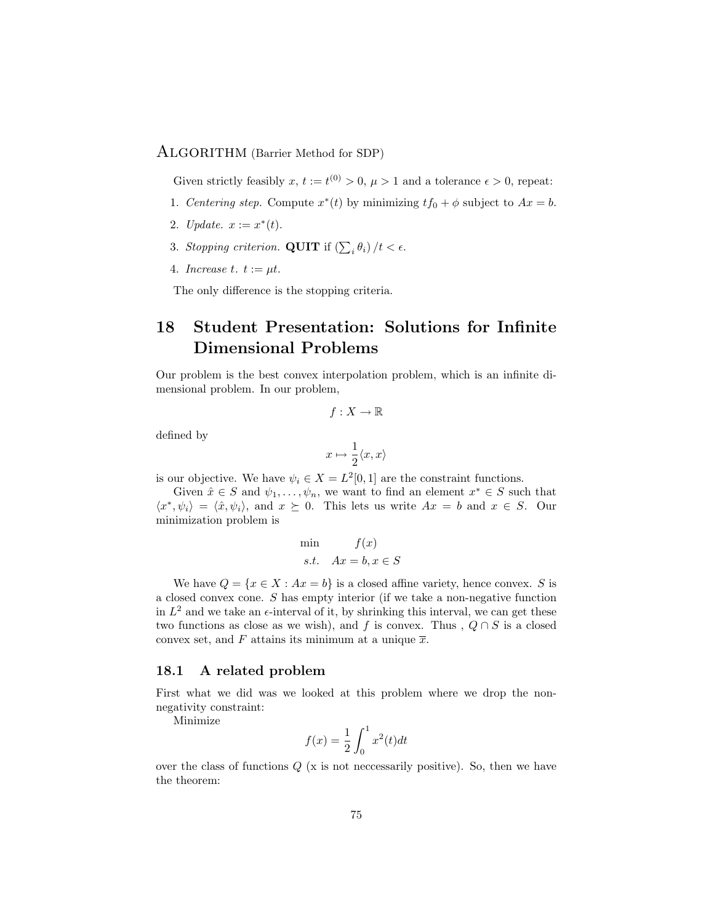#### ALGORITHM (Barrier Method for SDP)

Given strictly feasibly  $x, t := t^{(0)} > 0, \mu > 1$  and a tolerance  $\epsilon > 0$ , repeat:

- 1. Centering step. Compute  $x^*(t)$  by minimizing  $tf_0 + \phi$  subject to  $Ax = b$ .
- 2. *Update.*  $x := x^*(t)$ .
- 3. Stopping criterion. QUIT if  $\left(\sum_i \theta_i\right)/t < \epsilon$ .
- 4. Increase t.  $t := \mu t$ .

The only difference is the stopping criteria.

# 18 Student Presentation: Solutions for Infinite Dimensional Problems

Our problem is the best convex interpolation problem, which is an infinite dimensional problem. In our problem,

$$
f:X\to\mathbb{R}
$$

defined by

$$
x \mapsto \frac{1}{2}\langle x, x \rangle
$$

is our objective. We have  $\psi_i \in X = L^2[0,1]$  are the constraint functions.

Given  $\hat{x} \in S$  and  $\psi_1, \ldots, \psi_n$ , we want to find an element  $x^* \in S$  such that  $\langle x^*, \psi_i \rangle = \langle \hat{x}, \psi_i \rangle$ , and  $x \succeq 0$ . This lets us write  $Ax = b$  and  $x \in S$ . Our minimization problem is

$$
\min \qquad f(x)
$$
  
s.t.  $Ax = b, x \in S$ 

We have  $Q = \{x \in X : Ax = b\}$  is a closed affine variety, hence convex. S is a closed convex cone. S has empty interior (if we take a non-negative function in  $L^2$  and we take an  $\epsilon$ -interval of it, by shrinking this interval, we can get these two functions as close as we wish), and f is convex. Thus ,  $Q \cap S$  is a closed convex set, and F attains its minimum at a unique  $\overline{x}$ .

#### 18.1 A related problem

First what we did was we looked at this problem where we drop the nonnegativity constraint:

Minimize

$$
f(x) = \frac{1}{2} \int_0^1 x^2(t) dt
$$

over the class of functions  $Q$  (x is not neccessarily positive). So, then we have the theorem: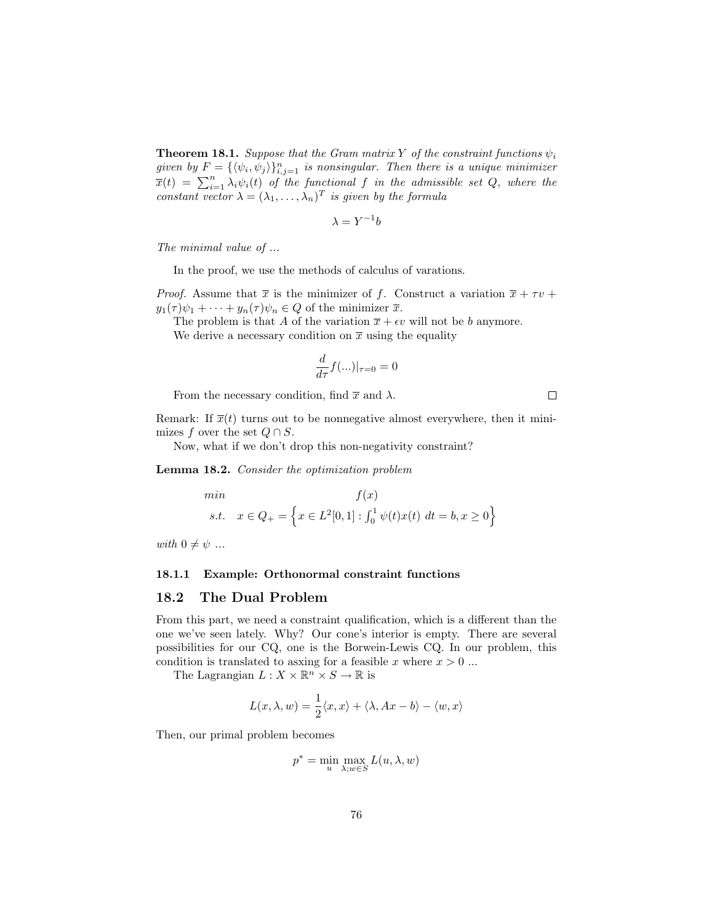**Theorem 18.1.** Suppose that the Gram matrix Y of the constraint functions  $\psi_i$ given by  $F = {\langle \langle \psi_i, \psi_j \rangle \}_{i,j=1}^n$  is nonsingular. Then there is a unique minimizer  $\overline{x}(t) = \sum_{i=1}^{n} \lambda_i \psi_i(t)$  of the functional f in the admissible set Q, where the constant vector  $\lambda = (\lambda_1, \ldots, \lambda_n)^T$  is given by the formula

$$
\lambda = Y^{-1}b
$$

The minimal value of ...

In the proof, we use the methods of calculus of varations.

*Proof.* Assume that  $\bar{x}$  is the minimizer of f. Construct a variation  $\bar{x} + \tau v$  +  $y_1(\tau)\psi_1 + \cdots + y_n(\tau)\psi_n \in Q$  of the minimizer  $\overline{x}$ .

The problem is that A of the variation  $\overline{x} + \epsilon v$  will not be b anymore.

We derive a necessary condition on  $\bar{x}$  using the equality

$$
\frac{d}{d\tau}f(...)|_{\tau=0}=0
$$

From the necessary condition, find  $\bar{x}$  and  $\lambda$ .

 $\Box$ 

Remark: If  $\overline{x}(t)$  turns out to be nonnegative almost everywhere, then it minimizes f over the set  $Q \cap S$ .

Now, what if we don't drop this non-negativity constraint?

Lemma 18.2. Consider the optimization problem

min  
\n
$$
f(x)
$$
\n
$$
s.t. \quad x \in Q_{+} = \left\{ x \in L^{2}[0,1] : \int_{0}^{1} \psi(t)x(t) \, dt = b, x \ge 0 \right\}
$$

with  $0 \neq \psi$  ...

#### 18.1.1 Example: Orthonormal constraint functions

#### 18.2 The Dual Problem

From this part, we need a constraint qualification, which is a different than the one we've seen lately. Why? Our cone's interior is empty. There are several possibilities for our CQ, one is the Borwein-Lewis CQ. In our problem, this condition is translated to asxing for a feasible x where  $x > 0$ ...

The Lagrangian  $L: X \times \mathbb{R}^n \times S \to \mathbb{R}$  is

$$
L(x, \lambda, w) = \frac{1}{2} \langle x, x \rangle + \langle \lambda, Ax - b \rangle - \langle w, x \rangle
$$

Then, our primal problem becomes

$$
p^* = \min_u \max_{\lambda; w \in S} L(u, \lambda, w)
$$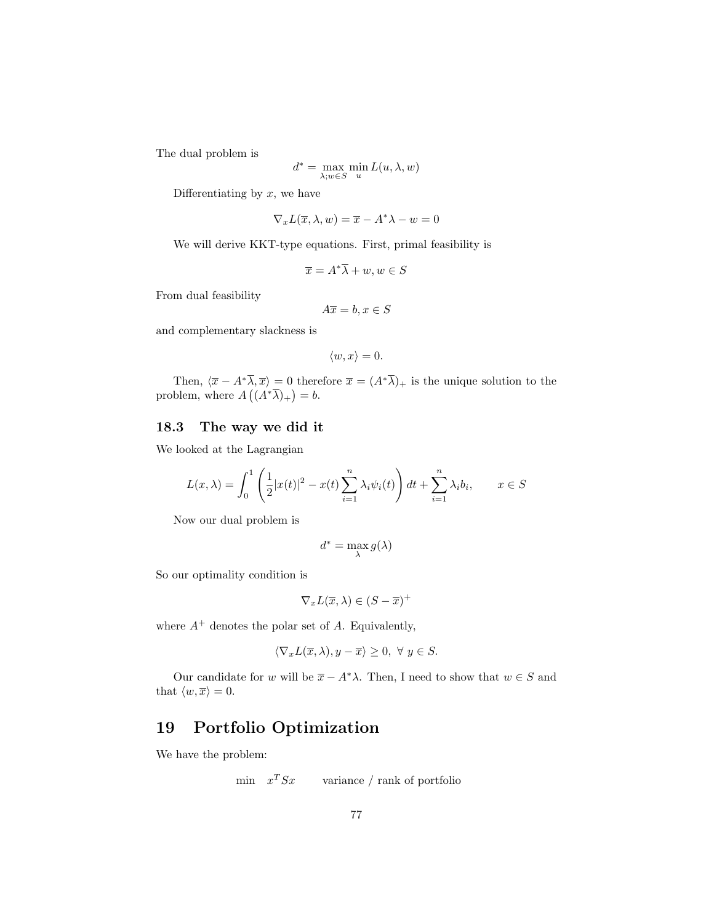The dual problem is

$$
d^* = \max_{\lambda; w \in S} \min_u L(u, \lambda, w)
$$

Differentiating by  $x$ , we have

$$
\nabla_x L(\overline{x}, \lambda, w) = \overline{x} - A^* \lambda - w = 0
$$

We will derive KKT-type equations. First, primal feasibility is

$$
\overline{x} = A^* \overline{\lambda} + w, w \in S
$$

From dual feasibility

$$
A\overline{x} = b, x \in S
$$

and complementary slackness is

$$
\langle w, x \rangle = 0.
$$

Then,  $\langle \overline{x} - A^* \overline{\lambda}, \overline{x} \rangle = 0$  therefore  $\overline{x} = (A^* \overline{\lambda})_+$  is the unique solution to the problem, where  $A((A^*\overline{\lambda})_+) = b$ .

#### 18.3 The way we did it

We looked at the Lagrangian

$$
L(x,\lambda) = \int_0^1 \left(\frac{1}{2}|x(t)|^2 - x(t)\sum_{i=1}^n \lambda_i \psi_i(t)\right) dt + \sum_{i=1}^n \lambda_i b_i, \qquad x \in S
$$

Now our dual problem is

$$
d^* = \max_\lambda g(\lambda)
$$

So our optimality condition is

$$
\nabla_x L(\overline{x}, \lambda) \in (S - \overline{x})^+
$$

where  $A^+$  denotes the polar set of A. Equivalently,

$$
\langle \nabla_x L(\overline{x}, \lambda), y - \overline{x} \rangle \ge 0, \ \forall \ y \in S.
$$

Our candidate for w will be  $\bar{x} - A^*\lambda$ . Then, I need to show that  $w \in S$  and that  $\langle w, \overline{x} \rangle = 0$ .

### 19 Portfolio Optimization

We have the problem:

$$
min \t x^T S x \t variable / rank of portfolio
$$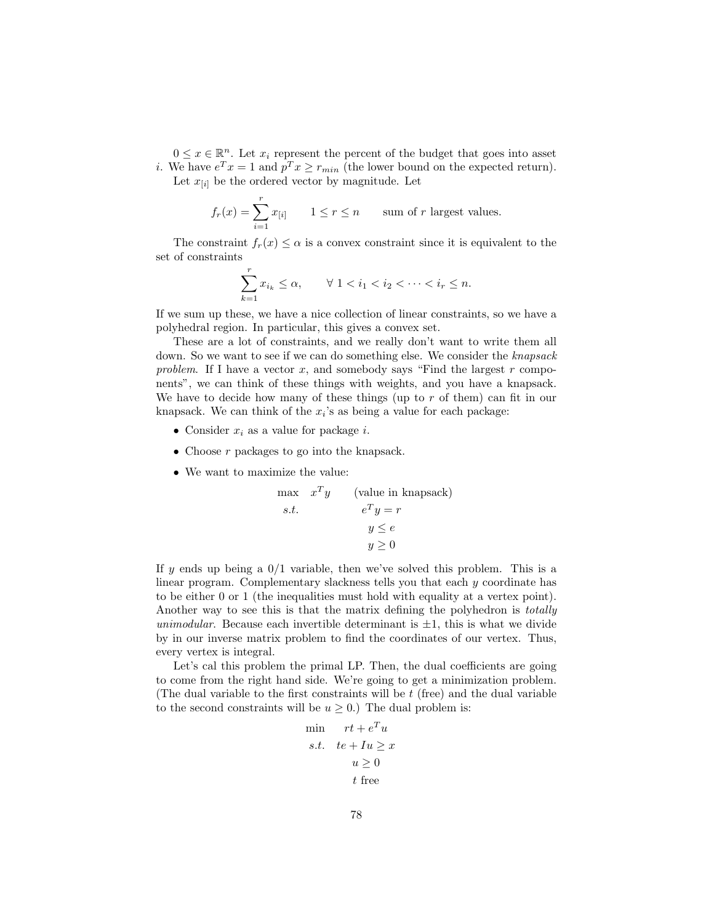$0 \leq x \in \mathbb{R}^n$ . Let  $x_i$  represent the percent of the budget that goes into asset *i*. We have  $e^T x = 1$  and  $p^T x \ge r_{min}$  (the lower bound on the expected return).

Let  $x_{[i]}$  be the ordered vector by magnitude. Let

$$
f_r(x) = \sum_{i=1}^r x_{[i]} \qquad 1 \le r \le n \qquad \text{sum of } r \text{ largest values.}
$$

The constraint  $f_r(x) \leq \alpha$  is a convex constraint since it is equivalent to the set of constraints

$$
\sum_{k=1}^{r} x_{i_k} \le \alpha, \qquad \forall \ 1 < i_1 < i_2 < \dots < i_r \le n.
$$

If we sum up these, we have a nice collection of linear constraints, so we have a polyhedral region. In particular, this gives a convex set.

These are a lot of constraints, and we really don't want to write them all down. So we want to see if we can do something else. We consider the knapsack problem. If I have a vector x, and somebody says "Find the largest  $r$  components", we can think of these things with weights, and you have a knapsack. We have to decide how many of these things (up to  $r$  of them) can fit in our knapsack. We can think of the  $x_i$ 's as being a value for each package:

- Consider  $x_i$  as a value for package *i*.
- Choose r packages to go into the knapsack.
- We want to maximize the value:

$$
\begin{aligned}\n\max \quad & x^T y \qquad \text{(value in knapsack)} \\
\text{s.t.} \qquad & e^T y = r \\
& y \leq e \\
& y \geq 0\n\end{aligned}
$$

If y ends up being a  $0/1$  variable, then we've solved this problem. This is a linear program. Complementary slackness tells you that each y coordinate has to be either 0 or 1 (the inequalities must hold with equality at a vertex point). Another way to see this is that the matrix defining the polyhedron is *totally* unimodular. Because each invertible determinant is  $\pm 1$ , this is what we divide by in our inverse matrix problem to find the coordinates of our vertex. Thus, every vertex is integral.

Let's cal this problem the primal LP. Then, the dual coefficients are going to come from the right hand side. We're going to get a minimization problem. (The dual variable to the first constraints will be t (free) and the dual variable to the second constraints will be  $u \geq 0$ .) The dual problem is:

$$
\begin{aligned}\n\min \quad &rt + e^T u\\ \n\text{s.t.} &\quad t e + I u \geq x\\ \n& u \geq 0\\ \n& t \text{ free}\n\end{aligned}
$$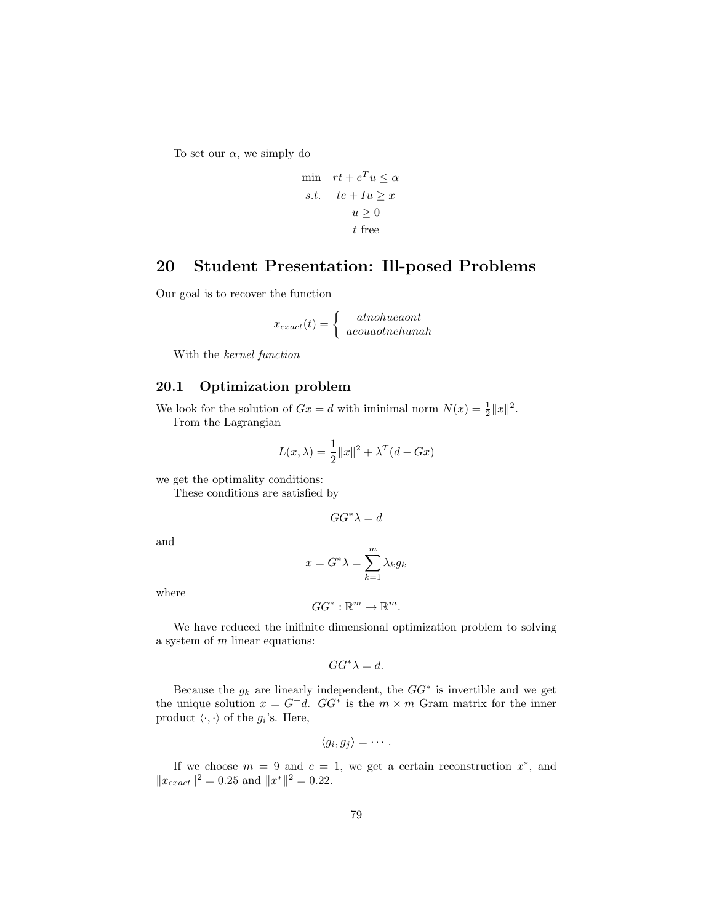To set our  $\alpha$ , we simply do

$$
\begin{aligned}\n\min \quad rt + e^T u &\le \alpha \\
s.t. \quad t e + I u &\ge x \\
u &\ge 0 \\
t \text{ free}\n\end{aligned}
$$

## 20 Student Presentation: Ill-posed Problems

Our goal is to recover the function

$$
x_{exact}(t) = \begin{cases} \quad at no blue a on t \\ \quad a eou a other hun a h \end{cases}
$$

With the kernel function

#### 20.1 Optimization problem

We look for the solution of  $Gx = d$  with iminimal norm  $N(x) = \frac{1}{2} ||x||^2$ . From the Lagrangian

$$
L(x, \lambda) = \frac{1}{2} ||x||^2 + \lambda^T (d - Gx)
$$

we get the optimality conditions:

These conditions are satisfied by

 $GG^*\lambda = d$ 

and

$$
x = G^* \lambda = \sum_{k=1}^m \lambda_k g_k
$$

where

$$
GG^*:\mathbb{R}^m\to\mathbb{R}^m.
$$

We have reduced the inifinite dimensional optimization problem to solving a system of  $m$  linear equations:

$$
GG^*\lambda = d.
$$

Because the  $g_k$  are linearly independent, the  $GG^*$  is invertible and we get the unique solution  $x = G^+d$ .  $GG^*$  is the  $m \times m$  Gram matrix for the inner product  $\langle \cdot, \cdot \rangle$  of the  $g_i$ 's. Here,

$$
\langle g_i, g_j \rangle = \cdots.
$$

If we choose  $m = 9$  and  $c = 1$ , we get a certain reconstruction  $x^*$ , and  $||x_{exact}||^2 = 0.25$  and  $||x^*||^2 = 0.22$ .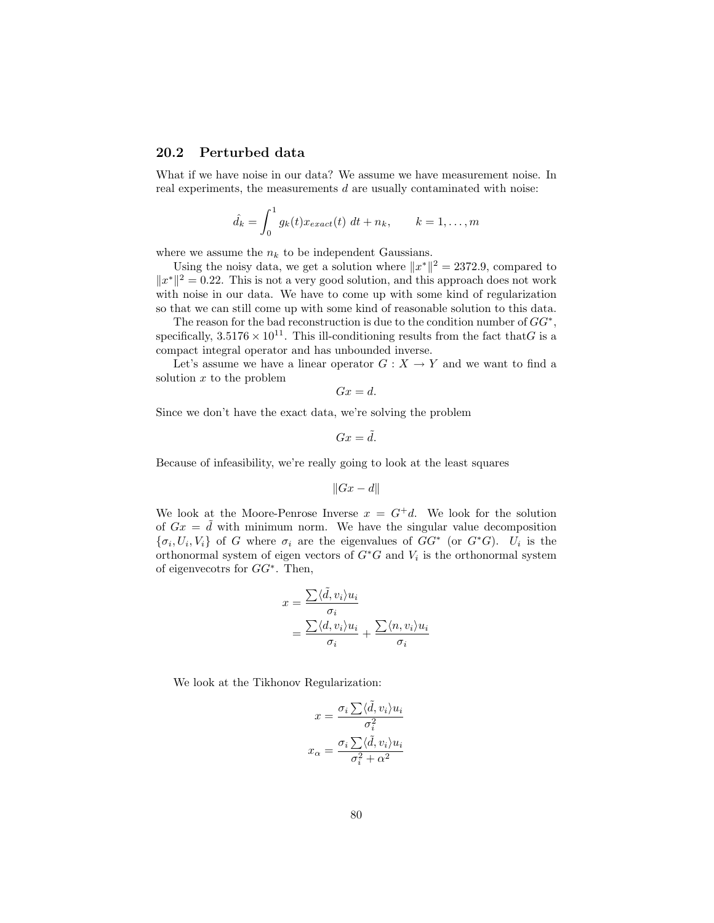#### 20.2 Perturbed data

What if we have noise in our data? We assume we have measurement noise. In real experiments, the measurements  $d$  are usually contaminated with noise:

$$
\hat{d}_k = \int_0^1 g_k(t) x_{exact}(t) dt + n_k, \qquad k = 1, \dots, m
$$

where we assume the  $n_k$  to be independent Gaussians.

Using the noisy data, we get a solution where  $||x^*||^2 = 2372.9$ , compared to  $||x^*||^2 = 0.22$ . This is not a very good solution, and this approach does not work with noise in our data. We have to come up with some kind of regularization so that we can still come up with some kind of reasonable solution to this data.

The reason for the bad reconstruction is due to the condition number of  $GG^*$ , specifically,  $3.5176 \times 10^{11}$ . This ill-conditioning results from the fact that G is a compact integral operator and has unbounded inverse.

Let's assume we have a linear operator  $G: X \to Y$  and we want to find a solution  $x$  to the problem

$$
Gx = d.
$$

Since we don't have the exact data, we're solving the problem

$$
Gx = \tilde{d}.
$$

Because of infeasibility, we're really going to look at the least squares

$$
||Gx - d||
$$

We look at the Moore-Penrose Inverse  $x = G^+d$ . We look for the solution of  $Gx = d$  with minimum norm. We have the singular value decomposition  $\{\sigma_i, U_i, V_i\}$  of G where  $\sigma_i$  are the eigenvalues of  $GG^*$  (or  $G^*G$ ).  $U_i$  is the orthonormal system of eigen vectors of  $G^*G$  and  $V_i$  is the orthonormal system of eigenvecotrs for GG<sup>∗</sup> . Then,

$$
x = \frac{\sum \langle \tilde{d}, v_i \rangle u_i}{\sigma_i}
$$
  
= 
$$
\frac{\sum \langle d, v_i \rangle u_i}{\sigma_i} + \frac{\sum \langle n, v_i \rangle u_i}{\sigma_i}
$$

We look at the Tikhonov Regularization:

$$
x = \frac{\sigma_i \sum \langle \tilde{d}, v_i \rangle u_i}{\sigma_i^2}
$$

$$
x_{\alpha} = \frac{\sigma_i \sum \langle \tilde{d}, v_i \rangle u_i}{\sigma_i^2 + \alpha^2}
$$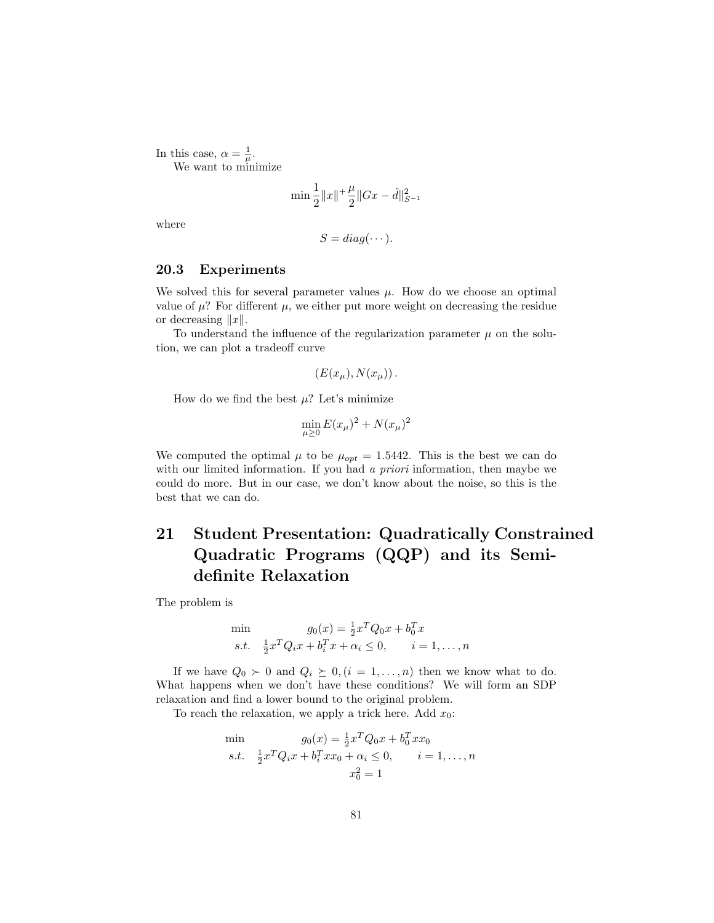In this case,  $\alpha = \frac{1}{\mu}$ . We want to minimize

$$
\min \frac{1}{2} ||x||^{1} \frac{\mu}{2} ||Gx - \hat{d}||_{S^{-1}}^{2}
$$

where

$$
S = diag(\cdots).
$$

#### 20.3 Experiments

We solved this for several parameter values  $\mu$ . How do we choose an optimal value of  $\mu$ ? For different  $\mu$ , we either put more weight on decreasing the residue or decreasing  $||x||$ .

To understand the influence of the regularization parameter  $\mu$  on the solution, we can plot a tradeoff curve

$$
(E(x_\mu), N(x_\mu))\,.
$$

How do we find the best  $\mu$ ? Let's minimize

$$
\min_{\mu \ge 0} E(x_{\mu})^2 + N(x_{\mu})^2
$$

We computed the optimal  $\mu$  to be  $\mu_{opt} = 1.5442$ . This is the best we can do with our limited information. If you had a *priori* information, then maybe we could do more. But in our case, we don't know about the noise, so this is the best that we can do.

# 21 Student Presentation: Quadratically Constrained Quadratic Programs (QQP) and its Semidefinite Relaxation

The problem is

$$
\min \qquad g_0(x) = \frac{1}{2} x^T Q_0 x + b_0^T x \ns.t. \quad \frac{1}{2} x^T Q_i x + b_i^T x + \alpha_i \le 0, \qquad i = 1, \dots, n
$$

If we have  $Q_0 \succ 0$  and  $Q_i \succeq 0, (i = 1, ..., n)$  then we know what to do. What happens when we don't have these conditions? We will form an SDP relaxation and find a lower bound to the original problem.

To reach the relaxation, we apply a trick here. Add  $x_0$ :

min  
\n
$$
g_0(x) = \frac{1}{2}x^T Q_0 x + b_0^T x x_0
$$
\n*s.t.* 
$$
\frac{1}{2}x^T Q_i x + b_i^T x x_0 + \alpha_i \le 0, \qquad i = 1, ..., n
$$
\n
$$
x_0^2 = 1
$$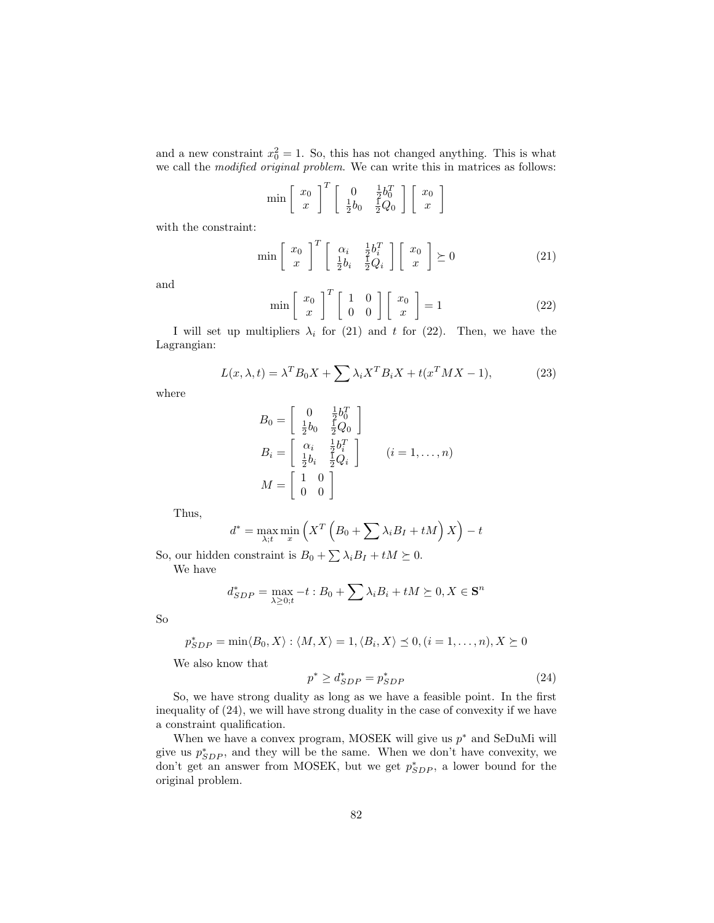and a new constraint  $x_0^2 = 1$ . So, this has not changed anything. This is what we call the modified original problem. We can write this in matrices as follows:

$$
\min \left[ \begin{array}{c} x_0 \\ x \end{array} \right]^T \left[ \begin{array}{cc} 0 & \frac{1}{2}b_0^T \\ \frac{1}{2}b_0 & \frac{1}{2}Q_0 \end{array} \right] \left[ \begin{array}{c} x_0 \\ x \end{array} \right]
$$

with the constraint:

$$
\min\left[\begin{array}{c}x_0\\x\end{array}\right]^T\left[\begin{array}{cc}\alpha_i & \frac{1}{2}b_i^T\\ \frac{1}{2}b_i & \frac{1}{2}Q_i\end{array}\right]\left[\begin{array}{c}x_0\\x\end{array}\right] \succeq 0\tag{21}
$$

and

$$
\min \left[ \begin{array}{c} x_0 \\ x \end{array} \right]^T \left[ \begin{array}{cc} 1 & 0 \\ 0 & 0 \end{array} \right] \left[ \begin{array}{c} x_0 \\ x \end{array} \right] = 1 \tag{22}
$$

I will set up multipliers  $\lambda_i$  for (21) and t for (22). Then, we have the Lagrangian:

$$
L(x, \lambda, t) = \lambda^T B_0 X + \sum \lambda_i X^T B_i X + t(x^T M X - 1),
$$
\n(23)

where

$$
B_0 = \begin{bmatrix} 0 & \frac{1}{2}b_0^T \\ \frac{1}{2}b_0 & \frac{1}{2}Q_0 \end{bmatrix}
$$
  
\n
$$
B_i = \begin{bmatrix} \alpha_i & \frac{1}{2}b_i^T \\ \frac{1}{2}b_i & \frac{1}{2}Q_i \end{bmatrix} \qquad (i = 1, ..., n)
$$
  
\n
$$
M = \begin{bmatrix} 1 & 0 \\ 0 & 0 \end{bmatrix}
$$

Thus,

$$
d^* = \max_{\lambda; t} \min_{x} \left( X^T \left( B_0 + \sum_{i} \lambda_i B_I + tM \right) X \right) - t
$$

So, our hidden constraint is  $B_0 + \sum_{i} \lambda_i B_i + tM \succeq 0$ .

We have

$$
d_{SDP}^* = \max_{\lambda \ge 0; t} -t : B_0 + \sum_{i} \lambda_i B_i + tM \succeq 0, X \in \mathbf{S}^n
$$

So

$$
p_{SDP}^* = \min(B_0, X) : \langle M, X \rangle = 1, \langle B_i, X \rangle \leq 0, (i = 1, \dots, n), X \succeq 0
$$

We also know that

$$
p^* \ge d_{SDP}^* = p_{SDP}^* \tag{24}
$$

So, we have strong duality as long as we have a feasible point. In the first inequality of (24), we will have strong duality in the case of convexity if we have a constraint qualification.

When we have a convex program, MOSEK will give us  $p^*$  and SeDuMi will give us  $p_{SDP}^*$ , and they will be the same. When we don't have convexity, we don't get an answer from MOSEK, but we get  $p_{SDP}^*$ , a lower bound for the original problem.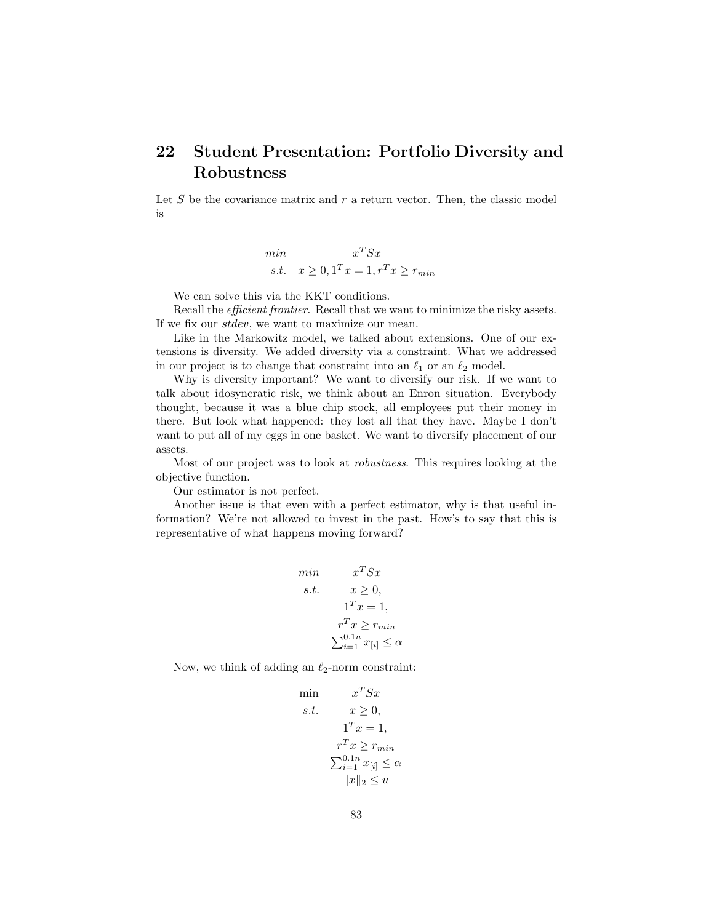## 22 Student Presentation: Portfolio Diversity and Robustness

Let  $S$  be the covariance matrix and  $r$  a return vector. Then, the classic model is

$$
\min_{\text{S.t.}} x^T S x
$$
  

$$
s.t. x \ge 0, 1^T x = 1, r^T x \ge r_{\min}
$$

We can solve this via the KKT conditions.

Recall the *efficient frontier*. Recall that we want to minimize the risky assets. If we fix our stdev, we want to maximize our mean.

Like in the Markowitz model, we talked about extensions. One of our extensions is diversity. We added diversity via a constraint. What we addressed in our project is to change that constraint into an  $\ell_1$  or an  $\ell_2$  model.

Why is diversity important? We want to diversify our risk. If we want to talk about idosyncratic risk, we think about an Enron situation. Everybody thought, because it was a blue chip stock, all employees put their money in there. But look what happened: they lost all that they have. Maybe I don't want to put all of my eggs in one basket. We want to diversify placement of our assets.

Most of our project was to look at robustness. This requires looking at the objective function.

Our estimator is not perfect.

Another issue is that even with a perfect estimator, why is that useful information? We're not allowed to invest in the past. How's to say that this is representative of what happens moving forward?

$$
\begin{aligned}\n\min & x^T S x \\
\text{s.t.} & x \ge 0, \\
1^T x = 1, \\
r^T x \ge r_{\min} \\
\sum_{i=1}^{0.1n} x_{[i]} \le \alpha\n\end{aligned}
$$

Now, we think of adding an  $\ell_2$ -norm constraint:

$$
\begin{aligned}\n\min & x^T S x \\
s.t. & x \ge 0, \\
1^T x = 1, \\
r^T x \ge r_{\min} \\
\sum_{i=1}^{0.1n} x_{[i]} \le \alpha \\
\|x\|_2 \le u\n\end{aligned}
$$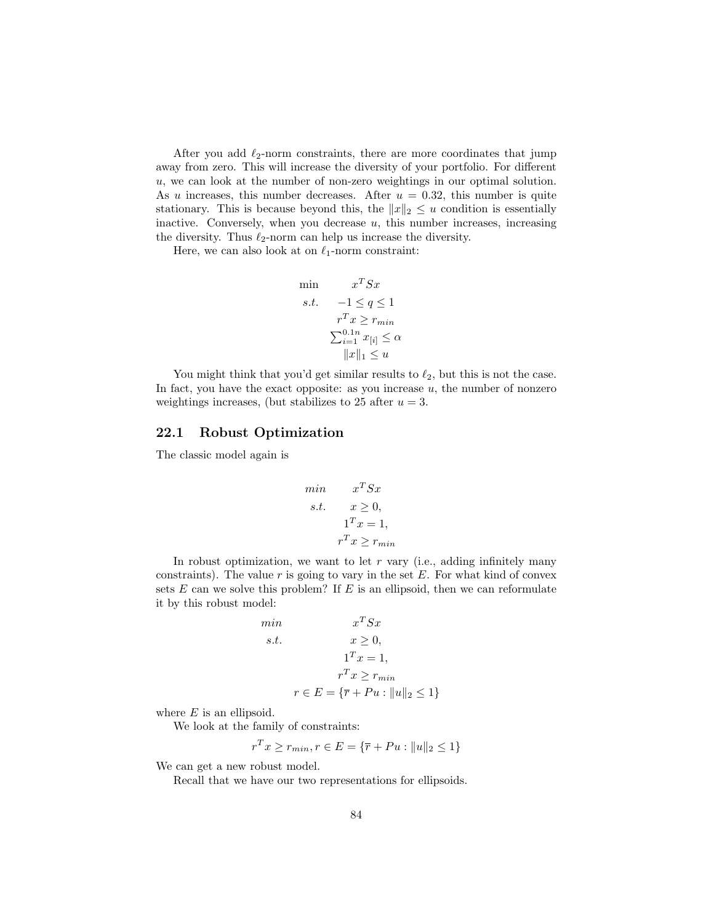After you add  $\ell_2$ -norm constraints, there are more coordinates that jump away from zero. This will increase the diversity of your portfolio. For different u, we can look at the number of non-zero weightings in our optimal solution. As u increases, this number decreases. After  $u = 0.32$ , this number is quite stationary. This is because beyond this, the  $||x||_2 \le u$  condition is essentially inactive. Conversely, when you decrease  $u$ , this number increases, increasing the diversity. Thus  $\ell_2$ -norm can help us increase the diversity.

Here, we can also look at on  $\ell_1$ -norm constraint:

$$
\begin{aligned}\n\min & x^T S x \\
s.t. & -1 \le q \le 1 \\
r^T x \ge r_{min} \\
\sum_{i=1}^{0.1n} x_{[i]} \le \alpha \\
\|x\|_1 \le u\n\end{aligned}
$$

You might think that you'd get similar results to  $\ell_2$ , but this is not the case. In fact, you have the exact opposite: as you increase  $u$ , the number of nonzero weightings increases, (but stabilizes to 25 after  $u = 3$ .

#### 22.1 Robust Optimization

The classic model again is

min 
$$
x^T S x
$$
  
s.t.  $x \ge 0$ ,  
 $1^T x = 1$ ,  
 $r^T x \ge r_{min}$ 

In robust optimization, we want to let  $r$  vary (i.e., adding infinitely many constraints). The value  $r$  is going to vary in the set  $E$ . For what kind of convex sets  $E$  can we solve this problem? If  $E$  is an ellipsoid, then we can reformulate it by this robust model:

min  
\n
$$
x^T S x
$$
\n
$$
s.t. \t x \ge 0,
$$
\n
$$
1^T x = 1,
$$
\n
$$
r^T x \ge r_{min}
$$
\n
$$
r \in E = {\overline{r} + Pu : ||u||_2 \le 1}
$$

where  $E$  is an ellipsoid.

We look at the family of constraints:

$$
r^T x \ge r_{min}, r \in E = \{ \overline{r} + Pu : ||u||_2 \le 1 \}
$$

We can get a new robust model.

Recall that we have our two representations for ellipsoids.